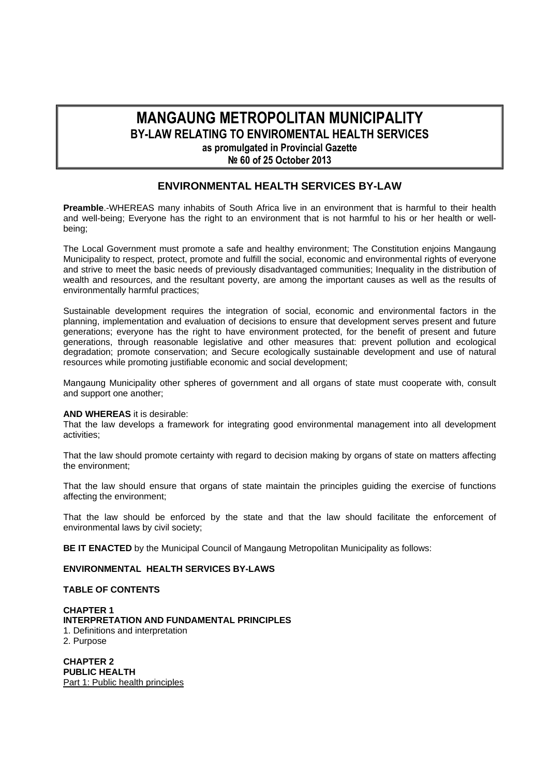# **MANGAUNG METROPOLITAN MUNICIPALITY BY-LAW RELATING TO ENVIROMENTAL HEALTH SERVICES**

**as promulgated in Provincial Gazette** 

**№ 60 of 25 October 2013** 

# **ENVIRONMENTAL HEALTH SERVICES BY-LAW**

**Preamble**.-WHEREAS many inhabits of South Africa live in an environment that is harmful to their health and well-being; Everyone has the right to an environment that is not harmful to his or her health or wellbeing;

The Local Government must promote a safe and healthy environment; The Constitution enjoins Mangaung Municipality to respect, protect, promote and fulfill the social, economic and environmental rights of everyone and strive to meet the basic needs of previously disadvantaged communities; Inequality in the distribution of wealth and resources, and the resultant poverty, are among the important causes as well as the results of environmentally harmful practices;

Sustainable development requires the integration of social, economic and environmental factors in the planning, implementation and evaluation of decisions to ensure that development serves present and future generations; everyone has the right to have environment protected, for the benefit of present and future generations, through reasonable legislative and other measures that: prevent pollution and ecological degradation; promote conservation; and Secure ecologically sustainable development and use of natural resources while promoting justifiable economic and social development;

Mangaung Municipality other spheres of government and all organs of state must cooperate with, consult and support one another;

# **AND WHEREAS** it is desirable:

That the law develops a framework for integrating good environmental management into all development activities;

That the law should promote certainty with regard to decision making by organs of state on matters affecting the environment;

That the law should ensure that organs of state maintain the principles guiding the exercise of functions affecting the environment;

That the law should be enforced by the state and that the law should facilitate the enforcement of environmental laws by civil society;

**BE IT ENACTED** by the Municipal Council of Mangaung Metropolitan Municipality as follows:

# **ENVIRONMENTAL HEALTH SERVICES BY-LAWS**

# **TABLE OF CONTENTS**

**CHAPTER 1 INTERPRETATION AND FUNDAMENTAL PRINCIPLES**  1. Definitions and interpretation 2. Purpose **CHAPTER 2** 

**PUBLIC HEALTH**  Part 1: Public health principles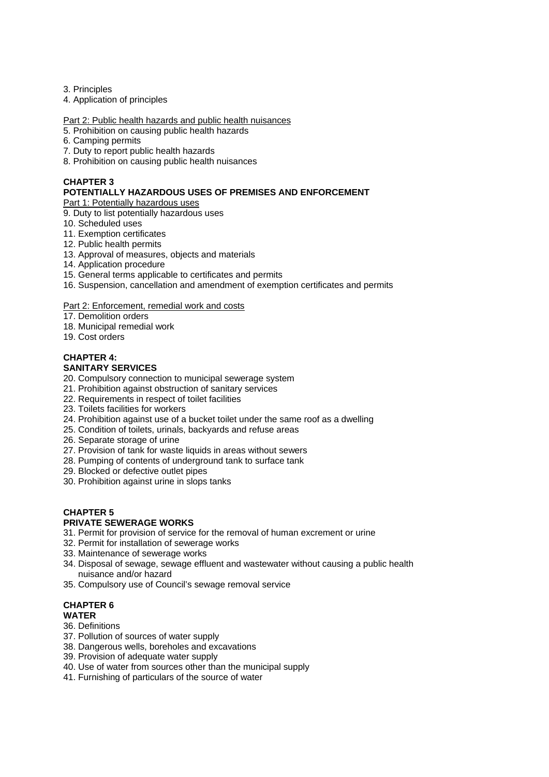3. Principles

4. Application of principles

Part 2: Public health hazards and public health nuisances

- 5. Prohibition on causing public health hazards
- 6. Camping permits
- 7. Duty to report public health hazards
- 8. Prohibition on causing public health nuisances

# **CHAPTER 3**

# **POTENTIALLY HAZARDOUS USES OF PREMISES AND ENFORCEMENT**

Part 1: Potentially hazardous uses

9. Duty to list potentially hazardous uses

- 10. Scheduled uses
- 11. Exemption certificates
- 12. Public health permits
- 13. Approval of measures, objects and materials
- 14. Application procedure
- 15. General terms applicable to certificates and permits
- 16. Suspension, cancellation and amendment of exemption certificates and permits

# Part 2: Enforcement, remedial work and costs

- 17. Demolition orders
- 18. Municipal remedial work
- 19. Cost orders

# **CHAPTER 4: SANITARY SERVICES**

- 20. Compulsory connection to municipal sewerage system
- 21. Prohibition against obstruction of sanitary services
- 22. Requirements in respect of toilet facilities
- 23. Toilets facilities for workers
- 24. Prohibition against use of a bucket toilet under the same roof as a dwelling
- 25. Condition of toilets, urinals, backyards and refuse areas
- 26. Separate storage of urine
- 27. Provision of tank for waste liquids in areas without sewers
- 28. Pumping of contents of underground tank to surface tank
- 29. Blocked or defective outlet pipes
- 30. Prohibition against urine in slops tanks

#### **CHAPTER 5 PRIVATE SEWERAGE WORKS**

- 31. Permit for provision of service for the removal of human excrement or urine
- 32. Permit for installation of sewerage works
- 33. Maintenance of sewerage works
- 34. Disposal of sewage, sewage effluent and wastewater without causing a public health nuisance and/or hazard
- 35. Compulsory use of Council's sewage removal service

#### **CHAPTER 6 WATER**

# 36. Definitions

- 37. Pollution of sources of water supply
- 38. Dangerous wells, boreholes and excavations
- 39. Provision of adequate water supply
- 40. Use of water from sources other than the municipal supply
- 41. Furnishing of particulars of the source of water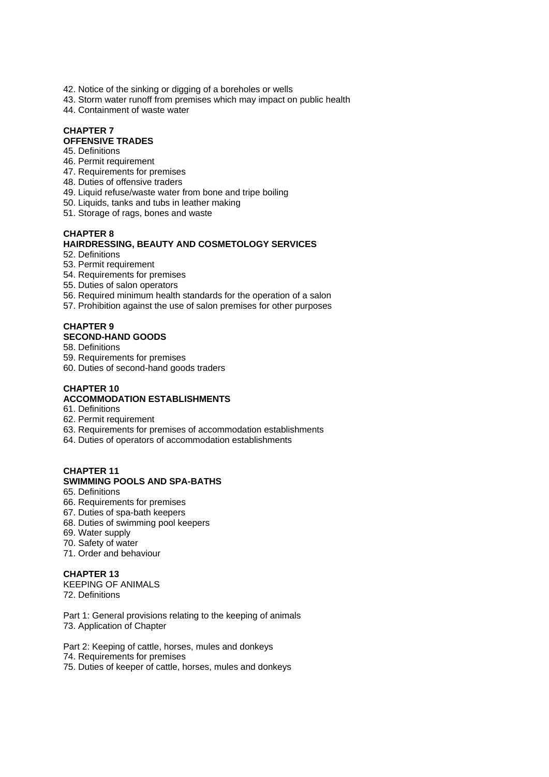- 42. Notice of the sinking or digging of a boreholes or wells
- 43. Storm water runoff from premises which may impact on public health
- 44. Containment of waste water

# **CHAPTER 7**

# **OFFENSIVE TRADES**

- 45. Definitions
- 46. Permit requirement
- 47. Requirements for premises
- 48. Duties of offensive traders
- 49. Liquid refuse/waste water from bone and tripe boiling
- 50. Liquids, tanks and tubs in leather making
- 51. Storage of rags, bones and waste

# **CHAPTER 8**

# **HAIRDRESSING, BEAUTY AND COSMETOLOGY SERVICES**

- 52. Definitions
- 53. Permit requirement
- 54. Requirements for premises
- 55. Duties of salon operators
- 56. Required minimum health standards for the operation of a salon
- 57. Prohibition against the use of salon premises for other purposes

# **CHAPTER 9**

# **SECOND-HAND GOODS**

- 58. Definitions
- 59. Requirements for premises
- 60. Duties of second-hand goods traders

#### **CHAPTER 10 ACCOMMODATION ESTABLISHMENTS**

- 61. Definitions
- 62. Permit requirement
- 63. Requirements for premises of accommodation establishments
- 64. Duties of operators of accommodation establishments

# **CHAPTER 11 SWIMMING POOLS AND SPA-BATHS**

- 65. Definitions
- 66. Requirements for premises
- 67. Duties of spa-bath keepers
- 68. Duties of swimming pool keepers
- 69. Water supply
- 70. Safety of water
- 71. Order and behaviour

# **CHAPTER 13**

KEEPING OF ANIMALS 72. Definitions

Part 1: General provisions relating to the keeping of animals 73. Application of Chapter

Part 2: Keeping of cattle, horses, mules and donkeys

74. Requirements for premises

75. Duties of keeper of cattle, horses, mules and donkeys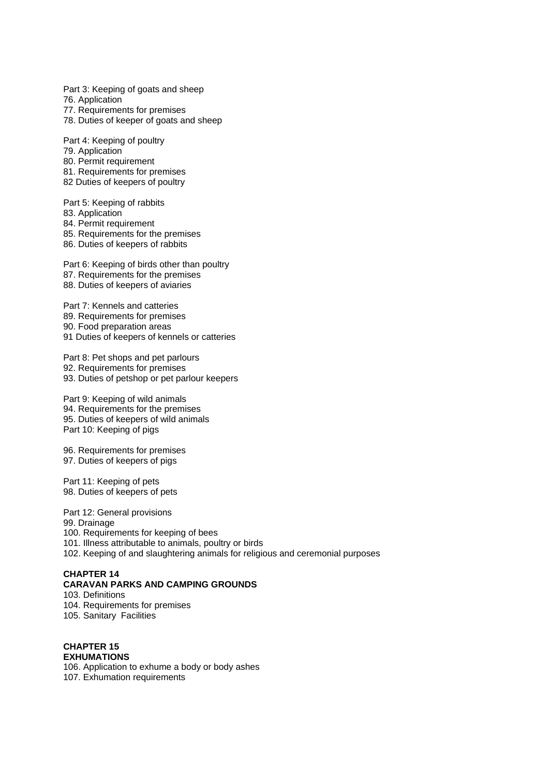Part 3: Keeping of goats and sheep

76. Application

- 77. Requirements for premises
- 78. Duties of keeper of goats and sheep

Part 4: Keeping of poultry 79. Application 80. Permit requirement 81. Requirements for premises 82 Duties of keepers of poultry

Part 5: Keeping of rabbits

83. Application

84. Permit requirement

85. Requirements for the premises

86. Duties of keepers of rabbits

Part 6: Keeping of birds other than poultry 87. Requirements for the premises 88. Duties of keepers of aviaries

Part 7: Kennels and catteries 89. Requirements for premises 90. Food preparation areas 91 Duties of keepers of kennels or catteries

Part 8: Pet shops and pet parlours 92. Requirements for premises 93. Duties of petshop or pet parlour keepers

Part 9: Keeping of wild animals 94. Requirements for the premises 95. Duties of keepers of wild animals Part 10: Keeping of pigs

96. Requirements for premises 97. Duties of keepers of pigs

Part 11: Keeping of pets 98. Duties of keepers of pets

Part 12: General provisions 99. Drainage 100. Requirements for keeping of bees 101. Illness attributable to animals, poultry or birds 102. Keeping of and slaughtering animals for religious and ceremonial purposes

# **CHAPTER 14**

**CARAVAN PARKS AND CAMPING GROUNDS**  103. Definitions 104. Requirements for premises 105. Sanitary Facilities

**CHAPTER 15 EXHUMATIONS** 106. Application to exhume a body or body ashes 107. Exhumation requirements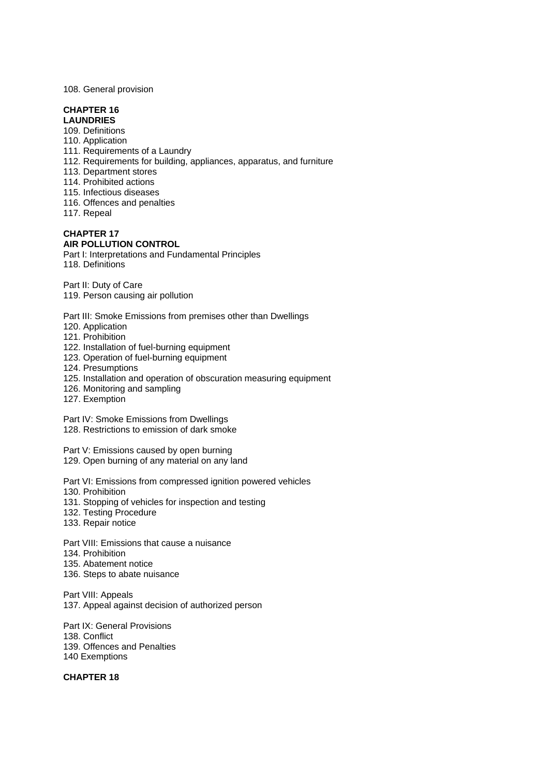108. General provision

# **CHAPTER 16 LAUNDRIES**

- 109. Definitions
- 110. Application
- 111. Requirements of a Laundry
- 112. Requirements for building, appliances, apparatus, and furniture
- 113. Department stores
- 114. Prohibited actions
- 115. Infectious diseases
- 116. Offences and penalties
- 117. Repeal

#### **CHAPTER 17 AIR POLLUTION CONTROL**

Part I: Interpretations and Fundamental Principles

118. Definitions

Part II: Duty of Care

- 119. Person causing air pollution
- Part III: Smoke Emissions from premises other than Dwellings
- 120. Application
- 121. Prohibition
- 122. Installation of fuel-burning equipment
- 123. Operation of fuel-burning equipment
- 124. Presumptions
- 125. Installation and operation of obscuration measuring equipment
- 126. Monitoring and sampling
- 127. Exemption
- Part IV: Smoke Emissions from Dwellings
- 128. Restrictions to emission of dark smoke
- Part V: Emissions caused by open burning
- 129. Open burning of any material on any land
- Part VI: Emissions from compressed ignition powered vehicles
- 130. Prohibition
- 131. Stopping of vehicles for inspection and testing
- 132. Testing Procedure
- 133. Repair notice
- Part VIII: Emissions that cause a nuisance
- 134. Prohibition
- 135. Abatement notice
- 136. Steps to abate nuisance
- Part VIII: Appeals 137. Appeal against decision of authorized person
- Part IX: General Provisions 138. Conflict 139. Offences and Penalties 140 Exemptions

# **CHAPTER 18**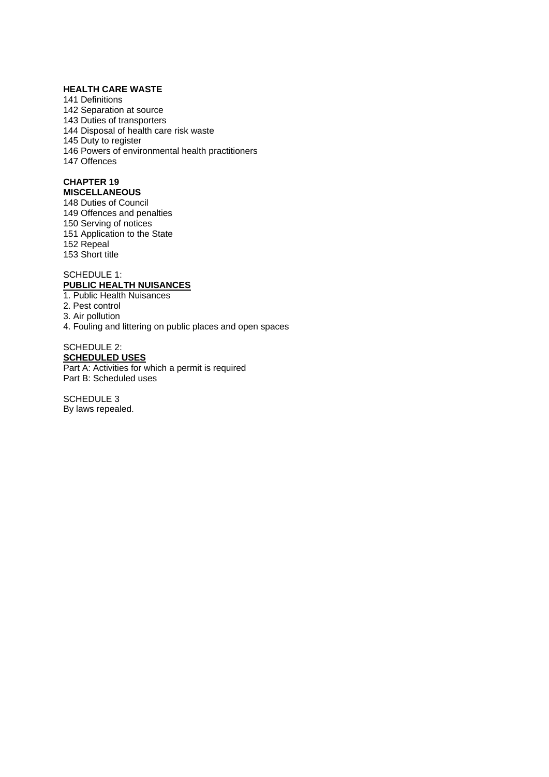# **HEALTH CARE WASTE**

141 Definitions 142 Separation at source 143 Duties of transporters 144 Disposal of health care risk waste 145 Duty to register 146 Powers of environmental health practitioners 147 Offences

#### **CHAPTER 19 MISCELLANEOUS**

- 148 Duties of Council
- 149 Offences and penalties
- 150 Serving of notices
- 151 Application to the State
- 152 Repeal
- 153 Short title

# SCHEDULE 1: **PUBLIC HEALTH NUISANCES**

- 1. Public Health Nuisances
- 2. Pest control
- 3. Air pollution
- 4. Fouling and littering on public places and open spaces

# SCHEDULE 2: **SCHEDULED USES**

Part A: Activities for which a permit is required Part B: Scheduled uses

SCHEDULE 3 By laws repealed.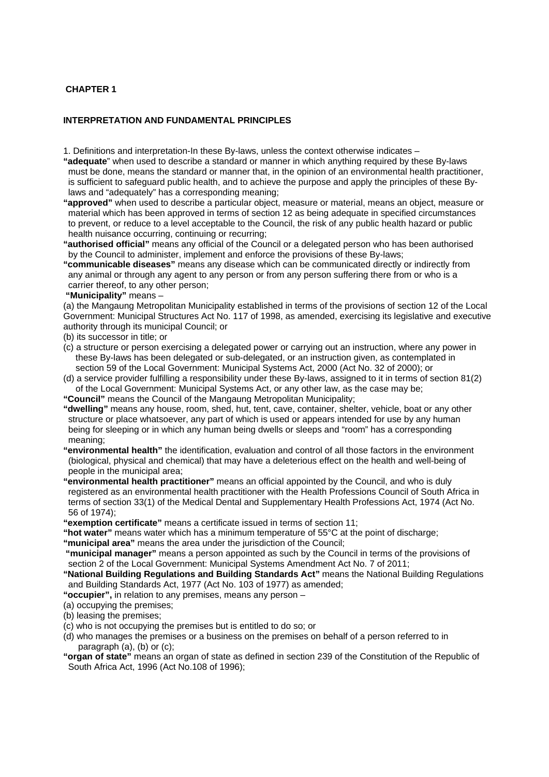# **CHAPTER 1**

# **INTERPRETATION AND FUNDAMENTAL PRINCIPLES**

- 1. Definitions and interpretation-In these By-laws, unless the context otherwise indicates –
- **"adequate**" when used to describe a standard or manner in which anything required by these By-laws must be done, means the standard or manner that, in the opinion of an environmental health practitioner, is sufficient to safeguard public health, and to achieve the purpose and apply the principles of these By laws and "adequately" has a corresponding meaning;
- **"approved"** when used to describe a particular object, measure or material, means an object, measure or material which has been approved in terms of section 12 as being adequate in specified circumstances to prevent, or reduce to a level acceptable to the Council, the risk of any public health hazard or public health nuisance occurring, continuing or recurring;
- **"authorised official"** means any official of the Council or a delegated person who has been authorised by the Council to administer, implement and enforce the provisions of these By-laws;
- **"communicable diseases"** means any disease which can be communicated directly or indirectly from any animal or through any agent to any person or from any person suffering there from or who is a carrier thereof, to any other person;
- **"Municipality"** means –

(a) the Mangaung Metropolitan Municipality established in terms of the provisions of section 12 of the Local Government: Municipal Structures Act No. 117 of 1998, as amended, exercising its legislative and executive authority through its municipal Council; or

- (b) its successor in title; or
- (c) a structure or person exercising a delegated power or carrying out an instruction, where any power in these By-laws has been delegated or sub-delegated, or an instruction given, as contemplated in section 59 of the Local Government: Municipal Systems Act, 2000 (Act No. 32 of 2000); or
- (d) a service provider fulfilling a responsibility under these By-laws, assigned to it in terms of section 81(2) of the Local Government: Municipal Systems Act, or any other law, as the case may be;
- **"Council"** means the Council of the Mangaung Metropolitan Municipality;
- **"dwelling"** means any house, room, shed, hut, tent, cave, container, shelter, vehicle, boat or any other structure or place whatsoever, any part of which is used or appears intended for use by any human being for sleeping or in which any human being dwells or sleeps and "room" has a corresponding meaning;
- **"environmental health"** the identification, evaluation and control of all those factors in the environment (biological, physical and chemical) that may have a deleterious effect on the health and well-being of people in the municipal area;
- **"environmental health practitioner"** means an official appointed by the Council, and who is duly registered as an environmental health practitioner with the Health Professions Council of South Africa in terms of section 33(1) of the Medical Dental and Supplementary Health Professions Act, 1974 (Act No. 56 of 1974);

**"exemption certificate"** means a certificate issued in terms of section 11;

- **"hot water"** means water which has a minimum temperature of 55°C at the point of discharge;
- **"municipal area"** means the area under the jurisdiction of the Council;
- **"municipal manager"** means a person appointed as such by the Council in terms of the provisions of section 2 of the Local Government: Municipal Systems Amendment Act No. 7 of 2011;

**"National Building Regulations and Building Standards Act"** means the National Building Regulations and Building Standards Act, 1977 (Act No. 103 of 1977) as amended;

- **"occupier",** in relation to any premises, means any person –
- (a) occupying the premises;
- (b) leasing the premises;
- (c) who is not occupying the premises but is entitled to do so; or
- (d) who manages the premises or a business on the premises on behalf of a person referred to in paragraph (a), (b) or (c);
- **"organ of state"** means an organ of state as defined in section 239 of the Constitution of the Republic of South Africa Act, 1996 (Act No.108 of 1996);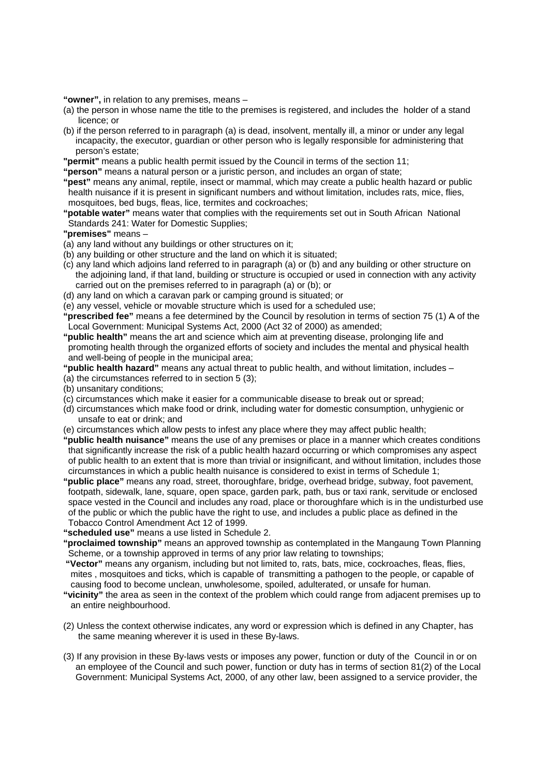**"owner",** in relation to any premises, means –

- (a) the person in whose name the title to the premises is registered, and includes the holder of a stand licence; or
- (b) if the person referred to in paragraph (a) is dead, insolvent, mentally ill, a minor or under any legal incapacity, the executor, guardian or other person who is legally responsible for administering that person's estate;
- **"permit"** means a public health permit issued by the Council in terms of the section 11;
- **"person"** means a natural person or a juristic person, and includes an organ of state;
- **"pest"** means any animal, reptile, insect or mammal, which may create a public health hazard or public health nuisance if it is present in significant numbers and without limitation, includes rats, mice, flies, mosquitoes, bed bugs, fleas, lice, termites and cockroaches;
- **"potable water"** means water that complies with the requirements set out in South African National Standards 241: Water for Domestic Supplies;

**"premises"** means –

- (a) any land without any buildings or other structures on it;
- (b) any building or other structure and the land on which it is situated;
- (c) any land which adjoins land referred to in paragraph (a) or (b) and any building or other structure on the adjoining land, if that land, building or structure is occupied or used in connection with any activity carried out on the premises referred to in paragraph (a) or (b); or
- (d) any land on which a caravan park or camping ground is situated; or
- (e) any vessel, vehicle or movable structure which is used for a scheduled use;
- **"prescribed fee"** means a fee determined by the Council by resolution in terms of section 75 (1) A of the Local Government: Municipal Systems Act, 2000 (Act 32 of 2000) as amended;
- **"public health"** means the art and science which aim at preventing disease, prolonging life and promoting health through the organized efforts of society and includes the mental and physical health and well-being of people in the municipal area;
- **"public health hazard"** means any actual threat to public health, and without limitation, includes –
- (a) the circumstances referred to in section 5 (3);
- (b) unsanitary conditions;
- (c) circumstances which make it easier for a communicable disease to break out or spread;
- (d) circumstances which make food or drink, including water for domestic consumption, unhygienic or unsafe to eat or drink; and
- (e) circumstances which allow pests to infest any place where they may affect public health;
- **"public health nuisance"** means the use of any premises or place in a manner which creates conditions that significantly increase the risk of a public health hazard occurring or which compromises any aspect of public health to an extent that is more than trivial or insignificant, and without limitation, includes those circumstances in which a public health nuisance is considered to exist in terms of Schedule 1;
- **"public place"** means any road, street, thoroughfare, bridge, overhead bridge, subway, foot pavement, footpath, sidewalk, lane, square, open space, garden park, path, bus or taxi rank, servitude or enclosed space vested in the Council and includes any road, place or thoroughfare which is in the undisturbed use of the public or which the public have the right to use, and includes a public place as defined in the Tobacco Control Amendment Act 12 of 1999.
- **"scheduled use"** means a use listed in Schedule 2.
- **"proclaimed township"** means an approved township as contemplated in the Mangaung Town Planning Scheme, or a township approved in terms of any prior law relating to townships;
- **"Vector"** means any organism, including but not limited to, rats, bats, mice, cockroaches, fleas, flies, mites , mosquitoes and ticks, which is capable of transmitting a pathogen to the people, or capable of causing food to become unclean, unwholesome, spoiled, adulterated, or unsafe for human.
- **"vicinity"** the area as seen in the context of the problem which could range from adjacent premises up to an entire neighbourhood.
- (2) Unless the context otherwise indicates, any word or expression which is defined in any Chapter, has the same meaning wherever it is used in these By-laws.
- (3) If any provision in these By-laws vests or imposes any power, function or duty of the Council in or on an employee of the Council and such power, function or duty has in terms of section 81(2) of the Local Government: Municipal Systems Act, 2000, of any other law, been assigned to a service provider, the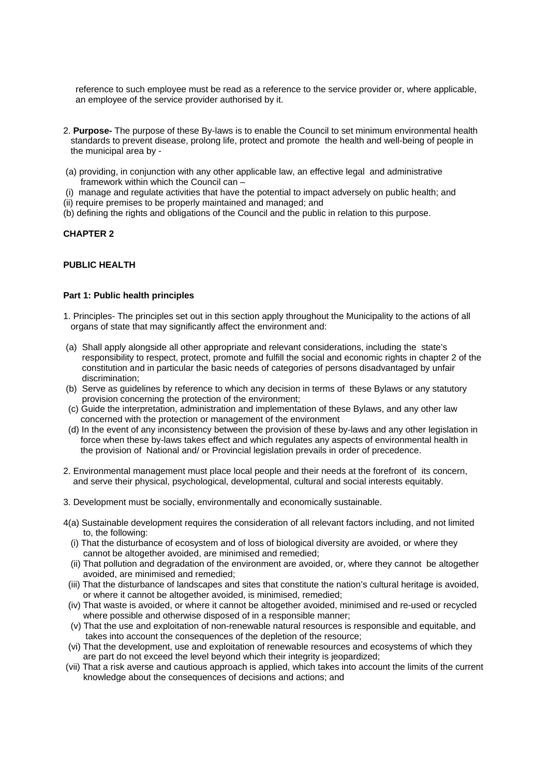reference to such employee must be read as a reference to the service provider or, where applicable, an employee of the service provider authorised by it.

- 2. **Purpose-** The purpose of these By-laws is to enable the Council to set minimum environmental health standards to prevent disease, prolong life, protect and promote the health and well-being of people in the municipal area by -
- (a) providing, in conjunction with any other applicable law, an effective legal and administrative framework within which the Council can –
- (i) manage and regulate activities that have the potential to impact adversely on public health; and (ii) require premises to be properly maintained and managed; and
- (b) defining the rights and obligations of the Council and the public in relation to this purpose.

# **CHAPTER 2**

# **PUBLIC HEALTH**

# **Part 1: Public health principles**

- 1. Principles- The principles set out in this section apply throughout the Municipality to the actions of all organs of state that may significantly affect the environment and:
- (a) Shall apply alongside all other appropriate and relevant considerations, including the state's responsibility to respect, protect, promote and fulfill the social and economic rights in chapter 2 of the constitution and in particular the basic needs of categories of persons disadvantaged by unfair discrimination;
- (b) Serve as guidelines by reference to which any decision in terms of these Bylaws or any statutory provision concerning the protection of the environment;
- (c) Guide the interpretation, administration and implementation of these Bylaws, and any other law concerned with the protection or management of the environment
- (d) In the event of any inconsistency between the provision of these by-laws and any other legislation in force when these by-laws takes effect and which regulates any aspects of environmental health in the provision of National and/ or Provincial legislation prevails in order of precedence.
- 2. Environmental management must place local people and their needs at the forefront of its concern, and serve their physical, psychological, developmental, cultural and social interests equitably.
- 3. Development must be socially, environmentally and economically sustainable.
- 4(a) Sustainable development requires the consideration of all relevant factors including, and not limited to, the following:
	- (i) That the disturbance of ecosystem and of loss of biological diversity are avoided, or where they cannot be altogether avoided, are minimised and remedied;
	- (ii) That pollution and degradation of the environment are avoided, or, where they cannot be altogether avoided, are minimised and remedied;
	- (iii) That the disturbance of landscapes and sites that constitute the nation's cultural heritage is avoided, or where it cannot be altogether avoided, is minimised, remedied;
	- (iv) That waste is avoided, or where it cannot be altogether avoided, minimised and re-used or recycled where possible and otherwise disposed of in a responsible manner;
	- (v) That the use and exploitation of non-renewable natural resources is responsible and equitable, and takes into account the consequences of the depletion of the resource;
	- (vi) That the development, use and exploitation of renewable resources and ecosystems of which they are part do not exceed the level beyond which their integrity is jeopardized;
- (vii) That a risk averse and cautious approach is applied, which takes into account the limits of the current knowledge about the consequences of decisions and actions; and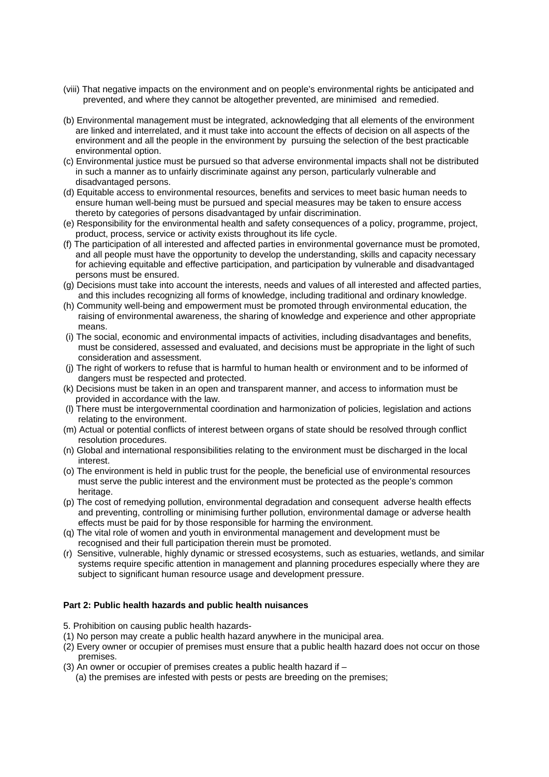- (viii) That negative impacts on the environment and on people's environmental rights be anticipated and prevented, and where they cannot be altogether prevented, are minimised and remedied.
- (b) Environmental management must be integrated, acknowledging that all elements of the environment are linked and interrelated, and it must take into account the effects of decision on all aspects of the environment and all the people in the environment by pursuing the selection of the best practicable environmental option.
- (c) Environmental justice must be pursued so that adverse environmental impacts shall not be distributed in such a manner as to unfairly discriminate against any person, particularly vulnerable and disadvantaged persons.
- (d) Equitable access to environmental resources, benefits and services to meet basic human needs to ensure human well-being must be pursued and special measures may be taken to ensure access thereto by categories of persons disadvantaged by unfair discrimination.
- (e) Responsibility for the environmental health and safety consequences of a policy, programme, project, product, process, service or activity exists throughout its life cycle.
- (f) The participation of all interested and affected parties in environmental governance must be promoted, and all people must have the opportunity to develop the understanding, skills and capacity necessary for achieving equitable and effective participation, and participation by vulnerable and disadvantaged persons must be ensured.
- (g) Decisions must take into account the interests, needs and values of all interested and affected parties, and this includes recognizing all forms of knowledge, including traditional and ordinary knowledge.
- (h) Community well-being and empowerment must be promoted through environmental education, the raising of environmental awareness, the sharing of knowledge and experience and other appropriate means.
- (i) The social, economic and environmental impacts of activities, including disadvantages and benefits, must be considered, assessed and evaluated, and decisions must be appropriate in the light of such consideration and assessment.
- (j) The right of workers to refuse that is harmful to human health or environment and to be informed of dangers must be respected and protected.
- (k) Decisions must be taken in an open and transparent manner, and access to information must be provided in accordance with the law.
- (l) There must be intergovernmental coordination and harmonization of policies, legislation and actions relating to the environment.
- (m) Actual or potential conflicts of interest between organs of state should be resolved through conflict resolution procedures.
- (n) Global and international responsibilities relating to the environment must be discharged in the local interest.
- (o) The environment is held in public trust for the people, the beneficial use of environmental resources must serve the public interest and the environment must be protected as the people's common heritage.
- (p) The cost of remedying pollution, environmental degradation and consequent adverse health effects and preventing, controlling or minimising further pollution, environmental damage or adverse health effects must be paid for by those responsible for harming the environment.
- (q) The vital role of women and youth in environmental management and development must be recognised and their full participation therein must be promoted.
- (r) Sensitive, vulnerable, highly dynamic or stressed ecosystems, such as estuaries, wetlands, and similar systems require specific attention in management and planning procedures especially where they are subject to significant human resource usage and development pressure.

# **Part 2: Public health hazards and public health nuisances**

5. Prohibition on causing public health hazards-

- (1) No person may create a public health hazard anywhere in the municipal area.
- (2) Every owner or occupier of premises must ensure that a public health hazard does not occur on those premises.
- (3) An owner or occupier of premises creates a public health hazard if
	- (a) the premises are infested with pests or pests are breeding on the premises;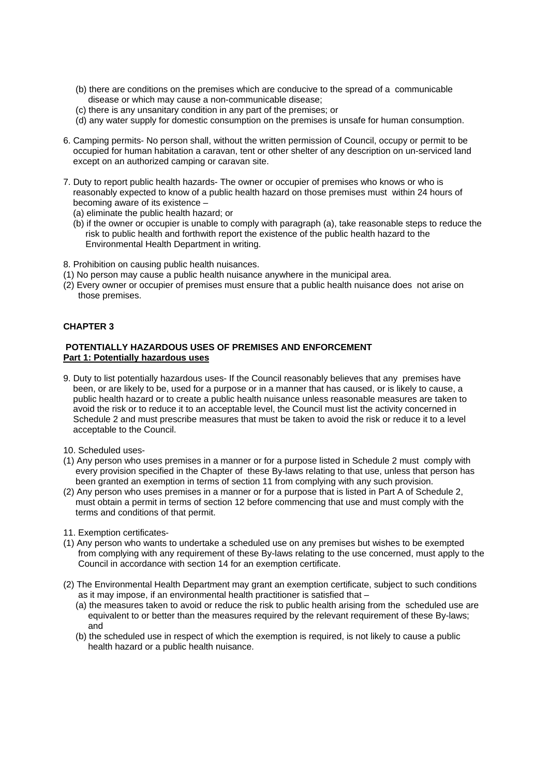- (b) there are conditions on the premises which are conducive to the spread of a communicable disease or which may cause a non-communicable disease;
- (c) there is any unsanitary condition in any part of the premises; or
- (d) any water supply for domestic consumption on the premises is unsafe for human consumption.
- 6. Camping permits- No person shall, without the written permission of Council, occupy or permit to be occupied for human habitation a caravan, tent or other shelter of any description on un-serviced land except on an authorized camping or caravan site.
- 7. Duty to report public health hazards- The owner or occupier of premises who knows or who is reasonably expected to know of a public health hazard on those premises must within 24 hours of becoming aware of its existence –
	- (a) eliminate the public health hazard; or
	- (b) if the owner or occupier is unable to comply with paragraph (a), take reasonable steps to reduce the risk to public health and forthwith report the existence of the public health hazard to the Environmental Health Department in writing.
- 8. Prohibition on causing public health nuisances.
- (1) No person may cause a public health nuisance anywhere in the municipal area.
- (2) Every owner or occupier of premises must ensure that a public health nuisance does not arise on those premises.

# **CHAPTER 3**

#### **POTENTIALLY HAZARDOUS USES OF PREMISES AND ENFORCEMENT Part 1: Potentially hazardous uses**

- 9. Duty to list potentially hazardous uses- If the Council reasonably believes that any premises have been, or are likely to be, used for a purpose or in a manner that has caused, or is likely to cause, a public health hazard or to create a public health nuisance unless reasonable measures are taken to avoid the risk or to reduce it to an acceptable level, the Council must list the activity concerned in Schedule 2 and must prescribe measures that must be taken to avoid the risk or reduce it to a level acceptable to the Council.
- 10. Scheduled uses-
- (1) Any person who uses premises in a manner or for a purpose listed in Schedule 2 must comply with every provision specified in the Chapter of these By-laws relating to that use, unless that person has been granted an exemption in terms of section 11 from complying with any such provision.
- (2) Any person who uses premises in a manner or for a purpose that is listed in Part A of Schedule 2, must obtain a permit in terms of section 12 before commencing that use and must comply with the terms and conditions of that permit.
- 11. Exemption certificates-
- (1) Any person who wants to undertake a scheduled use on any premises but wishes to be exempted from complying with any requirement of these By-laws relating to the use concerned, must apply to the Council in accordance with section 14 for an exemption certificate.
- (2) The Environmental Health Department may grant an exemption certificate, subject to such conditions as it may impose, if an environmental health practitioner is satisfied that –
	- (a) the measures taken to avoid or reduce the risk to public health arising from the scheduled use are equivalent to or better than the measures required by the relevant requirement of these By-laws; and
	- (b) the scheduled use in respect of which the exemption is required, is not likely to cause a public health hazard or a public health nuisance.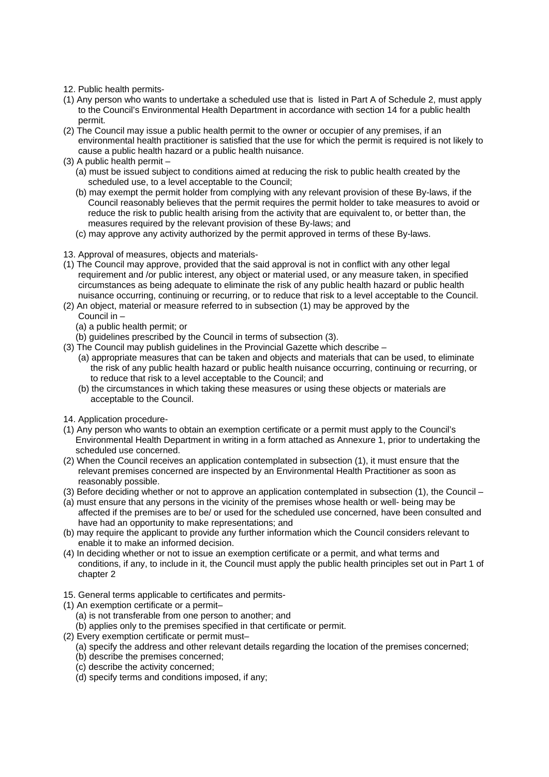- 12. Public health permits-
- (1) Any person who wants to undertake a scheduled use that is listed in Part A of Schedule 2, must apply to the Council's Environmental Health Department in accordance with section 14 for a public health permit.
- (2) The Council may issue a public health permit to the owner or occupier of any premises, if an environmental health practitioner is satisfied that the use for which the permit is required is not likely to cause a public health hazard or a public health nuisance.
- (3) A public health permit
	- (a) must be issued subject to conditions aimed at reducing the risk to public health created by the scheduled use, to a level acceptable to the Council;
	- (b) may exempt the permit holder from complying with any relevant provision of these By-laws, if the Council reasonably believes that the permit requires the permit holder to take measures to avoid or reduce the risk to public health arising from the activity that are equivalent to, or better than, the measures required by the relevant provision of these By-laws; and
	- (c) may approve any activity authorized by the permit approved in terms of these By-laws.
- 13. Approval of measures, objects and materials-
- (1) The Council may approve, provided that the said approval is not in conflict with any other legal requirement and /or public interest, any object or material used, or any measure taken, in specified circumstances as being adequate to eliminate the risk of any public health hazard or public health nuisance occurring, continuing or recurring, or to reduce that risk to a level acceptable to the Council.
- (2) An object, material or measure referred to in subsection (1) may be approved by the Council in –
	- (a) a public health permit; or
	- (b) guidelines prescribed by the Council in terms of subsection (3).
- (3) The Council may publish guidelines in the Provincial Gazette which describe
	- (a) appropriate measures that can be taken and objects and materials that can be used, to eliminate the risk of any public health hazard or public health nuisance occurring, continuing or recurring, or to reduce that risk to a level acceptable to the Council; and
	- (b) the circumstances in which taking these measures or using these objects or materials are acceptable to the Council.
- 14. Application procedure-
- (1) Any person who wants to obtain an exemption certificate or a permit must apply to the Council's Environmental Health Department in writing in a form attached as Annexure 1, prior to undertaking the scheduled use concerned.
- (2) When the Council receives an application contemplated in subsection (1), it must ensure that the relevant premises concerned are inspected by an Environmental Health Practitioner as soon as reasonably possible.
- (3) Before deciding whether or not to approve an application contemplated in subsection (1), the Council –
- (a) must ensure that any persons in the vicinity of the premises whose health or well- being may be affected if the premises are to be/ or used for the scheduled use concerned, have been consulted and have had an opportunity to make representations; and
- (b) may require the applicant to provide any further information which the Council considers relevant to enable it to make an informed decision.
- (4) In deciding whether or not to issue an exemption certificate or a permit, and what terms and conditions, if any, to include in it, the Council must apply the public health principles set out in Part 1 of chapter 2
- 15. General terms applicable to certificates and permits-
- (1) An exemption certificate or a permit–
	- (a) is not transferable from one person to another; and
	- (b) applies only to the premises specified in that certificate or permit.
- (2) Every exemption certificate or permit must–
	- (a) specify the address and other relevant details regarding the location of the premises concerned;
	- (b) describe the premises concerned;
	- (c) describe the activity concerned;
	- (d) specify terms and conditions imposed, if any;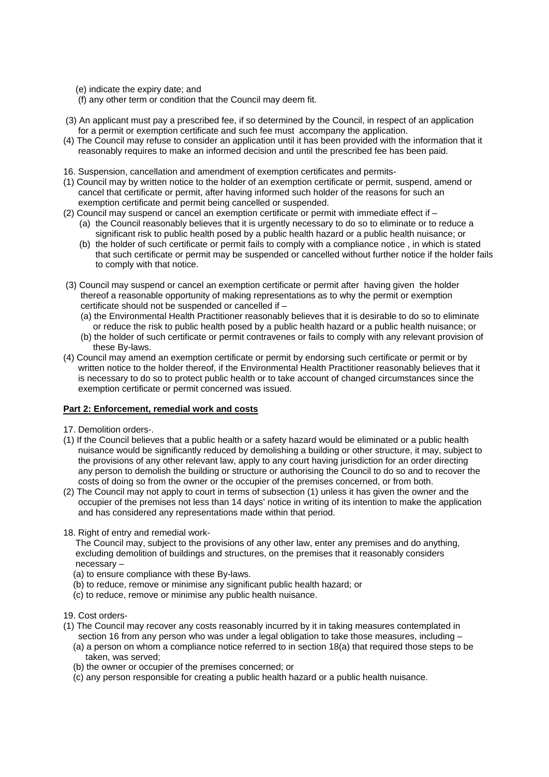(e) indicate the expiry date; and

- (f) any other term or condition that the Council may deem fit.
- (3) An applicant must pay a prescribed fee, if so determined by the Council, in respect of an application for a permit or exemption certificate and such fee must accompany the application.
- (4) The Council may refuse to consider an application until it has been provided with the information that it reasonably requires to make an informed decision and until the prescribed fee has been paid.
- 16. Suspension, cancellation and amendment of exemption certificates and permits-
- (1) Council may by written notice to the holder of an exemption certificate or permit, suspend, amend or cancel that certificate or permit, after having informed such holder of the reasons for such an exemption certificate and permit being cancelled or suspended.
- (2) Council may suspend or cancel an exemption certificate or permit with immediate effect if
	- (a) the Council reasonably believes that it is urgently necessary to do so to eliminate or to reduce a significant risk to public health posed by a public health hazard or a public health nuisance; or
	- (b) the holder of such certificate or permit fails to comply with a compliance notice , in which is stated that such certificate or permit may be suspended or cancelled without further notice if the holder fails to comply with that notice.
- (3) Council may suspend or cancel an exemption certificate or permit after having given the holder thereof a reasonable opportunity of making representations as to why the permit or exemption certificate should not be suspended or cancelled if –
	- (a) the Environmental Health Practitioner reasonably believes that it is desirable to do so to eliminate or reduce the risk to public health posed by a public health hazard or a public health nuisance; or
	- (b) the holder of such certificate or permit contravenes or fails to comply with any relevant provision of these By-laws.
- (4) Council may amend an exemption certificate or permit by endorsing such certificate or permit or by written notice to the holder thereof, if the Environmental Health Practitioner reasonably believes that it is necessary to do so to protect public health or to take account of changed circumstances since the exemption certificate or permit concerned was issued.

# **Part 2: Enforcement, remedial work and costs**

- 17. Demolition orders-.
- (1) If the Council believes that a public health or a safety hazard would be eliminated or a public health nuisance would be significantly reduced by demolishing a building or other structure, it may, subject to the provisions of any other relevant law, apply to any court having jurisdiction for an order directing any person to demolish the building or structure or authorising the Council to do so and to recover the costs of doing so from the owner or the occupier of the premises concerned, or from both.
- (2) The Council may not apply to court in terms of subsection (1) unless it has given the owner and the occupier of the premises not less than 14 days' notice in writing of its intention to make the application and has considered any representations made within that period.
- 18. Right of entry and remedial work-

 The Council may, subject to the provisions of any other law, enter any premises and do anything, excluding demolition of buildings and structures, on the premises that it reasonably considers necessary –

- (a) to ensure compliance with these By-laws.
- (b) to reduce, remove or minimise any significant public health hazard; or
- (c) to reduce, remove or minimise any public health nuisance.
- 19. Cost orders-
- (1) The Council may recover any costs reasonably incurred by it in taking measures contemplated in section 16 from any person who was under a legal obligation to take those measures, including -
	- (a) a person on whom a compliance notice referred to in section 18(a) that required those steps to be taken, was served;
	- (b) the owner or occupier of the premises concerned; or
	- (c) any person responsible for creating a public health hazard or a public health nuisance.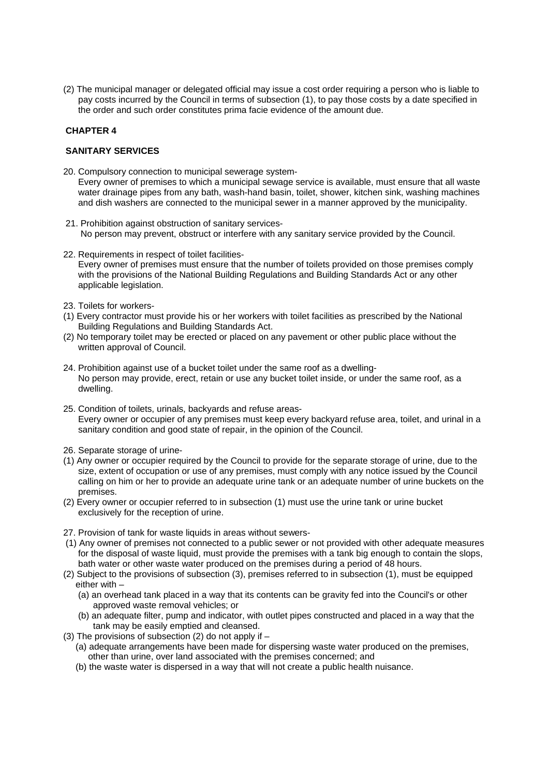(2) The municipal manager or delegated official may issue a cost order requiring a person who is liable to pay costs incurred by the Council in terms of subsection (1), to pay those costs by a date specified in the order and such order constitutes prima facie evidence of the amount due.

# **CHAPTER 4**

# **SANITARY SERVICES**

- 20. Compulsory connection to municipal sewerage system- Every owner of premises to which a municipal sewage service is available, must ensure that all waste water drainage pipes from any bath, wash-hand basin, toilet, shower, kitchen sink, washing machines and dish washers are connected to the municipal sewer in a manner approved by the municipality.
- 21. Prohibition against obstruction of sanitary services- No person may prevent, obstruct or interfere with any sanitary service provided by the Council.
- 22. Requirements in respect of toilet facilities-

 Every owner of premises must ensure that the number of toilets provided on those premises comply with the provisions of the National Building Regulations and Building Standards Act or any other applicable legislation.

- 23. Toilets for workers-
- (1) Every contractor must provide his or her workers with toilet facilities as prescribed by the National Building Regulations and Building Standards Act.
- (2) No temporary toilet may be erected or placed on any pavement or other public place without the written approval of Council.
- 24. Prohibition against use of a bucket toilet under the same roof as a dwelling- No person may provide, erect, retain or use any bucket toilet inside, or under the same roof, as a dwelling.
- 25. Condition of toilets, urinals, backyards and refuse areas- Every owner or occupier of any premises must keep every backyard refuse area, toilet, and urinal in a sanitary condition and good state of repair, in the opinion of the Council.
- 26. Separate storage of urine-
- (1) Any owner or occupier required by the Council to provide for the separate storage of urine, due to the size, extent of occupation or use of any premises, must comply with any notice issued by the Council calling on him or her to provide an adequate urine tank or an adequate number of urine buckets on the premises.
- (2) Every owner or occupier referred to in subsection (1) must use the urine tank or urine bucket exclusively for the reception of urine.
- 27. Provision of tank for waste liquids in areas without sewers-
- (1) Any owner of premises not connected to a public sewer or not provided with other adequate measures for the disposal of waste liquid, must provide the premises with a tank big enough to contain the slops, bath water or other waste water produced on the premises during a period of 48 hours.
- (2) Subject to the provisions of subsection (3), premises referred to in subsection (1), must be equipped either with –
	- (a) an overhead tank placed in a way that its contents can be gravity fed into the Council's or other approved waste removal vehicles; or
	- (b) an adequate filter, pump and indicator, with outlet pipes constructed and placed in a way that the tank may be easily emptied and cleansed.
- (3) The provisions of subsection (2) do not apply if
	- (a) adequate arrangements have been made for dispersing waste water produced on the premises, other than urine, over land associated with the premises concerned; and
	- (b) the waste water is dispersed in a way that will not create a public health nuisance.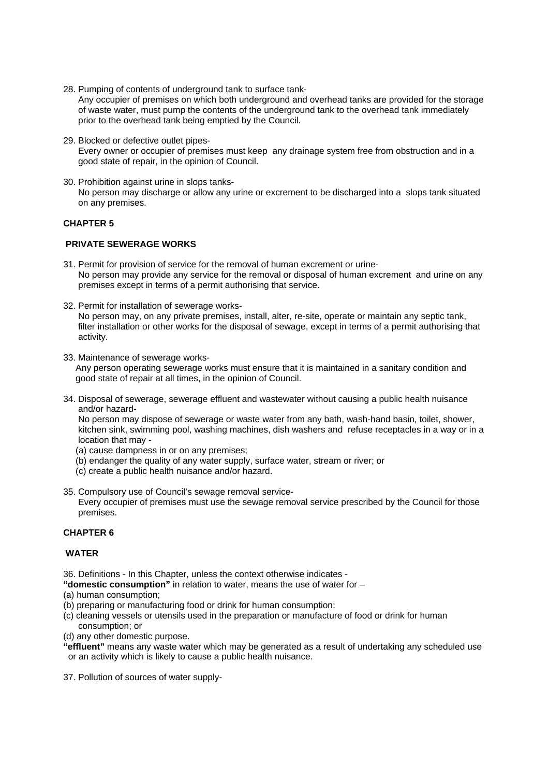28. Pumping of contents of underground tank to surface tank-

 Any occupier of premises on which both underground and overhead tanks are provided for the storage of waste water, must pump the contents of the underground tank to the overhead tank immediately prior to the overhead tank being emptied by the Council.

- 29. Blocked or defective outlet pipes- Every owner or occupier of premises must keep any drainage system free from obstruction and in a good state of repair, in the opinion of Council.
- 30. Prohibition against urine in slops tanks- No person may discharge or allow any urine or excrement to be discharged into a slops tank situated on any premises.

# **CHAPTER 5**

# **PRIVATE SEWERAGE WORKS**

- 31. Permit for provision of service for the removal of human excrement or urine- No person may provide any service for the removal or disposal of human excrement and urine on any premises except in terms of a permit authorising that service.
- 32. Permit for installation of sewerage works-

 No person may, on any private premises, install, alter, re-site, operate or maintain any septic tank, filter installation or other works for the disposal of sewage, except in terms of a permit authorising that activity.

33. Maintenance of sewerage works-

 Any person operating sewerage works must ensure that it is maintained in a sanitary condition and good state of repair at all times, in the opinion of Council.

34. Disposal of sewerage, sewerage effluent and wastewater without causing a public health nuisance and/or hazard-

 No person may dispose of sewerage or waste water from any bath, wash-hand basin, toilet, shower, kitchen sink, swimming pool, washing machines, dish washers and refuse receptacles in a way or in a location that may -

- (a) cause dampness in or on any premises;
- (b) endanger the quality of any water supply, surface water, stream or river; or
- (c) create a public health nuisance and/or hazard.
- 35. Compulsory use of Council's sewage removal service- Every occupier of premises must use the sewage removal service prescribed by the Council for those premises.

# **CHAPTER 6**

# **WATER**

36. Definitions - In this Chapter, unless the context otherwise indicates -

- **"domestic consumption"** in relation to water, means the use of water for –
- (a) human consumption;
- (b) preparing or manufacturing food or drink for human consumption;
- (c) cleaning vessels or utensils used in the preparation or manufacture of food or drink for human consumption; or
- (d) any other domestic purpose.

**"effluent"** means any waste water which may be generated as a result of undertaking any scheduled use or an activity which is likely to cause a public health nuisance.

37. Pollution of sources of water supply-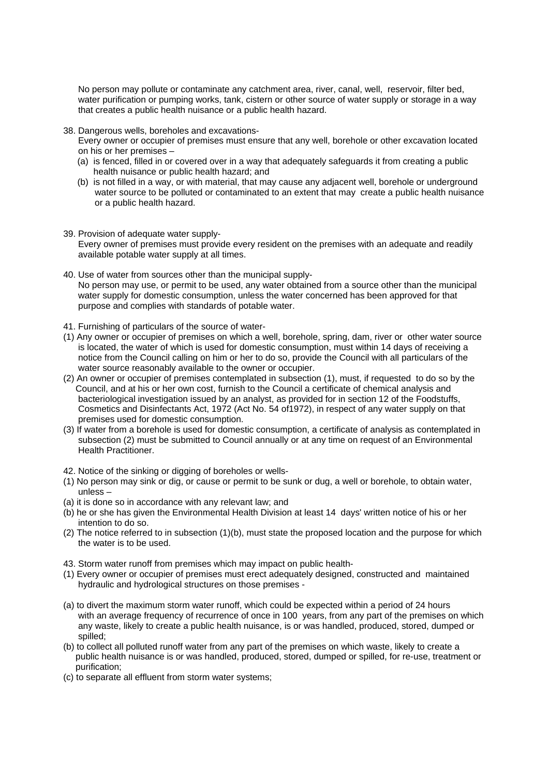No person may pollute or contaminate any catchment area, river, canal, well, reservoir, filter bed, water purification or pumping works, tank, cistern or other source of water supply or storage in a way that creates a public health nuisance or a public health hazard.

38. Dangerous wells, boreholes and excavations-

- Every owner or occupier of premises must ensure that any well, borehole or other excavation located on his or her premises –
- (a) is fenced, filled in or covered over in a way that adequately safeguards it from creating a public health nuisance or public health hazard; and
- (b) is not filled in a way, or with material, that may cause any adjacent well, borehole or underground water source to be polluted or contaminated to an extent that may create a public health nuisance or a public health hazard.
- 39. Provision of adequate water supply-

 Every owner of premises must provide every resident on the premises with an adequate and readily available potable water supply at all times.

- 40. Use of water from sources other than the municipal supply- No person may use, or permit to be used, any water obtained from a source other than the municipal water supply for domestic consumption, unless the water concerned has been approved for that purpose and complies with standards of potable water.
- 41. Furnishing of particulars of the source of water-
- (1) Any owner or occupier of premises on which a well, borehole, spring, dam, river or other water source is located, the water of which is used for domestic consumption, must within 14 days of receiving a notice from the Council calling on him or her to do so, provide the Council with all particulars of the water source reasonably available to the owner or occupier.
- (2) An owner or occupier of premises contemplated in subsection (1), must, if requested to do so by the Council, and at his or her own cost, furnish to the Council a certificate of chemical analysis and bacteriological investigation issued by an analyst, as provided for in section 12 of the Foodstuffs, Cosmetics and Disinfectants Act, 1972 (Act No. 54 of1972), in respect of any water supply on that premises used for domestic consumption.
- (3) If water from a borehole is used for domestic consumption, a certificate of analysis as contemplated in subsection (2) must be submitted to Council annually or at any time on request of an Environmental Health Practitioner.
- 42. Notice of the sinking or digging of boreholes or wells-
- (1) No person may sink or dig, or cause or permit to be sunk or dug, a well or borehole, to obtain water, unless –
- (a) it is done so in accordance with any relevant law; and
- (b) he or she has given the Environmental Health Division at least 14 days' written notice of his or her intention to do so.
- (2) The notice referred to in subsection (1)(b), must state the proposed location and the purpose for which the water is to be used.
- 43. Storm water runoff from premises which may impact on public health-
- (1) Every owner or occupier of premises must erect adequately designed, constructed and maintained hydraulic and hydrological structures on those premises -
- (a) to divert the maximum storm water runoff, which could be expected within a period of 24 hours with an average frequency of recurrence of once in 100 years, from any part of the premises on which any waste, likely to create a public health nuisance, is or was handled, produced, stored, dumped or spilled;
- (b) to collect all polluted runoff water from any part of the premises on which waste, likely to create a public health nuisance is or was handled, produced, stored, dumped or spilled, for re-use, treatment or purification;
- (c) to separate all effluent from storm water systems;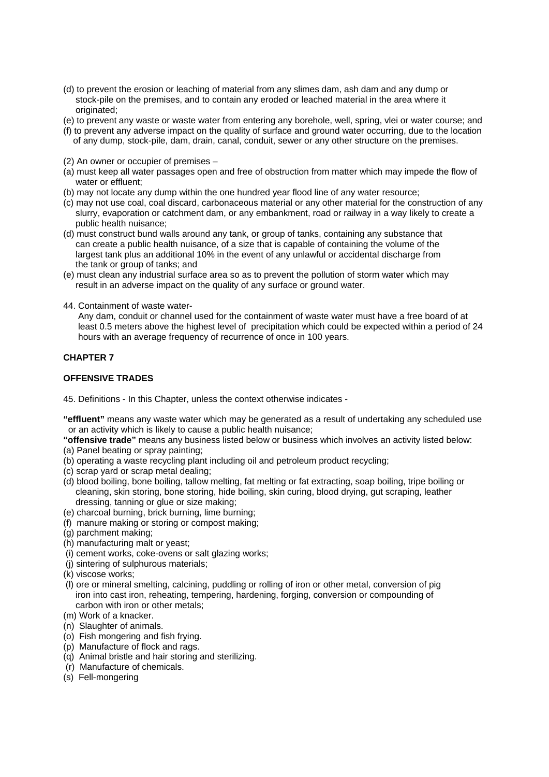- (d) to prevent the erosion or leaching of material from any slimes dam, ash dam and any dump or stock-pile on the premises, and to contain any eroded or leached material in the area where it originated;
- (e) to prevent any waste or waste water from entering any borehole, well, spring, vlei or water course; and
- (f) to prevent any adverse impact on the quality of surface and ground water occurring, due to the location of any dump, stock-pile, dam, drain, canal, conduit, sewer or any other structure on the premises.
- (2) An owner or occupier of premises –
- (a) must keep all water passages open and free of obstruction from matter which may impede the flow of water or effluent;
- (b) may not locate any dump within the one hundred year flood line of any water resource;
- (c) may not use coal, coal discard, carbonaceous material or any other material for the construction of any slurry, evaporation or catchment dam, or any embankment, road or railway in a way likely to create a public health nuisance;
- (d) must construct bund walls around any tank, or group of tanks, containing any substance that can create a public health nuisance, of a size that is capable of containing the volume of the largest tank plus an additional 10% in the event of any unlawful or accidental discharge from the tank or group of tanks; and
- (e) must clean any industrial surface area so as to prevent the pollution of storm water which may result in an adverse impact on the quality of any surface or ground water.
- 44. Containment of waste water-

 Any dam, conduit or channel used for the containment of waste water must have a free board of at least 0.5 meters above the highest level of precipitation which could be expected within a period of 24 hours with an average frequency of recurrence of once in 100 years.

# **CHAPTER 7**

# **OFFENSIVE TRADES**

45. Definitions - In this Chapter, unless the context otherwise indicates -

**"effluent"** means any waste water which may be generated as a result of undertaking any scheduled use or an activity which is likely to cause a public health nuisance;

**"offensive trade"** means any business listed below or business which involves an activity listed below: (a) Panel beating or spray painting;

- (b) operating a waste recycling plant including oil and petroleum product recycling;
- (c) scrap yard or scrap metal dealing;
- (d) blood boiling, bone boiling, tallow melting, fat melting or fat extracting, soap boiling, tripe boiling or cleaning, skin storing, bone storing, hide boiling, skin curing, blood drying, gut scraping, leather dressing, tanning or glue or size making;
- (e) charcoal burning, brick burning, lime burning;
- (f) manure making or storing or compost making;
- (g) parchment making;
- (h) manufacturing malt or yeast;
- (i) cement works, coke-ovens or salt glazing works;
- (j) sintering of sulphurous materials;
- (k) viscose works;
- (l) ore or mineral smelting, calcining, puddling or rolling of iron or other metal, conversion of pig iron into cast iron, reheating, tempering, hardening, forging, conversion or compounding of carbon with iron or other metals;
- (m) Work of a knacker.
- (n) Slaughter of animals.
- (o) Fish mongering and fish frying.
- (p) Manufacture of flock and rags.
- (q) Animal bristle and hair storing and sterilizing.
- (r) Manufacture of chemicals.
- (s) Fell-mongering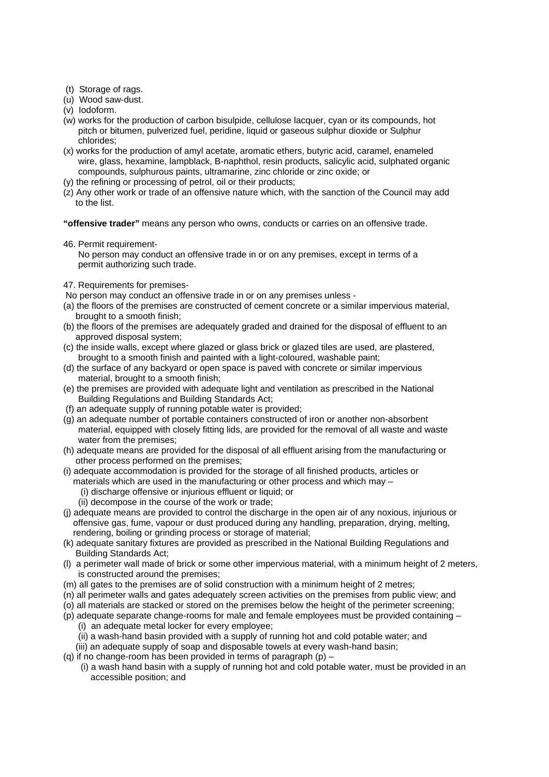- (t) Storage of rags.
- (u) Wood saw-dust.
- (v) Iodoform.
- (w) works for the production of carbon bisulpide, cellulose lacquer, cyan or its compounds, hot pitch or bitumen, pulverized fuel, peridine, liquid or gaseous sulphur dioxide or Sulphur chlorides;
- (x) works for the production of amyl acetate, aromatic ethers, butyric acid, caramel, enameled wire, glass, hexamine, lampblack, B-naphthol, resin products, salicylic acid, sulphated organic compounds, sulphurous paints, ultramarine, zinc chloride or zinc oxide; or
- (y) the refining or processing of petrol, oil or their products;
- (z) Any other work or trade of an offensive nature which, with the sanction of the Council may add to the list.

**"offensive trader"** means any person who owns, conducts or carries on an offensive trade.

46. Permit requirement-

 No person may conduct an offensive trade in or on any premises, except in terms of a permit authorizing such trade.

47. Requirements for premises-

No person may conduct an offensive trade in or on any premises unless -

- (a) the floors of the premises are constructed of cement concrete or a similar impervious material, brought to a smooth finish;
- (b) the floors of the premises are adequately graded and drained for the disposal of effluent to an approved disposal system;
- (c) the inside walls, except where glazed or glass brick or glazed tiles are used, are plastered, brought to a smooth finish and painted with a light-coloured, washable paint;
- (d) the surface of any backyard or open space is paved with concrete or similar impervious material, brought to a smooth finish;
- (e) the premises are provided with adequate light and ventilation as prescribed in the National Building Regulations and Building Standards Act;
- (f) an adequate supply of running potable water is provided;
- (g) an adequate number of portable containers constructed of iron or another non-absorbent material, equipped with closely fitting lids, are provided for the removal of all waste and waste water from the premises;
- (h) adequate means are provided for the disposal of all effluent arising from the manufacturing or other process performed on the premises;
- (i) adequate accommodation is provided for the storage of all finished products, articles or materials which are used in the manufacturing or other process and which may –
	- (i) discharge offensive or injurious effluent or liquid; or
	- (ii) decompose in the course of the work or trade;
- (j) adequate means are provided to control the discharge in the open air of any noxious, injurious or offensive gas, fume, vapour or dust produced during any handling, preparation, drying, melting, rendering, boiling or grinding process or storage of material;
- (k) adequate sanitary fixtures are provided as prescribed in the National Building Regulations and Building Standards Act;
- (l) a perimeter wall made of brick or some other impervious material, with a minimum height of 2 meters, is constructed around the premises;
- (m) all gates to the premises are of solid construction with a minimum height of 2 metres;
- (n) all perimeter walls and gates adequately screen activities on the premises from public view; and
- (o) all materials are stacked or stored on the premises below the height of the perimeter screening;
- (p) adequate separate change-rooms for male and female employees must be provided containing (i) an adequate metal locker for every employee;
	- (ii) a wash-hand basin provided with a supply of running hot and cold potable water; and
- (iii) an adequate supply of soap and disposable towels at every wash-hand basin;
- (q) if no change-room has been provided in terms of paragraph  $(p)$ 
	- (i) a wash hand basin with a supply of running hot and cold potable water, must be provided in an accessible position; and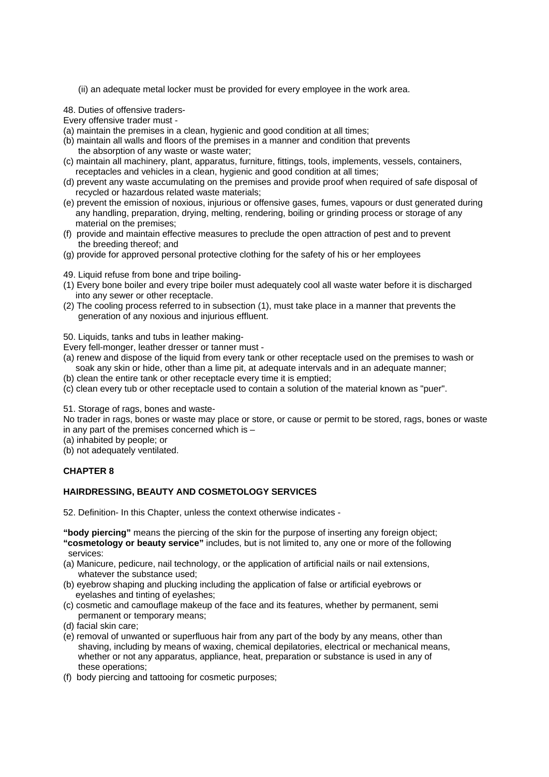(ii) an adequate metal locker must be provided for every employee in the work area.

48. Duties of offensive traders-

Every offensive trader must -

- (a) maintain the premises in a clean, hygienic and good condition at all times;
- (b) maintain all walls and floors of the premises in a manner and condition that prevents the absorption of any waste or waste water;
- (c) maintain all machinery, plant, apparatus, furniture, fittings, tools, implements, vessels, containers, receptacles and vehicles in a clean, hygienic and good condition at all times;
- (d) prevent any waste accumulating on the premises and provide proof when required of safe disposal of recycled or hazardous related waste materials;
- (e) prevent the emission of noxious, injurious or offensive gases, fumes, vapours or dust generated during any handling, preparation, drying, melting, rendering, boiling or grinding process or storage of any material on the premises;
- (f) provide and maintain effective measures to preclude the open attraction of pest and to prevent the breeding thereof; and
- (g) provide for approved personal protective clothing for the safety of his or her employees
- 49. Liquid refuse from bone and tripe boiling-
- (1) Every bone boiler and every tripe boiler must adequately cool all waste water before it is discharged into any sewer or other receptacle.
- (2) The cooling process referred to in subsection (1), must take place in a manner that prevents the generation of any noxious and injurious effluent.

50. Liquids, tanks and tubs in leather making-

Every fell-monger, leather dresser or tanner must -

- (a) renew and dispose of the liquid from every tank or other receptacle used on the premises to wash or soak any skin or hide, other than a lime pit, at adequate intervals and in an adequate manner;
- (b) clean the entire tank or other receptacle every time it is emptied;
- (c) clean every tub or other receptacle used to contain a solution of the material known as "puer".

51. Storage of rags, bones and waste-

No trader in rags, bones or waste may place or store, or cause or permit to be stored, rags, bones or waste in any part of the premises concerned which is –

- (a) inhabited by people; or
- (b) not adequately ventilated.

# **CHAPTER 8**

# **HAIRDRESSING, BEAUTY AND COSMETOLOGY SERVICES**

52. Definition- In this Chapter, unless the context otherwise indicates -

**"body piercing"** means the piercing of the skin for the purpose of inserting any foreign object;

- **"cosmetology or beauty service"** includes, but is not limited to, any one or more of the following services:
- (a) Manicure, pedicure, nail technology, or the application of artificial nails or nail extensions, whatever the substance used;
- (b) eyebrow shaping and plucking including the application of false or artificial eyebrows or eyelashes and tinting of eyelashes;
- (c) cosmetic and camouflage makeup of the face and its features, whether by permanent, semi permanent or temporary means;
- (d) facial skin care;
- (e) removal of unwanted or superfluous hair from any part of the body by any means, other than shaving, including by means of waxing, chemical depilatories, electrical or mechanical means, whether or not any apparatus, appliance, heat, preparation or substance is used in any of these operations;
- (f) body piercing and tattooing for cosmetic purposes;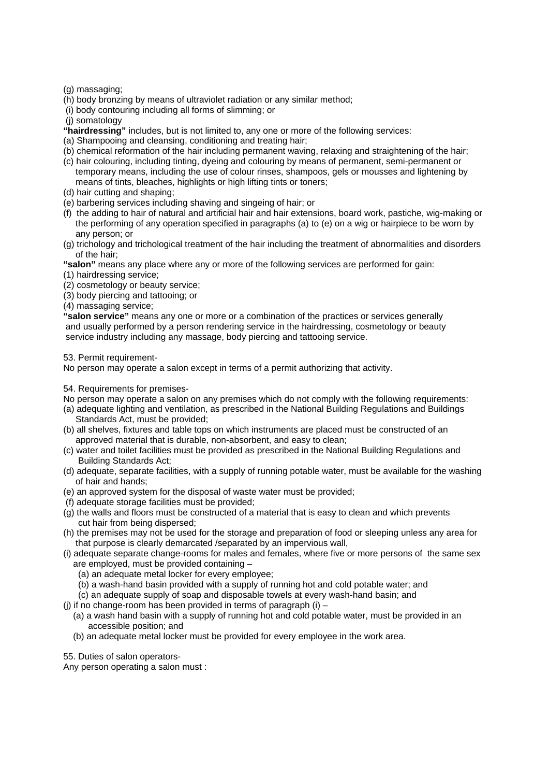(g) massaging;

- (h) body bronzing by means of ultraviolet radiation or any similar method;
- (i) body contouring including all forms of slimming; or
- (j) somatology

**"hairdressing"** includes, but is not limited to, any one or more of the following services:

- (a) Shampooing and cleansing, conditioning and treating hair;
- (b) chemical reformation of the hair including permanent waving, relaxing and straightening of the hair;
- (c) hair colouring, including tinting, dyeing and colouring by means of permanent, semi-permanent or temporary means, including the use of colour rinses, shampoos, gels or mousses and lightening by means of tints, bleaches, highlights or high lifting tints or toners;
- (d) hair cutting and shaping;
- (e) barbering services including shaving and singeing of hair; or
- (f) the adding to hair of natural and artificial hair and hair extensions, board work, pastiche, wig-making or the performing of any operation specified in paragraphs (a) to (e) on a wig or hairpiece to be worn by any person; or
- (g) trichology and trichological treatment of the hair including the treatment of abnormalities and disorders of the hair;

**"salon"** means any place where any or more of the following services are performed for gain:

- (1) hairdressing service;
- (2) cosmetology or beauty service;
- (3) body piercing and tattooing; or
- (4) massaging service;

**"salon service"** means any one or more or a combination of the practices or services generally and usually performed by a person rendering service in the hairdressing, cosmetology or beauty service industry including any massage, body piercing and tattooing service.

53. Permit requirement-

No person may operate a salon except in terms of a permit authorizing that activity.

54. Requirements for premises-

- No person may operate a salon on any premises which do not comply with the following requirements:
- (a) adequate lighting and ventilation, as prescribed in the National Building Regulations and Buildings Standards Act, must be provided;
- (b) all shelves, fixtures and table tops on which instruments are placed must be constructed of an approved material that is durable, non-absorbent, and easy to clean;
- (c) water and toilet facilities must be provided as prescribed in the National Building Regulations and Building Standards Act;
- (d) adequate, separate facilities, with a supply of running potable water, must be available for the washing of hair and hands;
- (e) an approved system for the disposal of waste water must be provided;
- (f) adequate storage facilities must be provided;
- (g) the walls and floors must be constructed of a material that is easy to clean and which prevents cut hair from being dispersed;
- (h) the premises may not be used for the storage and preparation of food or sleeping unless any area for that purpose is clearly demarcated /separated by an impervious wall,
- (i) adequate separate change-rooms for males and females, where five or more persons of the same sex are employed, must be provided containing –
	- (a) an adequate metal locker for every employee;
	- (b) a wash-hand basin provided with a supply of running hot and cold potable water; and
	- (c) an adequate supply of soap and disposable towels at every wash-hand basin; and
- (i) if no change-room has been provided in terms of paragraph  $(i)$ 
	- (a) a wash hand basin with a supply of running hot and cold potable water, must be provided in an accessible position; and
	- (b) an adequate metal locker must be provided for every employee in the work area.

55. Duties of salon operators-

Any person operating a salon must :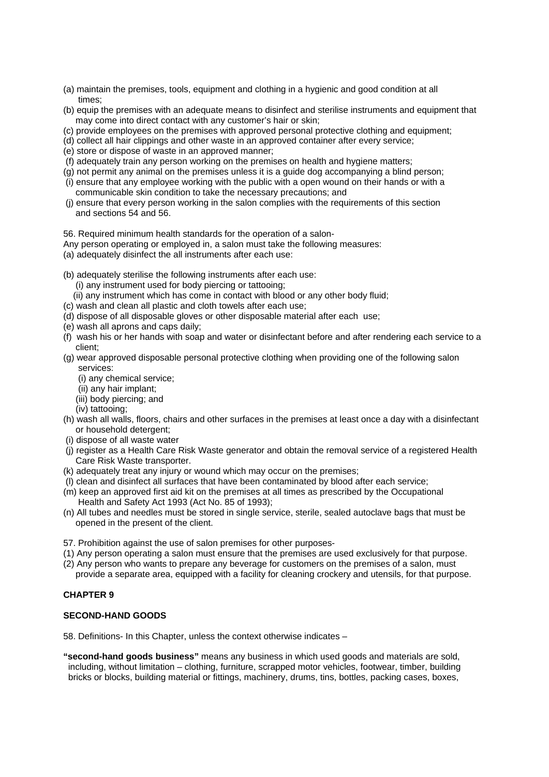- (a) maintain the premises, tools, equipment and clothing in a hygienic and good condition at all times;
- (b) equip the premises with an adequate means to disinfect and sterilise instruments and equipment that may come into direct contact with any customer's hair or skin;
- (c) provide employees on the premises with approved personal protective clothing and equipment;
- (d) collect all hair clippings and other waste in an approved container after every service;
- (e) store or dispose of waste in an approved manner;
- (f) adequately train any person working on the premises on health and hygiene matters;
- (g) not permit any animal on the premises unless it is a guide dog accompanying a blind person; (i) ensure that any employee working with the public with a open wound on their hands or with a
- communicable skin condition to take the necessary precautions; and
- (j) ensure that every person working in the salon complies with the requirements of this section and sections 54 and 56.
- 56. Required minimum health standards for the operation of a salon-
- Any person operating or employed in, a salon must take the following measures: (a) adequately disinfect the all instruments after each use:
- (b) adequately sterilise the following instruments after each use:
	- (i) any instrument used for body piercing or tattooing;
	- (ii) any instrument which has come in contact with blood or any other body fluid;
- (c) wash and clean all plastic and cloth towels after each use;
- (d) dispose of all disposable gloves or other disposable material after each use;
- (e) wash all aprons and caps daily;
- (f) wash his or her hands with soap and water or disinfectant before and after rendering each service to a client;
- (g) wear approved disposable personal protective clothing when providing one of the following salon services:
	- (i) any chemical service;
	- (ii) any hair implant;
	- (iii) body piercing; and
	- (iv) tattooing;
- (h) wash all walls, floors, chairs and other surfaces in the premises at least once a day with a disinfectant or household detergent;
- (i) dispose of all waste water
- (j) register as a Health Care Risk Waste generator and obtain the removal service of a registered Health Care Risk Waste transporter.
- (k) adequately treat any injury or wound which may occur on the premises;
- (l) clean and disinfect all surfaces that have been contaminated by blood after each service;
- (m) keep an approved first aid kit on the premises at all times as prescribed by the Occupational Health and Safety Act 1993 (Act No. 85 of 1993);
- (n) All tubes and needles must be stored in single service, sterile, sealed autoclave bags that must be opened in the present of the client.
- 57. Prohibition against the use of salon premises for other purposes-
- (1) Any person operating a salon must ensure that the premises are used exclusively for that purpose.
- (2) Any person who wants to prepare any beverage for customers on the premises of a salon, must provide a separate area, equipped with a facility for cleaning crockery and utensils, for that purpose.

# **CHAPTER 9**

# **SECOND-HAND GOODS**

58. Definitions- In this Chapter, unless the context otherwise indicates –

**"second-hand goods business"** means any business in which used goods and materials are sold, including, without limitation – clothing, furniture, scrapped motor vehicles, footwear, timber, building bricks or blocks, building material or fittings, machinery, drums, tins, bottles, packing cases, boxes,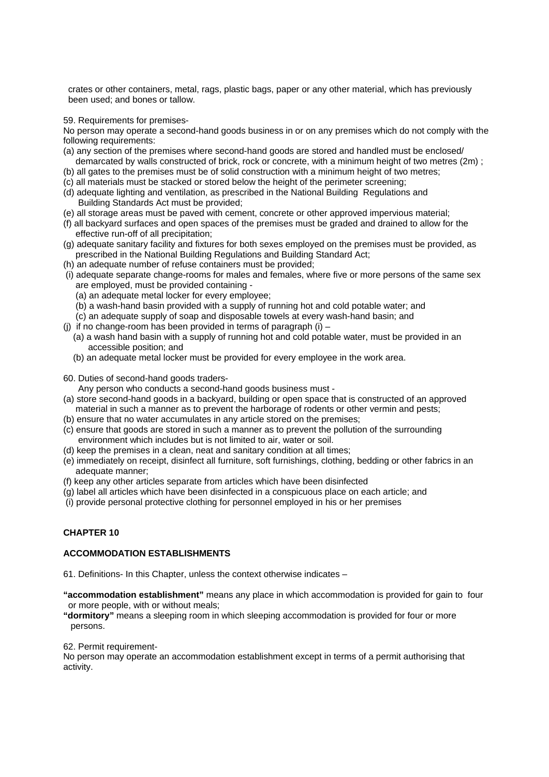crates or other containers, metal, rags, plastic bags, paper or any other material, which has previously been used; and bones or tallow.

#### 59. Requirements for premises-

No person may operate a second-hand goods business in or on any premises which do not comply with the following requirements:

- (a) any section of the premises where second-hand goods are stored and handled must be enclosed/
- demarcated by walls constructed of brick, rock or concrete, with a minimum height of two metres (2m) ;
- (b) all gates to the premises must be of solid construction with a minimum height of two metres; (c) all materials must be stacked or stored below the height of the perimeter screening;
- (d) adequate lighting and ventilation, as prescribed in the National Building Regulations and
- Building Standards Act must be provided; (e) all storage areas must be paved with cement, concrete or other approved impervious material;
- (f) all backyard surfaces and open spaces of the premises must be graded and drained to allow for the effective run-off of all precipitation;
- (g) adequate sanitary facility and fixtures for both sexes employed on the premises must be provided, as prescribed in the National Building Regulations and Building Standard Act;
- (h) an adequate number of refuse containers must be provided;
- (i) adequate separate change-rooms for males and females, where five or more persons of the same sex are employed, must be provided containing -
	- (a) an adequate metal locker for every employee;
	- (b) a wash-hand basin provided with a supply of running hot and cold potable water; and
	- (c) an adequate supply of soap and disposable towels at every wash-hand basin; and
- (i) if no change-room has been provided in terms of paragraph (i)  $-$
- (a) a wash hand basin with a supply of running hot and cold potable water, must be provided in an accessible position; and
- (b) an adequate metal locker must be provided for every employee in the work area.
- 60. Duties of second-hand goods traders-
	- Any person who conducts a second-hand goods business must -
- (a) store second-hand goods in a backyard, building or open space that is constructed of an approved material in such a manner as to prevent the harborage of rodents or other vermin and pests;
- (b) ensure that no water accumulates in any article stored on the premises;
- (c) ensure that goods are stored in such a manner as to prevent the pollution of the surrounding environment which includes but is not limited to air, water or soil.
- (d) keep the premises in a clean, neat and sanitary condition at all times;
- (e) immediately on receipt, disinfect all furniture, soft furnishings, clothing, bedding or other fabrics in an adequate manner;
- (f) keep any other articles separate from articles which have been disinfected
- (g) label all articles which have been disinfected in a conspicuous place on each article; and
- (i) provide personal protective clothing for personnel employed in his or her premises

# **CHAPTER 10**

# **ACCOMMODATION ESTABLISHMENTS**

- 61. Definitions- In this Chapter, unless the context otherwise indicates –
- **"accommodation establishment"** means any place in which accommodation is provided for gain to four or more people, with or without meals;
- **"dormitory"** means a sleeping room in which sleeping accommodation is provided for four or more persons.

#### 62. Permit requirement-

No person may operate an accommodation establishment except in terms of a permit authorising that activity.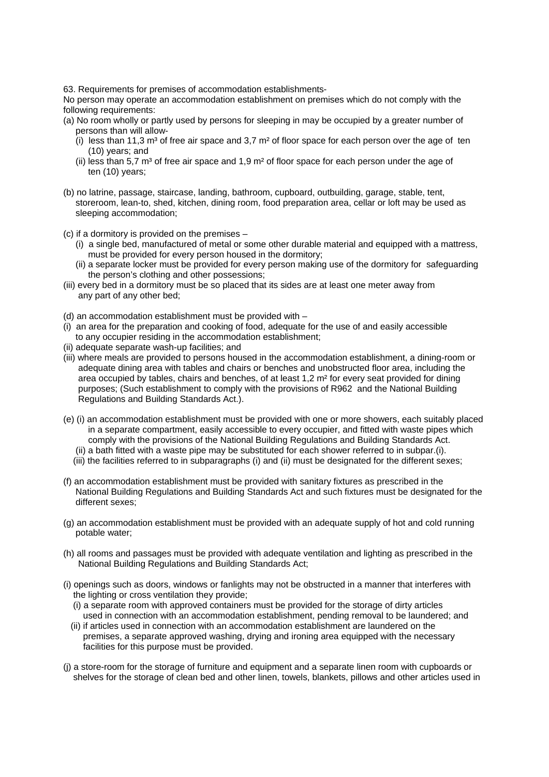63. Requirements for premises of accommodation establishments-

No person may operate an accommodation establishment on premises which do not comply with the following requirements:

- (a) No room wholly or partly used by persons for sleeping in may be occupied by a greater number of persons than will allow-
	- (i) less than 11,3  $m<sup>3</sup>$  of free air space and 3,7  $m<sup>2</sup>$  of floor space for each person over the age of ten (10) years; and
	- (ii) less than 5,7  $m<sup>3</sup>$  of free air space and 1,9  $m<sup>2</sup>$  of floor space for each person under the age of ten (10) years;
- (b) no latrine, passage, staircase, landing, bathroom, cupboard, outbuilding, garage, stable, tent, storeroom, lean-to, shed, kitchen, dining room, food preparation area, cellar or loft may be used as sleeping accommodation;

(c) if a dormitory is provided on the premises –

- (i) a single bed, manufactured of metal or some other durable material and equipped with a mattress, must be provided for every person housed in the dormitory;
- (ii) a separate locker must be provided for every person making use of the dormitory for safeguarding the person's clothing and other possessions;
- (iii) every bed in a dormitory must be so placed that its sides are at least one meter away from any part of any other bed;
- (d) an accommodation establishment must be provided with –
- (i) an area for the preparation and cooking of food, adequate for the use of and easily accessible to any occupier residing in the accommodation establishment;
- (ii) adequate separate wash-up facilities; and
- (iii) where meals are provided to persons housed in the accommodation establishment, a dining-room or adequate dining area with tables and chairs or benches and unobstructed floor area, including the area occupied by tables, chairs and benches, of at least 1,2 m<sup>2</sup> for every seat provided for dining purposes; (Such establishment to comply with the provisions of R962 and the National Building Regulations and Building Standards Act.).
- (e) (i) an accommodation establishment must be provided with one or more showers, each suitably placed in a separate compartment, easily accessible to every occupier, and fitted with waste pipes which comply with the provisions of the National Building Regulations and Building Standards Act.
	- (ii) a bath fitted with a waste pipe may be substituted for each shower referred to in subpar.(i).
	- (iii) the facilities referred to in subparagraphs (i) and (ii) must be designated for the different sexes;
- (f) an accommodation establishment must be provided with sanitary fixtures as prescribed in the National Building Regulations and Building Standards Act and such fixtures must be designated for the different sexes;
- (g) an accommodation establishment must be provided with an adequate supply of hot and cold running potable water;
- (h) all rooms and passages must be provided with adequate ventilation and lighting as prescribed in the National Building Regulations and Building Standards Act;
- (i) openings such as doors, windows or fanlights may not be obstructed in a manner that interferes with the lighting or cross ventilation they provide;
	- (i) a separate room with approved containers must be provided for the storage of dirty articles used in connection with an accommodation establishment, pending removal to be laundered; and
	- (ii) if articles used in connection with an accommodation establishment are laundered on the premises, a separate approved washing, drying and ironing area equipped with the necessary facilities for this purpose must be provided.
- (j) a store-room for the storage of furniture and equipment and a separate linen room with cupboards or shelves for the storage of clean bed and other linen, towels, blankets, pillows and other articles used in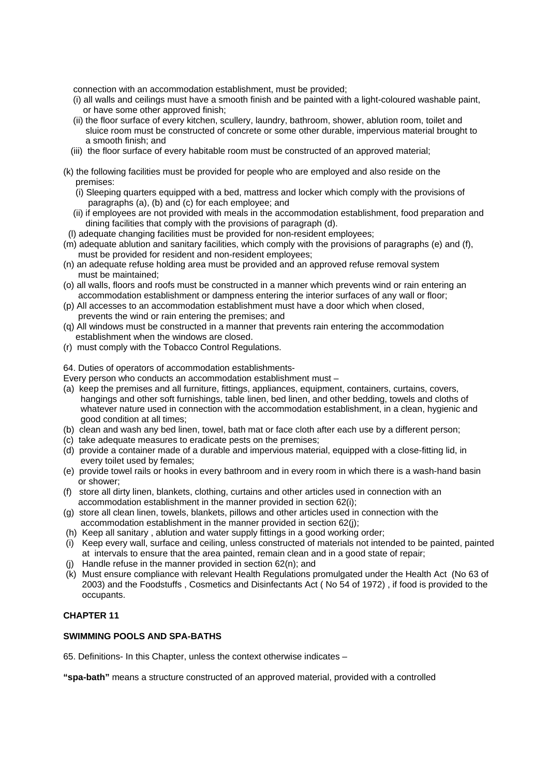connection with an accommodation establishment, must be provided;

- (i) all walls and ceilings must have a smooth finish and be painted with a light-coloured washable paint, or have some other approved finish;
- (ii) the floor surface of every kitchen, scullery, laundry, bathroom, shower, ablution room, toilet and sluice room must be constructed of concrete or some other durable, impervious material brought to a smooth finish; and
- (iii) the floor surface of every habitable room must be constructed of an approved material;
- (k) the following facilities must be provided for people who are employed and also reside on the premises:
	- (i) Sleeping quarters equipped with a bed, mattress and locker which comply with the provisions of paragraphs (a), (b) and (c) for each employee; and
	- (ii) if employees are not provided with meals in the accommodation establishment, food preparation and dining facilities that comply with the provisions of paragraph (d).
- (l) adequate changing facilities must be provided for non-resident employees;
- (m) adequate ablution and sanitary facilities, which comply with the provisions of paragraphs (e) and (f), must be provided for resident and non-resident employees;
- (n) an adequate refuse holding area must be provided and an approved refuse removal system must be maintained;
- (o) all walls, floors and roofs must be constructed in a manner which prevents wind or rain entering an accommodation establishment or dampness entering the interior surfaces of any wall or floor;
- (p) All accesses to an accommodation establishment must have a door which when closed, prevents the wind or rain entering the premises; and
- (q) All windows must be constructed in a manner that prevents rain entering the accommodation establishment when the windows are closed.
- (r) must comply with the Tobacco Control Regulations.

64. Duties of operators of accommodation establishments-

Every person who conducts an accommodation establishment must –

- (a) keep the premises and all furniture, fittings, appliances, equipment, containers, curtains, covers, hangings and other soft furnishings, table linen, bed linen, and other bedding, towels and cloths of whatever nature used in connection with the accommodation establishment, in a clean, hygienic and good condition at all times;
- (b) clean and wash any bed linen, towel, bath mat or face cloth after each use by a different person;
- (c) take adequate measures to eradicate pests on the premises;
- (d) provide a container made of a durable and impervious material, equipped with a close-fitting lid, in every toilet used by females;
- (e) provide towel rails or hooks in every bathroom and in every room in which there is a wash-hand basin or shower;
- (f) store all dirty linen, blankets, clothing, curtains and other articles used in connection with an accommodation establishment in the manner provided in section 62(i);
- (g) store all clean linen, towels, blankets, pillows and other articles used in connection with the accommodation establishment in the manner provided in section 62(j);
- (h) Keep all sanitary , ablution and water supply fittings in a good working order;
- (i) Keep every wall, surface and ceiling, unless constructed of materials not intended to be painted, painted at intervals to ensure that the area painted, remain clean and in a good state of repair;
- (j) Handle refuse in the manner provided in section 62(n); and
- (k) Must ensure compliance with relevant Health Regulations promulgated under the Health Act (No 63 of 2003) and the Foodstuffs , Cosmetics and Disinfectants Act ( No 54 of 1972) , if food is provided to the occupants.

# **CHAPTER 11**

# **SWIMMING POOLS AND SPA-BATHS**

65. Definitions- In this Chapter, unless the context otherwise indicates –

**"spa-bath"** means a structure constructed of an approved material, provided with a controlled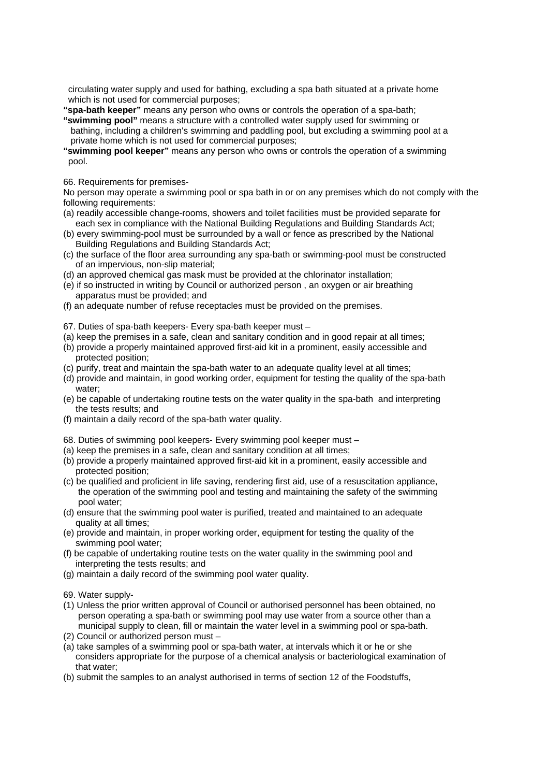circulating water supply and used for bathing, excluding a spa bath situated at a private home which is not used for commercial purposes:

**"spa-bath keeper"** means any person who owns or controls the operation of a spa-bath;

- **"swimming pool"** means a structure with a controlled water supply used for swimming or bathing, including a children's swimming and paddling pool, but excluding a swimming pool at a private home which is not used for commercial purposes;
- **"swimming pool keeper"** means any person who owns or controls the operation of a swimming pool.

66. Requirements for premises-

No person may operate a swimming pool or spa bath in or on any premises which do not comply with the following requirements:

- (a) readily accessible change-rooms, showers and toilet facilities must be provided separate for each sex in compliance with the National Building Regulations and Building Standards Act;
- (b) every swimming-pool must be surrounded by a wall or fence as prescribed by the National Building Regulations and Building Standards Act;
- (c) the surface of the floor area surrounding any spa-bath or swimming-pool must be constructed of an impervious, non-slip material;
- (d) an approved chemical gas mask must be provided at the chlorinator installation;
- (e) if so instructed in writing by Council or authorized person , an oxygen or air breathing apparatus must be provided; and
- (f) an adequate number of refuse receptacles must be provided on the premises.

67. Duties of spa-bath keepers- Every spa-bath keeper must –

- (a) keep the premises in a safe, clean and sanitary condition and in good repair at all times;
- (b) provide a properly maintained approved first-aid kit in a prominent, easily accessible and protected position;
- (c) purify, treat and maintain the spa-bath water to an adequate quality level at all times;
- (d) provide and maintain, in good working order, equipment for testing the quality of the spa-bath water;
- (e) be capable of undertaking routine tests on the water quality in the spa-bath and interpreting the tests results; and
- (f) maintain a daily record of the spa-bath water quality.
- 68. Duties of swimming pool keepers- Every swimming pool keeper must –
- (a) keep the premises in a safe, clean and sanitary condition at all times;
- (b) provide a properly maintained approved first-aid kit in a prominent, easily accessible and protected position;
- (c) be qualified and proficient in life saving, rendering first aid, use of a resuscitation appliance, the operation of the swimming pool and testing and maintaining the safety of the swimming pool water;
- (d) ensure that the swimming pool water is purified, treated and maintained to an adequate quality at all times;
- (e) provide and maintain, in proper working order, equipment for testing the quality of the swimming pool water;
- (f) be capable of undertaking routine tests on the water quality in the swimming pool and interpreting the tests results; and
- (g) maintain a daily record of the swimming pool water quality.
- 69. Water supply-
- (1) Unless the prior written approval of Council or authorised personnel has been obtained, no person operating a spa-bath or swimming pool may use water from a source other than a municipal supply to clean, fill or maintain the water level in a swimming pool or spa-bath.
- (2) Council or authorized person must –
- (a) take samples of a swimming pool or spa-bath water, at intervals which it or he or she considers appropriate for the purpose of a chemical analysis or bacteriological examination of that water;
- (b) submit the samples to an analyst authorised in terms of section 12 of the Foodstuffs,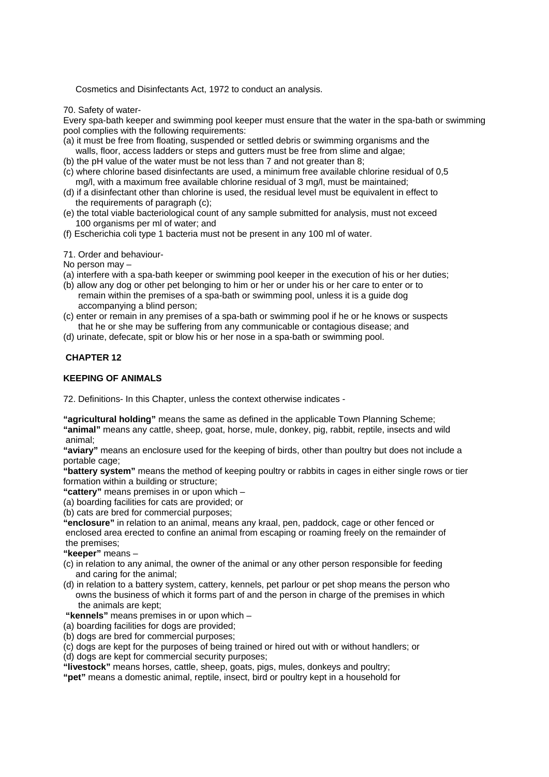Cosmetics and Disinfectants Act, 1972 to conduct an analysis.

70. Safety of water-

Every spa-bath keeper and swimming pool keeper must ensure that the water in the spa-bath or swimming pool complies with the following requirements:

- (a) it must be free from floating, suspended or settled debris or swimming organisms and the walls, floor, access ladders or steps and gutters must be free from slime and algae;
- (b) the pH value of the water must be not less than 7 and not greater than 8;
- (c) where chlorine based disinfectants are used, a minimum free available chlorine residual of 0,5 mg/l, with a maximum free available chlorine residual of 3 mg/l, must be maintained;
- (d) if a disinfectant other than chlorine is used, the residual level must be equivalent in effect to the requirements of paragraph (c);
- (e) the total viable bacteriological count of any sample submitted for analysis, must not exceed 100 organisms per ml of water; and
- (f) Escherichia coli type 1 bacteria must not be present in any 100 ml of water.

71. Order and behaviour-

- No person may –
- (a) interfere with a spa-bath keeper or swimming pool keeper in the execution of his or her duties;
- (b) allow any dog or other pet belonging to him or her or under his or her care to enter or to remain within the premises of a spa-bath or swimming pool, unless it is a guide dog accompanying a blind person;
- (c) enter or remain in any premises of a spa-bath or swimming pool if he or he knows or suspects that he or she may be suffering from any communicable or contagious disease; and
- (d) urinate, defecate, spit or blow his or her nose in a spa-bath or swimming pool.

# **CHAPTER 12**

# **KEEPING OF ANIMALS**

72. Definitions- In this Chapter, unless the context otherwise indicates -

**"agricultural holding"** means the same as defined in the applicable Town Planning Scheme; **"animal"** means any cattle, sheep, goat, horse, mule, donkey, pig, rabbit, reptile, insects and wild animal;

**"aviary"** means an enclosure used for the keeping of birds, other than poultry but does not include a portable cage;

**"battery system"** means the method of keeping poultry or rabbits in cages in either single rows or tier formation within a building or structure;

**"cattery"** means premises in or upon which –

(a) boarding facilities for cats are provided; or

(b) cats are bred for commercial purposes;

**"enclosure"** in relation to an animal, means any kraal, pen, paddock, cage or other fenced or enclosed area erected to confine an animal from escaping or roaming freely on the remainder of the premises;

**"keeper"** means –

- (c) in relation to any animal, the owner of the animal or any other person responsible for feeding and caring for the animal;
- (d) in relation to a battery system, cattery, kennels, pet parlour or pet shop means the person who owns the business of which it forms part of and the person in charge of the premises in which the animals are kept;

 **"kennels"** means premises in or upon which –

- (a) boarding facilities for dogs are provided;
- (b) dogs are bred for commercial purposes;
- (c) dogs are kept for the purposes of being trained or hired out with or without handlers; or

(d) dogs are kept for commercial security purposes;

**"livestock"** means horses, cattle, sheep, goats, pigs, mules, donkeys and poultry;

**"pet"** means a domestic animal, reptile, insect, bird or poultry kept in a household for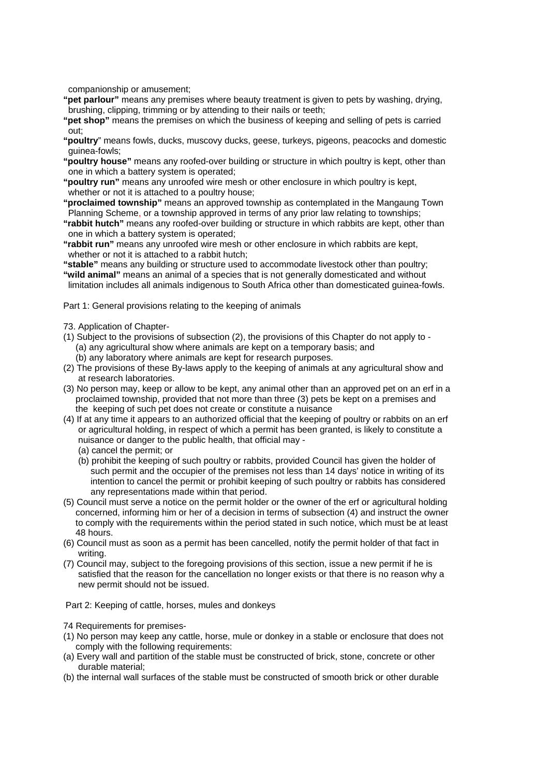companionship or amusement;

- **"pet parlour"** means any premises where beauty treatment is given to pets by washing, drying, brushing, clipping, trimming or by attending to their nails or teeth;
- **"pet shop"** means the premises on which the business of keeping and selling of pets is carried out;
- **"poultry**" means fowls, ducks, muscovy ducks, geese, turkeys, pigeons, peacocks and domestic guinea-fowls;
- **"poultry house"** means any roofed-over building or structure in which poultry is kept, other than one in which a battery system is operated;
- **"poultry run"** means any unroofed wire mesh or other enclosure in which poultry is kept, whether or not it is attached to a poultry house;
- **"proclaimed township"** means an approved township as contemplated in the Mangaung Town Planning Scheme, or a township approved in terms of any prior law relating to townships;
- **"rabbit hutch"** means any roofed-over building or structure in which rabbits are kept, other than one in which a battery system is operated;
- **"rabbit run"** means any unroofed wire mesh or other enclosure in which rabbits are kept, whether or not it is attached to a rabbit hutch:
- **"stable"** means any building or structure used to accommodate livestock other than poultry;
- **"wild animal"** means an animal of a species that is not generally domesticated and without
- limitation includes all animals indigenous to South Africa other than domesticated guinea-fowls.

Part 1: General provisions relating to the keeping of animals

- 73. Application of Chapter-
- (1) Subject to the provisions of subsection (2), the provisions of this Chapter do not apply to (a) any agricultural show where animals are kept on a temporary basis; and (b) any laboratory where animals are kept for research purposes.
- (2) The provisions of these By-laws apply to the keeping of animals at any agricultural show and at research laboratories.
- (3) No person may, keep or allow to be kept, any animal other than an approved pet on an erf in a proclaimed township, provided that not more than three (3) pets be kept on a premises and the keeping of such pet does not create or constitute a nuisance
- (4) If at any time it appears to an authorized official that the keeping of poultry or rabbits on an erf or agricultural holding, in respect of which a permit has been granted, is likely to constitute a nuisance or danger to the public health, that official may - (a) cancel the permit; or
	- (b) prohibit the keeping of such poultry or rabbits, provided Council has given the holder of such permit and the occupier of the premises not less than 14 days' notice in writing of its intention to cancel the permit or prohibit keeping of such poultry or rabbits has considered
- any representations made within that period. (5) Council must serve a notice on the permit holder or the owner of the erf or agricultural holding concerned, informing him or her of a decision in terms of subsection (4) and instruct the owner to comply with the requirements within the period stated in such notice, which must be at least 48 hours.
- (6) Council must as soon as a permit has been cancelled, notify the permit holder of that fact in writing.
- (7) Council may, subject to the foregoing provisions of this section, issue a new permit if he is satisfied that the reason for the cancellation no longer exists or that there is no reason why a new permit should not be issued.

Part 2: Keeping of cattle, horses, mules and donkeys

74 Requirements for premises-

- (1) No person may keep any cattle, horse, mule or donkey in a stable or enclosure that does not comply with the following requirements:
- (a) Every wall and partition of the stable must be constructed of brick, stone, concrete or other durable material;
- (b) the internal wall surfaces of the stable must be constructed of smooth brick or other durable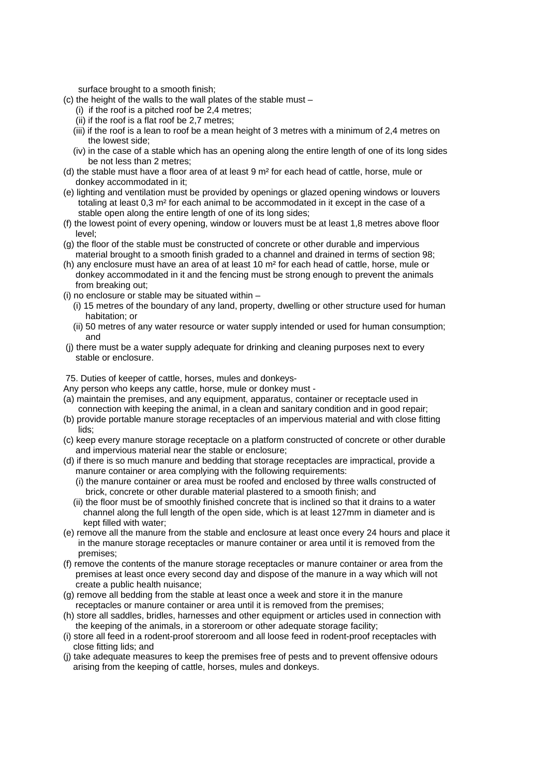surface brought to a smooth finish:

- (c) the height of the walls to the wall plates of the stable must  $-$ 
	- (i) if the roof is a pitched roof be 2,4 metres;
	- (ii) if the roof is a flat roof be 2,7 metres;
	- (iii) if the roof is a lean to roof be a mean height of 3 metres with a minimum of 2,4 metres on the lowest side;
	- (iv) in the case of a stable which has an opening along the entire length of one of its long sides be not less than 2 metres;
- (d) the stable must have a floor area of at least 9 m² for each head of cattle, horse, mule or donkey accommodated in it;
- (e) lighting and ventilation must be provided by openings or glazed opening windows or louvers totaling at least 0,3 m² for each animal to be accommodated in it except in the case of a stable open along the entire length of one of its long sides;
- (f) the lowest point of every opening, window or louvers must be at least 1,8 metres above floor level;
- (g) the floor of the stable must be constructed of concrete or other durable and impervious material brought to a smooth finish graded to a channel and drained in terms of section 98;
- (h) any enclosure must have an area of at least 10 m² for each head of cattle, horse, mule or donkey accommodated in it and the fencing must be strong enough to prevent the animals from breaking out;
- (i) no enclosure or stable may be situated within
	- (i) 15 metres of the boundary of any land, property, dwelling or other structure used for human habitation; or
	- (ii) 50 metres of any water resource or water supply intended or used for human consumption; and
- (j) there must be a water supply adequate for drinking and cleaning purposes next to every stable or enclosure.

75. Duties of keeper of cattle, horses, mules and donkeys-

- Any person who keeps any cattle, horse, mule or donkey must -
- (a) maintain the premises, and any equipment, apparatus, container or receptacle used in connection with keeping the animal, in a clean and sanitary condition and in good repair;
- (b) provide portable manure storage receptacles of an impervious material and with close fitting lids;
- (c) keep every manure storage receptacle on a platform constructed of concrete or other durable and impervious material near the stable or enclosure;
- (d) if there is so much manure and bedding that storage receptacles are impractical, provide a manure container or area complying with the following requirements:
	- (i) the manure container or area must be roofed and enclosed by three walls constructed of brick, concrete or other durable material plastered to a smooth finish; and
	- (ii) the floor must be of smoothly finished concrete that is inclined so that it drains to a water channel along the full length of the open side, which is at least 127mm in diameter and is kept filled with water;
- (e) remove all the manure from the stable and enclosure at least once every 24 hours and place it in the manure storage receptacles or manure container or area until it is removed from the premises;
- (f) remove the contents of the manure storage receptacles or manure container or area from the premises at least once every second day and dispose of the manure in a way which will not create a public health nuisance;
- (g) remove all bedding from the stable at least once a week and store it in the manure receptacles or manure container or area until it is removed from the premises;
- (h) store all saddles, bridles, harnesses and other equipment or articles used in connection with the keeping of the animals, in a storeroom or other adequate storage facility;
- (i) store all feed in a rodent-proof storeroom and all loose feed in rodent-proof receptacles with close fitting lids; and
- (j) take adequate measures to keep the premises free of pests and to prevent offensive odours arising from the keeping of cattle, horses, mules and donkeys.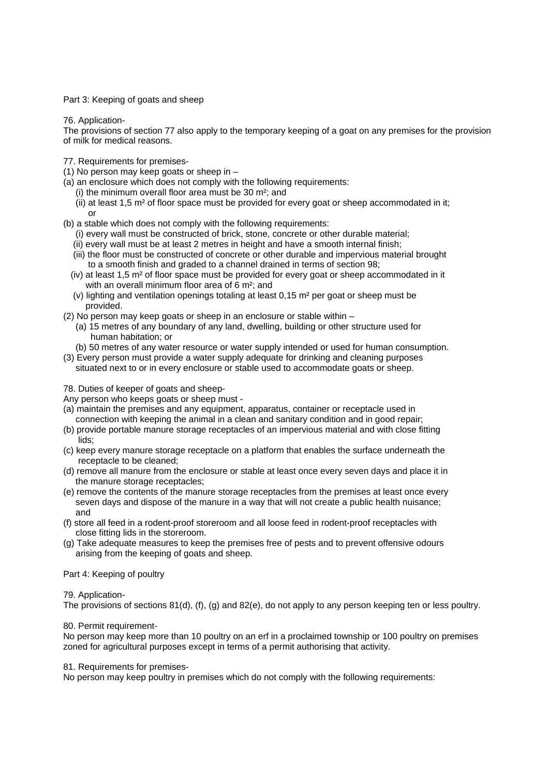Part 3: Keeping of goats and sheep

76. Application-

The provisions of section 77 also apply to the temporary keeping of a goat on any premises for the provision of milk for medical reasons.

- 77. Requirements for premises-
- (1) No person may keep goats or sheep in –
- (a) an enclosure which does not comply with the following requirements:
	- (i) the minimum overall floor area must be 30 m²; and
	- (ii) at least 1,5 m² of floor space must be provided for every goat or sheep accommodated in it; or
- (b) a stable which does not comply with the following requirements:
	- (i) every wall must be constructed of brick, stone, concrete or other durable material;
	- (ii) every wall must be at least 2 metres in height and have a smooth internal finish;
	- (iii) the floor must be constructed of concrete or other durable and impervious material brought to a smooth finish and graded to a channel drained in terms of section 98;
	- $(iv)$  at least 1,5 m<sup>2</sup> of floor space must be provided for every goat or sheep accommodated in it with an overall minimum floor area of 6 m<sup>2</sup>; and
	- (v) lighting and ventilation openings totaling at least  $0.15$  m<sup>2</sup> per goat or sheep must be provided.
- (2) No person may keep goats or sheep in an enclosure or stable within
	- (a) 15 metres of any boundary of any land, dwelling, building or other structure used for human habitation; or
	- (b) 50 metres of any water resource or water supply intended or used for human consumption.
- (3) Every person must provide a water supply adequate for drinking and cleaning purposes situated next to or in every enclosure or stable used to accommodate goats or sheep.

# 78. Duties of keeper of goats and sheep-

Any person who keeps goats or sheep must -

- (a) maintain the premises and any equipment, apparatus, container or receptacle used in connection with keeping the animal in a clean and sanitary condition and in good repair;
- (b) provide portable manure storage receptacles of an impervious material and with close fitting lids;
- (c) keep every manure storage receptacle on a platform that enables the surface underneath the receptacle to be cleaned;
- (d) remove all manure from the enclosure or stable at least once every seven days and place it in the manure storage receptacles;
- (e) remove the contents of the manure storage receptacles from the premises at least once every seven days and dispose of the manure in a way that will not create a public health nuisance; and
- (f) store all feed in a rodent-proof storeroom and all loose feed in rodent-proof receptacles with close fitting lids in the storeroom.
- (g) Take adequate measures to keep the premises free of pests and to prevent offensive odours arising from the keeping of goats and sheep.

# Part 4: Keeping of poultry

# 79. Application-

The provisions of sections 81(d), (f), (g) and 82(e), do not apply to any person keeping ten or less poultry.

# 80. Permit requirement-

No person may keep more than 10 poultry on an erf in a proclaimed township or 100 poultry on premises zoned for agricultural purposes except in terms of a permit authorising that activity.

#### 81. Requirements for premises-

No person may keep poultry in premises which do not comply with the following requirements: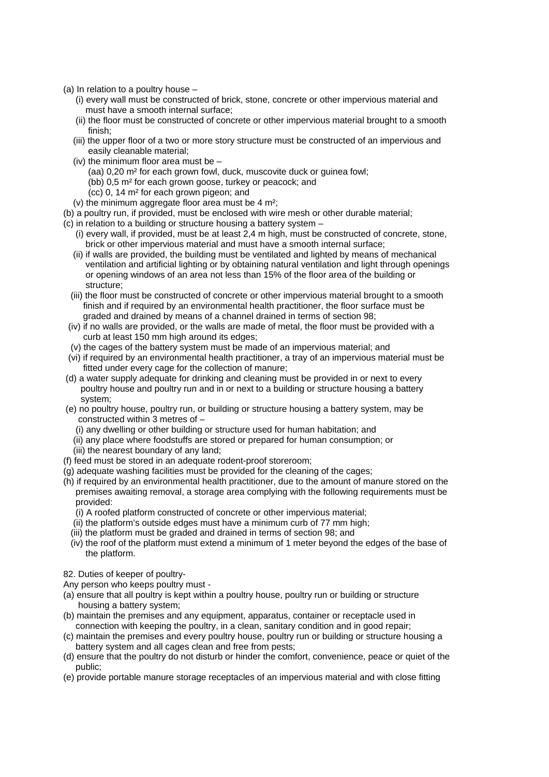- (a) In relation to a poultry house
	- (i) every wall must be constructed of brick, stone, concrete or other impervious material and must have a smooth internal surface;
	- (ii) the floor must be constructed of concrete or other impervious material brought to a smooth finish;
	- (iii) the upper floor of a two or more story structure must be constructed of an impervious and easily cleanable material;
	- (iv) the minimum floor area must be
		- (aa) 0,20 m² for each grown fowl, duck, muscovite duck or guinea fowl;
		- (bb) 0,5 m² for each grown goose, turkey or peacock; and
		- (cc) 0, 14 m² for each grown pigeon; and
	- (v) the minimum aggregate floor area must be 4 m²;
- (b) a poultry run, if provided, must be enclosed with wire mesh or other durable material;
- (c) in relation to a building or structure housing a battery system
	- (i) every wall, if provided, must be at least 2,4 m high, must be constructed of concrete, stone, brick or other impervious material and must have a smooth internal surface;
	- (ii) if walls are provided, the building must be ventilated and lighted by means of mechanical ventilation and artificial lighting or by obtaining natural ventilation and light through openings or opening windows of an area not less than 15% of the floor area of the building or structure;
	- (iii) the floor must be constructed of concrete or other impervious material brought to a smooth finish and if required by an environmental health practitioner, the floor surface must be graded and drained by means of a channel drained in terms of section 98;
	- (iv) if no walls are provided, or the walls are made of metal, the floor must be provided with a curb at least 150 mm high around its edges;
	- (v) the cages of the battery system must be made of an impervious material; and
- (vi) if required by an environmental health practitioner, a tray of an impervious material must be fitted under every cage for the collection of manure;
- (d) a water supply adequate for drinking and cleaning must be provided in or next to every poultry house and poultry run and in or next to a building or structure housing a battery system;
- (e) no poultry house, poultry run, or building or structure housing a battery system, may be constructed within 3 metres of –
	- (i) any dwelling or other building or structure used for human habitation; and
	- (ii) any place where foodstuffs are stored or prepared for human consumption; or
	- (iii) the nearest boundary of any land;
- (f) feed must be stored in an adequate rodent-proof storeroom;
- (g) adequate washing facilities must be provided for the cleaning of the cages;
- (h) if required by an environmental health practitioner, due to the amount of manure stored on the premises awaiting removal, a storage area complying with the following requirements must be provided:
	- (i) A roofed platform constructed of concrete or other impervious material;
	- (ii) the platform's outside edges must have a minimum curb of 77 mm high;
	- (iii) the platform must be graded and drained in terms of section 98; and
	- (iv) the roof of the platform must extend a minimum of 1 meter beyond the edges of the base of the platform.
- 82. Duties of keeper of poultry-
- Any person who keeps poultry must -
- (a) ensure that all poultry is kept within a poultry house, poultry run or building or structure housing a battery system;
- (b) maintain the premises and any equipment, apparatus, container or receptacle used in connection with keeping the poultry, in a clean, sanitary condition and in good repair;
- (c) maintain the premises and every poultry house, poultry run or building or structure housing a battery system and all cages clean and free from pests;
- (d) ensure that the poultry do not disturb or hinder the comfort, convenience, peace or quiet of the public;
- (e) provide portable manure storage receptacles of an impervious material and with close fitting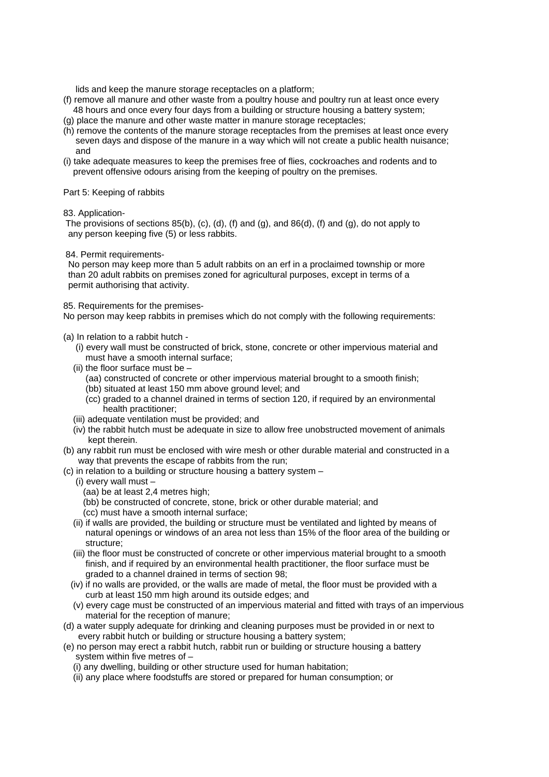lids and keep the manure storage receptacles on a platform;

- (f) remove all manure and other waste from a poultry house and poultry run at least once every 48 hours and once every four days from a building or structure housing a battery system;
- (g) place the manure and other waste matter in manure storage receptacles;
- (h) remove the contents of the manure storage receptacles from the premises at least once every seven days and dispose of the manure in a way which will not create a public health nuisance; and
- (i) take adequate measures to keep the premises free of flies, cockroaches and rodents and to prevent offensive odours arising from the keeping of poultry on the premises.

Part 5: Keeping of rabbits

#### 83. Application-

The provisions of sections  $85(b)$ , (c), (d), (f) and (g), and  $86(d)$ , (f) and (g), do not apply to any person keeping five (5) or less rabbits.

#### 84. Permit requirements-

 No person may keep more than 5 adult rabbits on an erf in a proclaimed township or more than 20 adult rabbits on premises zoned for agricultural purposes, except in terms of a permit authorising that activity.

85. Requirements for the premises-

No person may keep rabbits in premises which do not comply with the following requirements:

- (a) In relation to a rabbit hutch
	- (i) every wall must be constructed of brick, stone, concrete or other impervious material and must have a smooth internal surface;
	- (ii) the floor surface must be  $-$ 
		- (aa) constructed of concrete or other impervious material brought to a smooth finish; (bb) situated at least 150 mm above ground level; and
		- (cc) graded to a channel drained in terms of section 120, if required by an environmental health practitioner;
	- (iii) adequate ventilation must be provided; and
	- (iv) the rabbit hutch must be adequate in size to allow free unobstructed movement of animals kept therein.
- (b) any rabbit run must be enclosed with wire mesh or other durable material and constructed in a way that prevents the escape of rabbits from the run;
- (c) in relation to a building or structure housing a battery system
	- (i) every wall must
		- (aa) be at least 2,4 metres high;
		- (bb) be constructed of concrete, stone, brick or other durable material; and
		- (cc) must have a smooth internal surface;
	- (ii) if walls are provided, the building or structure must be ventilated and lighted by means of natural openings or windows of an area not less than 15% of the floor area of the building or structure;
	- (iii) the floor must be constructed of concrete or other impervious material brought to a smooth finish, and if required by an environmental health practitioner, the floor surface must be graded to a channel drained in terms of section 98;
	- (iv) if no walls are provided, or the walls are made of metal, the floor must be provided with a curb at least 150 mm high around its outside edges; and
	- (v) every cage must be constructed of an impervious material and fitted with trays of an impervious material for the reception of manure;
- (d) a water supply adequate for drinking and cleaning purposes must be provided in or next to every rabbit hutch or building or structure housing a battery system;
- (e) no person may erect a rabbit hutch, rabbit run or building or structure housing a battery system within five metres of –
	- (i) any dwelling, building or other structure used for human habitation;
	- (ii) any place where foodstuffs are stored or prepared for human consumption; or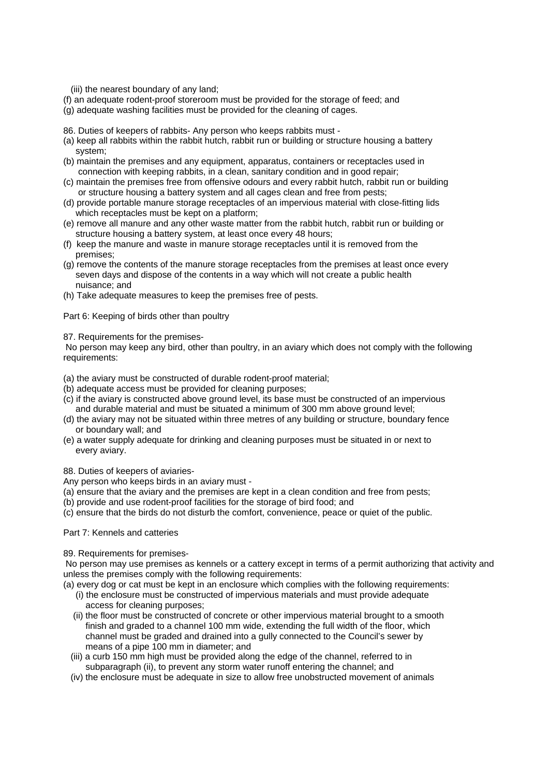(iii) the nearest boundary of any land;

- (f) an adequate rodent-proof storeroom must be provided for the storage of feed; and
- (g) adequate washing facilities must be provided for the cleaning of cages.
- 86. Duties of keepers of rabbits- Any person who keeps rabbits must -
- (a) keep all rabbits within the rabbit hutch, rabbit run or building or structure housing a battery system;
- (b) maintain the premises and any equipment, apparatus, containers or receptacles used in connection with keeping rabbits, in a clean, sanitary condition and in good repair;
- (c) maintain the premises free from offensive odours and every rabbit hutch, rabbit run or building or structure housing a battery system and all cages clean and free from pests;
- (d) provide portable manure storage receptacles of an impervious material with close-fitting lids which receptacles must be kept on a platform;
- (e) remove all manure and any other waste matter from the rabbit hutch, rabbit run or building or structure housing a battery system, at least once every 48 hours;
- (f) keep the manure and waste in manure storage receptacles until it is removed from the premises;
- (g) remove the contents of the manure storage receptacles from the premises at least once every seven days and dispose of the contents in a way which will not create a public health nuisance; and
- (h) Take adequate measures to keep the premises free of pests.

Part 6: Keeping of birds other than poultry

87. Requirements for the premises-

 No person may keep any bird, other than poultry, in an aviary which does not comply with the following requirements:

- (a) the aviary must be constructed of durable rodent-proof material;
- (b) adequate access must be provided for cleaning purposes;
- (c) if the aviary is constructed above ground level, its base must be constructed of an impervious and durable material and must be situated a minimum of 300 mm above ground level;
- (d) the aviary may not be situated within three metres of any building or structure, boundary fence or boundary wall; and
- (e) a water supply adequate for drinking and cleaning purposes must be situated in or next to every aviary.

88. Duties of keepers of aviaries-

Any person who keeps birds in an aviary must -

(a) ensure that the aviary and the premises are kept in a clean condition and free from pests;

- (b) provide and use rodent-proof facilities for the storage of bird food; and
- (c) ensure that the birds do not disturb the comfort, convenience, peace or quiet of the public.

# Part 7: Kennels and catteries

89. Requirements for premises-

 No person may use premises as kennels or a cattery except in terms of a permit authorizing that activity and unless the premises comply with the following requirements:

- (a) every dog or cat must be kept in an enclosure which complies with the following requirements: (i) the enclosure must be constructed of impervious materials and must provide adequate access for cleaning purposes;
	- (ii) the floor must be constructed of concrete or other impervious material brought to a smooth finish and graded to a channel 100 mm wide, extending the full width of the floor, which channel must be graded and drained into a gully connected to the Council's sewer by means of a pipe 100 mm in diameter; and
	- (iii) a curb 150 mm high must be provided along the edge of the channel, referred to in subparagraph (ii), to prevent any storm water runoff entering the channel; and
	- (iv) the enclosure must be adequate in size to allow free unobstructed movement of animals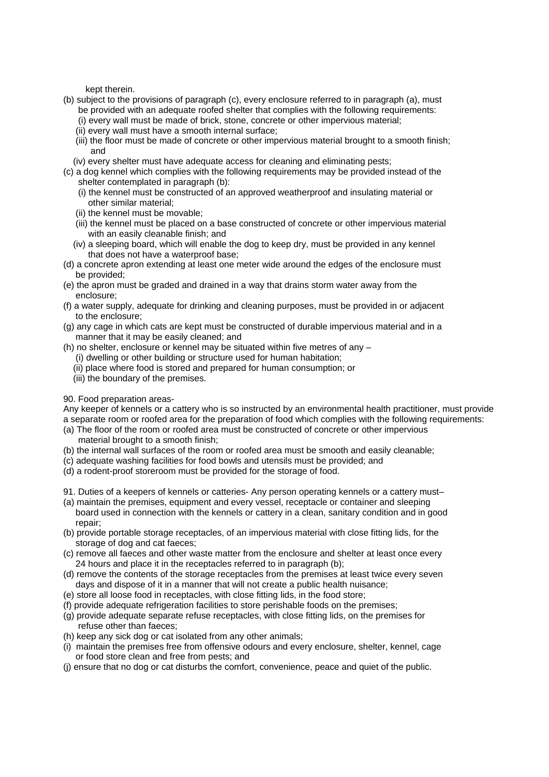kept therein.

- (b) subject to the provisions of paragraph (c), every enclosure referred to in paragraph (a), must be provided with an adequate roofed shelter that complies with the following requirements:
	- (i) every wall must be made of brick, stone, concrete or other impervious material;
	- (ii) every wall must have a smooth internal surface;
	- (iii) the floor must be made of concrete or other impervious material brought to a smooth finish; and
	- (iv) every shelter must have adequate access for cleaning and eliminating pests;
- (c) a dog kennel which complies with the following requirements may be provided instead of the shelter contemplated in paragraph (b):
	- (i) the kennel must be constructed of an approved weatherproof and insulating material or other similar material;
	- (ii) the kennel must be movable;
	- (iii) the kennel must be placed on a base constructed of concrete or other impervious material with an easily cleanable finish; and
	- (iv) a sleeping board, which will enable the dog to keep dry, must be provided in any kennel that does not have a waterproof base;
- (d) a concrete apron extending at least one meter wide around the edges of the enclosure must be provided;
- (e) the apron must be graded and drained in a way that drains storm water away from the enclosure;
- (f) a water supply, adequate for drinking and cleaning purposes, must be provided in or adjacent to the enclosure;
- (g) any cage in which cats are kept must be constructed of durable impervious material and in a manner that it may be easily cleaned; and
- (h) no shelter, enclosure or kennel may be situated within five metres of any
	- (i) dwelling or other building or structure used for human habitation;
	- (ii) place where food is stored and prepared for human consumption; or
	- (iii) the boundary of the premises.
- 90. Food preparation areas-

Any keeper of kennels or a cattery who is so instructed by an environmental health practitioner, must provide a separate room or roofed area for the preparation of food which complies with the following requirements:

- (a) The floor of the room or roofed area must be constructed of concrete or other impervious material brought to a smooth finish;
- (b) the internal wall surfaces of the room or roofed area must be smooth and easily cleanable;
- (c) adequate washing facilities for food bowls and utensils must be provided; and
- (d) a rodent-proof storeroom must be provided for the storage of food.
- 91. Duties of a keepers of kennels or catteries- Any person operating kennels or a cattery must–
- (a) maintain the premises, equipment and every vessel, receptacle or container and sleeping board used in connection with the kennels or cattery in a clean, sanitary condition and in good repair;
- (b) provide portable storage receptacles, of an impervious material with close fitting lids, for the storage of dog and cat faeces;
- (c) remove all faeces and other waste matter from the enclosure and shelter at least once every 24 hours and place it in the receptacles referred to in paragraph (b);
- (d) remove the contents of the storage receptacles from the premises at least twice every seven days and dispose of it in a manner that will not create a public health nuisance;
- (e) store all loose food in receptacles, with close fitting lids, in the food store;
- (f) provide adequate refrigeration facilities to store perishable foods on the premises;
- (g) provide adequate separate refuse receptacles, with close fitting lids, on the premises for refuse other than faeces;
- (h) keep any sick dog or cat isolated from any other animals;
- (i) maintain the premises free from offensive odours and every enclosure, shelter, kennel, cage or food store clean and free from pests; and
- (j) ensure that no dog or cat disturbs the comfort, convenience, peace and quiet of the public.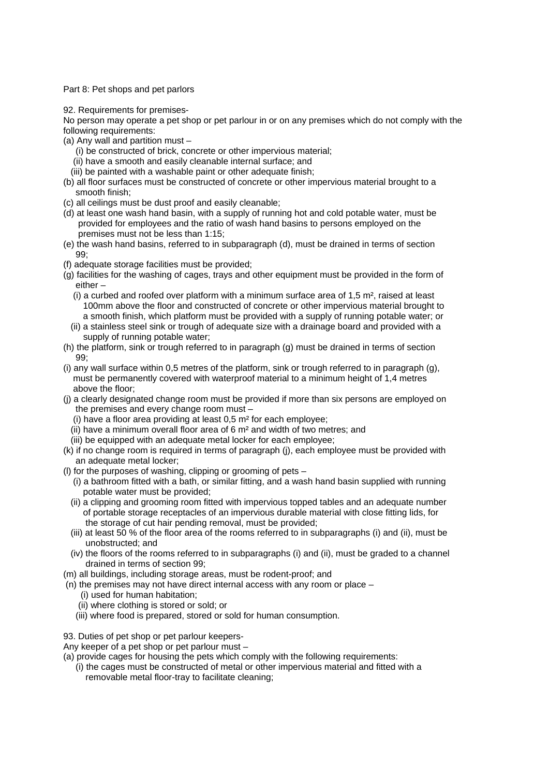Part 8: Pet shops and pet parlors

92. Requirements for premises-

No person may operate a pet shop or pet parlour in or on any premises which do not comply with the following requirements:

- (a) Any wall and partition must
	- (i) be constructed of brick, concrete or other impervious material;
	- (ii) have a smooth and easily cleanable internal surface; and
	- (iii) be painted with a washable paint or other adequate finish;
- (b) all floor surfaces must be constructed of concrete or other impervious material brought to a smooth finish;
- (c) all ceilings must be dust proof and easily cleanable;
- (d) at least one wash hand basin, with a supply of running hot and cold potable water, must be provided for employees and the ratio of wash hand basins to persons employed on the premises must not be less than 1:15;
- (e) the wash hand basins, referred to in subparagraph (d), must be drained in terms of section 99;
- (f) adequate storage facilities must be provided;
- (g) facilities for the washing of cages, trays and other equipment must be provided in the form of either –
	- (i) a curbed and roofed over platform with a minimum surface area of 1,5  $m<sup>2</sup>$ , raised at least 100mm above the floor and constructed of concrete or other impervious material brought to a smooth finish, which platform must be provided with a supply of running potable water; or
	- (ii) a stainless steel sink or trough of adequate size with a drainage board and provided with a supply of running potable water;
- (h) the platform, sink or trough referred to in paragraph (g) must be drained in terms of section 99;
- (i) any wall surface within 0,5 metres of the platform, sink or trough referred to in paragraph (g), must be permanently covered with waterproof material to a minimum height of 1,4 metres above the floor;
- (j) a clearly designated change room must be provided if more than six persons are employed on the premises and every change room must –
	- (i) have a floor area providing at least 0,5 m² for each employee;
	- (ii) have a minimum overall floor area of 6 m² and width of two metres; and
	- (iii) be equipped with an adequate metal locker for each employee;
- (k) if no change room is required in terms of paragraph (j), each employee must be provided with an adequate metal locker;
- (I) for the purposes of washing, clipping or grooming of pets  $-$ 
	- (i) a bathroom fitted with a bath, or similar fitting, and a wash hand basin supplied with running potable water must be provided;
	- (ii) a clipping and grooming room fitted with impervious topped tables and an adequate number of portable storage receptacles of an impervious durable material with close fitting lids, for the storage of cut hair pending removal, must be provided;
	- (iii) at least 50 % of the floor area of the rooms referred to in subparagraphs (i) and (ii), must be unobstructed; and
	- (iv) the floors of the rooms referred to in subparagraphs (i) and (ii), must be graded to a channel drained in terms of section 99;
- (m) all buildings, including storage areas, must be rodent-proof; and
- (n) the premises may not have direct internal access with any room or place
	- (i) used for human habitation;
	- (ii) where clothing is stored or sold; or
	- (iii) where food is prepared, stored or sold for human consumption.

93. Duties of pet shop or pet parlour keepers-

Any keeper of a pet shop or pet parlour must –

- (a) provide cages for housing the pets which comply with the following requirements:
	- (i) the cages must be constructed of metal or other impervious material and fitted with a removable metal floor-tray to facilitate cleaning;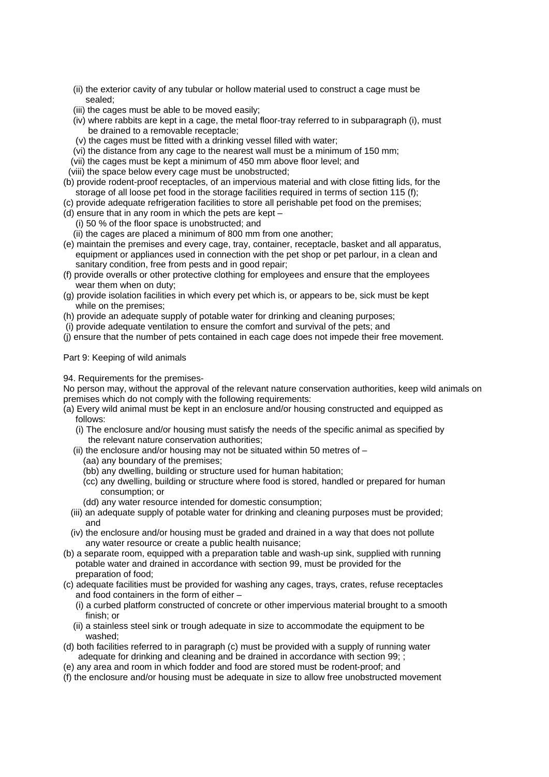- (ii) the exterior cavity of any tubular or hollow material used to construct a cage must be sealed;
- (iii) the cages must be able to be moved easily;
- (iv) where rabbits are kept in a cage, the metal floor-tray referred to in subparagraph (i), must be drained to a removable receptacle;
- (v) the cages must be fitted with a drinking vessel filled with water;
- (vi) the distance from any cage to the nearest wall must be a minimum of 150 mm;
- (vii) the cages must be kept a minimum of 450 mm above floor level; and
- (viii) the space below every cage must be unobstructed;
- (b) provide rodent-proof receptacles, of an impervious material and with close fitting lids, for the storage of all loose pet food in the storage facilities required in terms of section 115 (f);
- (c) provide adequate refrigeration facilities to store all perishable pet food on the premises;
- (d) ensure that in any room in which the pets are kept
	- (i) 50 % of the floor space is unobstructed; and
	- (ii) the cages are placed a minimum of 800 mm from one another;
- (e) maintain the premises and every cage, tray, container, receptacle, basket and all apparatus, equipment or appliances used in connection with the pet shop or pet parlour, in a clean and sanitary condition, free from pests and in good repair;
- (f) provide overalls or other protective clothing for employees and ensure that the employees wear them when on duty;
- (g) provide isolation facilities in which every pet which is, or appears to be, sick must be kept while on the premises;
- (h) provide an adequate supply of potable water for drinking and cleaning purposes;
- (i) provide adequate ventilation to ensure the comfort and survival of the pets; and

(j) ensure that the number of pets contained in each cage does not impede their free movement.

# Part 9: Keeping of wild animals

94. Requirements for the premises-

No person may, without the approval of the relevant nature conservation authorities, keep wild animals on premises which do not comply with the following requirements:

- (a) Every wild animal must be kept in an enclosure and/or housing constructed and equipped as follows:
	- (i) The enclosure and/or housing must satisfy the needs of the specific animal as specified by the relevant nature conservation authorities;
	- (ii) the enclosure and/or housing may not be situated within 50 metres of  $-$ 
		- (aa) any boundary of the premises;
		- (bb) any dwelling, building or structure used for human habitation;
		- (cc) any dwelling, building or structure where food is stored, handled or prepared for human consumption; or
	- (dd) any water resource intended for domestic consumption;
	- (iii) an adequate supply of potable water for drinking and cleaning purposes must be provided; and
	- (iv) the enclosure and/or housing must be graded and drained in a way that does not pollute any water resource or create a public health nuisance;
- (b) a separate room, equipped with a preparation table and wash-up sink, supplied with running potable water and drained in accordance with section 99, must be provided for the preparation of food;
- (c) adequate facilities must be provided for washing any cages, trays, crates, refuse receptacles and food containers in the form of either –
	- (i) a curbed platform constructed of concrete or other impervious material brought to a smooth finish; or
	- (ii) a stainless steel sink or trough adequate in size to accommodate the equipment to be washed;
- (d) both facilities referred to in paragraph (c) must be provided with a supply of running water adequate for drinking and cleaning and be drained in accordance with section 99; ;
- (e) any area and room in which fodder and food are stored must be rodent-proof; and
- (f) the enclosure and/or housing must be adequate in size to allow free unobstructed movement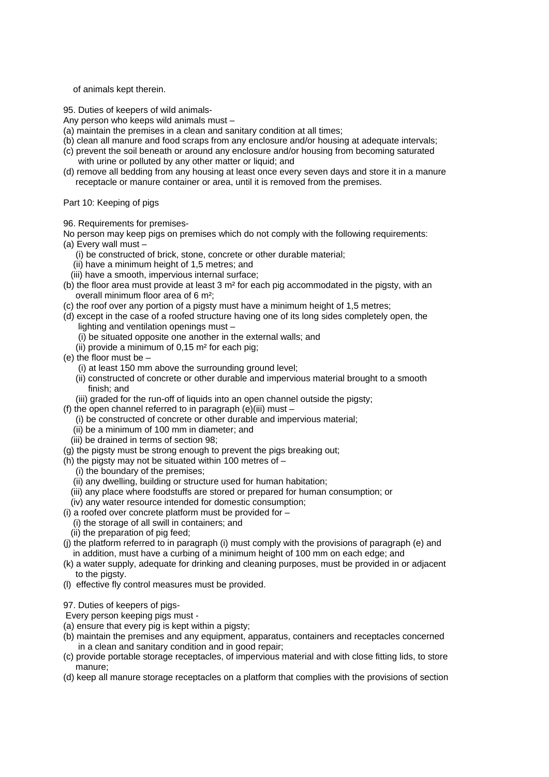of animals kept therein.

95. Duties of keepers of wild animals-

Any person who keeps wild animals must –

- (a) maintain the premises in a clean and sanitary condition at all times;
- (b) clean all manure and food scraps from any enclosure and/or housing at adequate intervals;
- (c) prevent the soil beneath or around any enclosure and/or housing from becoming saturated with urine or polluted by any other matter or liquid; and
- (d) remove all bedding from any housing at least once every seven days and store it in a manure receptacle or manure container or area, until it is removed from the premises.

Part 10: Keeping of pigs

96. Requirements for premises-

No person may keep pigs on premises which do not comply with the following requirements: (a) Every wall must –

- (i) be constructed of brick, stone, concrete or other durable material;
- (ii) have a minimum height of 1,5 metres; and
- (iii) have a smooth, impervious internal surface;
- (b) the floor area must provide at least  $3 \text{ m}^2$  for each pig accommodated in the pigsty, with an overall minimum floor area of 6 m²;
- (c) the roof over any portion of a pigsty must have a minimum height of 1,5 metres;
- (d) except in the case of a roofed structure having one of its long sides completely open, the lighting and ventilation openings must –
	- (i) be situated opposite one another in the external walls; and
	- $(iii)$  provide a minimum of 0.15 m<sup>2</sup> for each pig:
- (e) the floor must be
	- (i) at least 150 mm above the surrounding ground level;
	- (ii) constructed of concrete or other durable and impervious material brought to a smooth finish; and
	- (iii) graded for the run-off of liquids into an open channel outside the pigsty;
- (f) the open channel referred to in paragraph (e)(iii) must  $-$ 
	- (i) be constructed of concrete or other durable and impervious material;
	- (ii) be a minimum of 100 mm in diameter; and
	- (iii) be drained in terms of section 98;
- (g) the pigsty must be strong enough to prevent the pigs breaking out;
- (h) the pigsty may not be situated within 100 metres of  $-$ 
	- (i) the boundary of the premises;
	- (ii) any dwelling, building or structure used for human habitation;
	- (iii) any place where foodstuffs are stored or prepared for human consumption; or
	- (iv) any water resource intended for domestic consumption;
- (i) a roofed over concrete platform must be provided for
	- (i) the storage of all swill in containers; and
	- (ii) the preparation of pig feed;
- (j) the platform referred to in paragraph (i) must comply with the provisions of paragraph (e) and in addition, must have a curbing of a minimum height of 100 mm on each edge; and
- (k) a water supply, adequate for drinking and cleaning purposes, must be provided in or adjacent to the pigsty.
- (l) effective fly control measures must be provided.
- 97. Duties of keepers of pigs-

Every person keeping pigs must -

- (a) ensure that every pig is kept within a pigsty;
- (b) maintain the premises and any equipment, apparatus, containers and receptacles concerned in a clean and sanitary condition and in good repair;
- (c) provide portable storage receptacles, of impervious material and with close fitting lids, to store manure;
- (d) keep all manure storage receptacles on a platform that complies with the provisions of section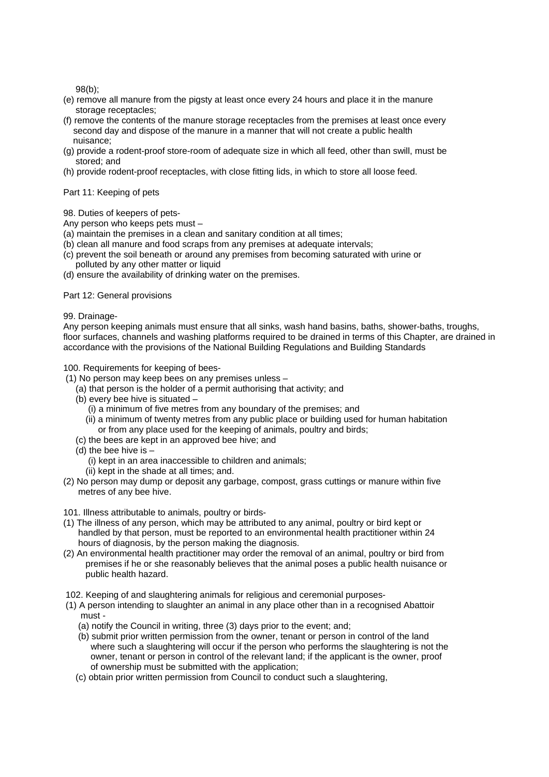98(b);

- (e) remove all manure from the pigsty at least once every 24 hours and place it in the manure storage receptacles;
- (f) remove the contents of the manure storage receptacles from the premises at least once every second day and dispose of the manure in a manner that will not create a public health nuisance;
- (g) provide a rodent-proof store-room of adequate size in which all feed, other than swill, must be stored; and
- (h) provide rodent-proof receptacles, with close fitting lids, in which to store all loose feed.

Part 11: Keeping of pets

98. Duties of keepers of pets-

Any person who keeps pets must –

- (a) maintain the premises in a clean and sanitary condition at all times;
- (b) clean all manure and food scraps from any premises at adequate intervals;
- (c) prevent the soil beneath or around any premises from becoming saturated with urine or polluted by any other matter or liquid
- (d) ensure the availability of drinking water on the premises.

Part 12: General provisions

#### 99. Drainage-

Any person keeping animals must ensure that all sinks, wash hand basins, baths, shower-baths, troughs, floor surfaces, channels and washing platforms required to be drained in terms of this Chapter, are drained in accordance with the provisions of the National Building Regulations and Building Standards

# 100. Requirements for keeping of bees-

(1) No person may keep bees on any premises unless –

- (a) that person is the holder of a permit authorising that activity; and
- (b) every bee hive is situated
	- (i) a minimum of five metres from any boundary of the premises; and
	- (ii) a minimum of twenty metres from any public place or building used for human habitation or from any place used for the keeping of animals, poultry and birds;
- (c) the bees are kept in an approved bee hive; and
- (d) the bee hive is
	- (i) kept in an area inaccessible to children and animals;
	- (ii) kept in the shade at all times; and.
- (2) No person may dump or deposit any garbage, compost, grass cuttings or manure within five metres of any bee hive.
- 101. Illness attributable to animals, poultry or birds-
- (1) The illness of any person, which may be attributed to any animal, poultry or bird kept or handled by that person, must be reported to an environmental health practitioner within 24 hours of diagnosis, by the person making the diagnosis.
- (2) An environmental health practitioner may order the removal of an animal, poultry or bird from premises if he or she reasonably believes that the animal poses a public health nuisance or public health hazard.
- 102. Keeping of and slaughtering animals for religious and ceremonial purposes-
- (1) A person intending to slaughter an animal in any place other than in a recognised Abattoir must -
	- (a) notify the Council in writing, three (3) days prior to the event; and;
	- (b) submit prior written permission from the owner, tenant or person in control of the land where such a slaughtering will occur if the person who performs the slaughtering is not the owner, tenant or person in control of the relevant land; if the applicant is the owner, proof of ownership must be submitted with the application;
	- (c) obtain prior written permission from Council to conduct such a slaughtering,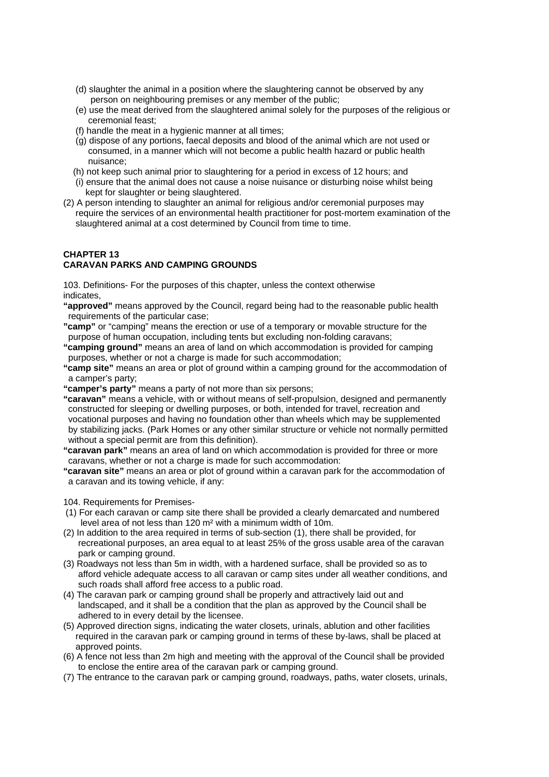- (d) slaughter the animal in a position where the slaughtering cannot be observed by any person on neighbouring premises or any member of the public;
- (e) use the meat derived from the slaughtered animal solely for the purposes of the religious or ceremonial feast;
- (f) handle the meat in a hygienic manner at all times;
- (g) dispose of any portions, faecal deposits and blood of the animal which are not used or consumed, in a manner which will not become a public health hazard or public health nuisance;
- (h) not keep such animal prior to slaughtering for a period in excess of 12 hours; and
- (i) ensure that the animal does not cause a noise nuisance or disturbing noise whilst being kept for slaughter or being slaughtered.
- (2) A person intending to slaughter an animal for religious and/or ceremonial purposes may require the services of an environmental health practitioner for post-mortem examination of the slaughtered animal at a cost determined by Council from time to time.

# **CHAPTER 13 CARAVAN PARKS AND CAMPING GROUNDS**

103. Definitions- For the purposes of this chapter, unless the context otherwise indicates,

- **"approved"** means approved by the Council, regard being had to the reasonable public health requirements of the particular case;
- **"camp"** or "camping" means the erection or use of a temporary or movable structure for the purpose of human occupation, including tents but excluding non-folding caravans;
- **"camping ground"** means an area of land on which accommodation is provided for camping purposes, whether or not a charge is made for such accommodation;
- **"camp site"** means an area or plot of ground within a camping ground for the accommodation of a camper's party;
- **"camper's party"** means a party of not more than six persons;
- **"caravan"** means a vehicle, with or without means of self-propulsion, designed and permanently constructed for sleeping or dwelling purposes, or both, intended for travel, recreation and vocational purposes and having no foundation other than wheels which may be supplemented by stabilizing jacks. (Park Homes or any other similar structure or vehicle not normally permitted without a special permit are from this definition).
- **"caravan park"** means an area of land on which accommodation is provided for three or more caravans, whether or not a charge is made for such accommodation:
- **"caravan site"** means an area or plot of ground within a caravan park for the accommodation of a caravan and its towing vehicle, if any:

104. Requirements for Premises-

- (1) For each caravan or camp site there shall be provided a clearly demarcated and numbered level area of not less than 120 m² with a minimum width of 10m.
- (2) In addition to the area required in terms of sub-section (1), there shall be provided, for recreational purposes, an area equal to at least 25% of the gross usable area of the caravan park or camping ground.
- (3) Roadways not less than 5m in width, with a hardened surface, shall be provided so as to afford vehicle adequate access to all caravan or camp sites under all weather conditions, and such roads shall afford free access to a public road.
- (4) The caravan park or camping ground shall be properly and attractively laid out and landscaped, and it shall be a condition that the plan as approved by the Council shall be adhered to in every detail by the licensee.
- (5) Approved direction signs, indicating the water closets, urinals, ablution and other facilities required in the caravan park or camping ground in terms of these by-laws, shall be placed at approved points.
- (6) A fence not less than 2m high and meeting with the approval of the Council shall be provided to enclose the entire area of the caravan park or camping ground.
- (7) The entrance to the caravan park or camping ground, roadways, paths, water closets, urinals,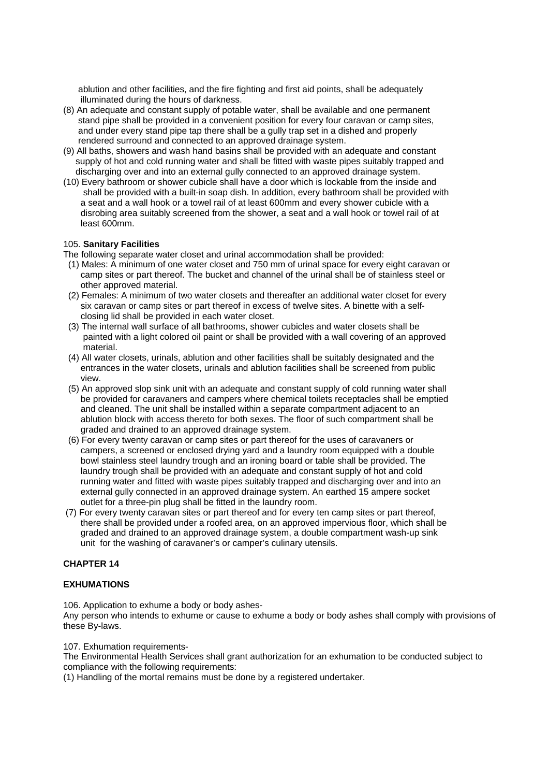ablution and other facilities, and the fire fighting and first aid points, shall be adequately illuminated during the hours of darkness.

- (8) An adequate and constant supply of potable water, shall be available and one permanent stand pipe shall be provided in a convenient position for every four caravan or camp sites, and under every stand pipe tap there shall be a gully trap set in a dished and properly rendered surround and connected to an approved drainage system.
- (9) All baths, showers and wash hand basins shall be provided with an adequate and constant supply of hot and cold running water and shall be fitted with waste pipes suitably trapped and discharging over and into an external gully connected to an approved drainage system.
- (10) Every bathroom or shower cubicle shall have a door which is lockable from the inside and shall be provided with a built-in soap dish. In addition, every bathroom shall be provided with a seat and a wall hook or a towel rail of at least 600mm and every shower cubicle with a disrobing area suitably screened from the shower, a seat and a wall hook or towel rail of at least 600mm.

# 105. **Sanitary Facilities**

The following separate water closet and urinal accommodation shall be provided:

- (1) Males: A minimum of one water closet and 750 mm of urinal space for every eight caravan or camp sites or part thereof. The bucket and channel of the urinal shall be of stainless steel or other approved material.
- (2) Females: A minimum of two water closets and thereafter an additional water closet for every six caravan or camp sites or part thereof in excess of twelve sites. A binette with a self closing lid shall be provided in each water closet.
- (3) The internal wall surface of all bathrooms, shower cubicles and water closets shall be painted with a light colored oil paint or shall be provided with a wall covering of an approved material.
- (4) All water closets, urinals, ablution and other facilities shall be suitably designated and the entrances in the water closets, urinals and ablution facilities shall be screened from public view.
- (5) An approved slop sink unit with an adequate and constant supply of cold running water shall be provided for caravaners and campers where chemical toilets receptacles shall be emptied and cleaned. The unit shall be installed within a separate compartment adjacent to an ablution block with access thereto for both sexes. The floor of such compartment shall be graded and drained to an approved drainage system.
- (6) For every twenty caravan or camp sites or part thereof for the uses of caravaners or campers, a screened or enclosed drying yard and a laundry room equipped with a double bowl stainless steel laundry trough and an ironing board or table shall be provided. The laundry trough shall be provided with an adequate and constant supply of hot and cold running water and fitted with waste pipes suitably trapped and discharging over and into an external gully connected in an approved drainage system. An earthed 15 ampere socket outlet for a three-pin plug shall be fitted in the laundry room.
- (7) For every twenty caravan sites or part thereof and for every ten camp sites or part thereof, there shall be provided under a roofed area, on an approved impervious floor, which shall be graded and drained to an approved drainage system, a double compartment wash-up sink unit for the washing of caravaner's or camper's culinary utensils.

# **CHAPTER 14**

#### **EXHUMATIONS**

106. Application to exhume a body or body ashes-

Any person who intends to exhume or cause to exhume a body or body ashes shall comply with provisions of these By-laws.

107. Exhumation requirements-

The Environmental Health Services shall grant authorization for an exhumation to be conducted subject to compliance with the following requirements:

(1) Handling of the mortal remains must be done by a registered undertaker.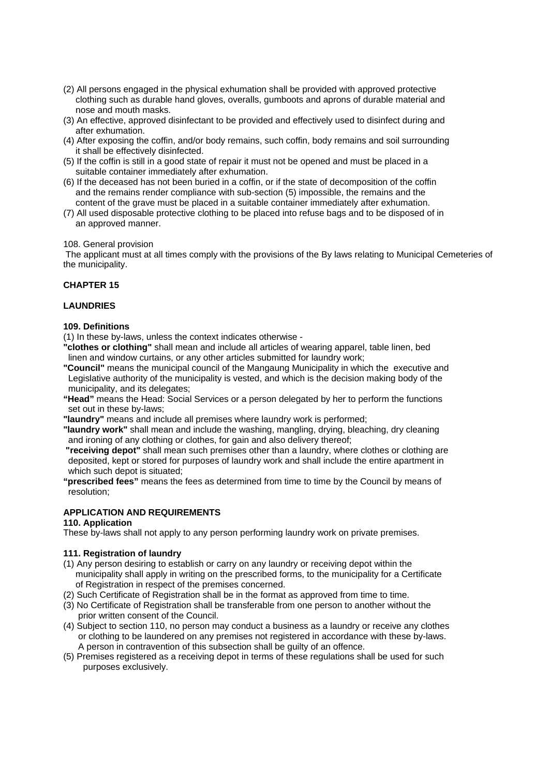- (2) All persons engaged in the physical exhumation shall be provided with approved protective clothing such as durable hand gloves, overalls, gumboots and aprons of durable material and nose and mouth masks.
- (3) An effective, approved disinfectant to be provided and effectively used to disinfect during and after exhumation.
- (4) After exposing the coffin, and/or body remains, such coffin, body remains and soil surrounding it shall be effectively disinfected.
- (5) If the coffin is still in a good state of repair it must not be opened and must be placed in a suitable container immediately after exhumation.
- (6) If the deceased has not been buried in a coffin, or if the state of decomposition of the coffin and the remains render compliance with sub-section (5) impossible, the remains and the content of the grave must be placed in a suitable container immediately after exhumation.
- (7) All used disposable protective clothing to be placed into refuse bags and to be disposed of in an approved manner.

# 108. General provision

 The applicant must at all times comply with the provisions of the By laws relating to Municipal Cemeteries of the municipality.

# **CHAPTER 15**

#### **LAUNDRIES**

#### **109. Definitions**

(1) In these by-laws, unless the context indicates otherwise -

- **"clothes or clothing"** shall mean and include all articles of wearing apparel, table linen, bed linen and window curtains, or any other articles submitted for laundry work;
- **"Council"** means the municipal council of the Mangaung Municipality in which the executive and Legislative authority of the municipality is vested, and which is the decision making body of the municipality, and its delegates;
- **"Head"** means the Head: Social Services or a person delegated by her to perform the functions set out in these by-laws;
- **"laundry"** means and include all premises where laundry work is performed;
- **"laundry work"** shall mean and include the washing, mangling, drying, bleaching, dry cleaning and ironing of any clothing or clothes, for gain and also delivery thereof;
- **"receiving depot"** shall mean such premises other than a laundry, where clothes or clothing are deposited, kept or stored for purposes of laundry work and shall include the entire apartment in which such depot is situated:
- **"prescribed fees"** means the fees as determined from time to time by the Council by means of resolution;

# **APPLICATION AND REQUIREMENTS**

# **110. Application**

These by-laws shall not apply to any person performing laundry work on private premises.

# **111. Registration of laundry**

- (1) Any person desiring to establish or carry on any laundry or receiving depot within the municipality shall apply in writing on the prescribed forms, to the municipality for a Certificate of Registration in respect of the premises concerned.
- (2) Such Certificate of Registration shall be in the format as approved from time to time.
- (3) No Certificate of Registration shall be transferable from one person to another without the prior written consent of the Council.
- (4) Subject to section 110, no person may conduct a business as a laundry or receive any clothes or clothing to be laundered on any premises not registered in accordance with these by-laws. A person in contravention of this subsection shall be guilty of an offence.
- (5) Premises registered as a receiving depot in terms of these regulations shall be used for such purposes exclusively.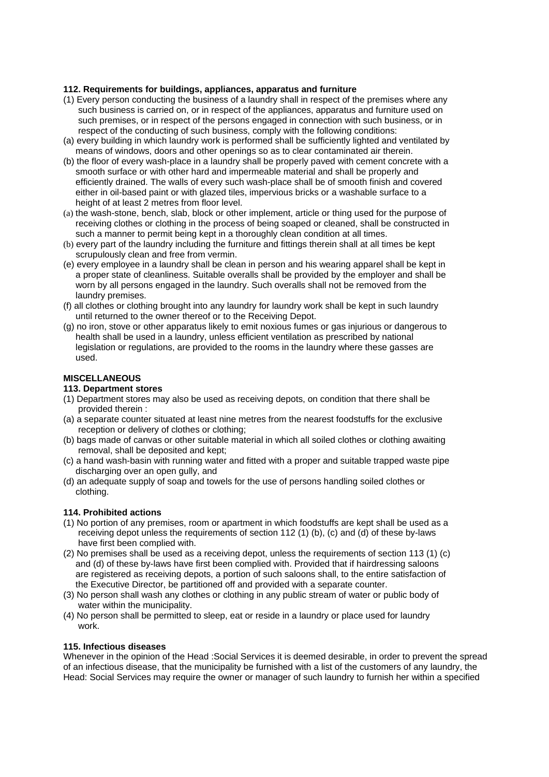# **112. Requirements for buildings, appliances, apparatus and furniture**

- (1) Every person conducting the business of a laundry shall in respect of the premises where any such business is carried on, or in respect of the appliances, apparatus and furniture used on such premises, or in respect of the persons engaged in connection with such business, or in respect of the conducting of such business, comply with the following conditions:
- (a) every building in which laundry work is performed shall be sufficiently lighted and ventilated by means of windows, doors and other openings so as to clear contaminated air therein.
- (b) the floor of every wash-place in a laundry shall be properly paved with cement concrete with a smooth surface or with other hard and impermeable material and shall be properly and efficiently drained. The walls of every such wash-place shall be of smooth finish and covered either in oil-based paint or with glazed tiles, impervious bricks or a washable surface to a height of at least 2 metres from floor level.
- (a) the wash-stone, bench, slab, block or other implement, article or thing used for the purpose of receiving clothes or clothing in the process of being soaped or cleaned, shall be constructed in such a manner to permit being kept in a thoroughly clean condition at all times.
- (b) every part of the laundry including the furniture and fittings therein shall at all times be kept scrupulously clean and free from vermin.
- (e) every employee in a laundry shall be clean in person and his wearing apparel shall be kept in a proper state of cleanliness. Suitable overalls shall be provided by the employer and shall be worn by all persons engaged in the laundry. Such overalls shall not be removed from the laundry premises.
- (f) all clothes or clothing brought into any laundry for laundry work shall be kept in such laundry until returned to the owner thereof or to the Receiving Depot.
- (g) no iron, stove or other apparatus likely to emit noxious fumes or gas injurious or dangerous to health shall be used in a laundry, unless efficient ventilation as prescribed by national legislation or regulations, are provided to the rooms in the laundry where these gasses are used.

# **MISCELLANEOUS**

# **113. Department stores**

- (1) Department stores may also be used as receiving depots, on condition that there shall be provided therein :
- (a) a separate counter situated at least nine metres from the nearest foodstuffs for the exclusive reception or delivery of clothes or clothing;
- (b) bags made of canvas or other suitable material in which all soiled clothes or clothing awaiting removal, shall be deposited and kept;
- (c) a hand wash-basin with running water and fitted with a proper and suitable trapped waste pipe discharging over an open gully, and
- (d) an adequate supply of soap and towels for the use of persons handling soiled clothes or clothing.

# **114. Prohibited actions**

- (1) No portion of any premises, room or apartment in which foodstuffs are kept shall be used as a receiving depot unless the requirements of section 112 (1) (b), (c) and (d) of these by-laws have first been complied with.
- (2) No premises shall be used as a receiving depot, unless the requirements of section 113 (1) (c) and (d) of these by-laws have first been complied with. Provided that if hairdressing saloons are registered as receiving depots, a portion of such saloons shall, to the entire satisfaction of the Executive Director, be partitioned off and provided with a separate counter.
- (3) No person shall wash any clothes or clothing in any public stream of water or public body of water within the municipality.
- (4) No person shall be permitted to sleep, eat or reside in a laundry or place used for laundry work.

#### **115. Infectious diseases**

Whenever in the opinion of the Head :Social Services it is deemed desirable, in order to prevent the spread of an infectious disease, that the municipality be furnished with a list of the customers of any laundry, the Head: Social Services may require the owner or manager of such laundry to furnish her within a specified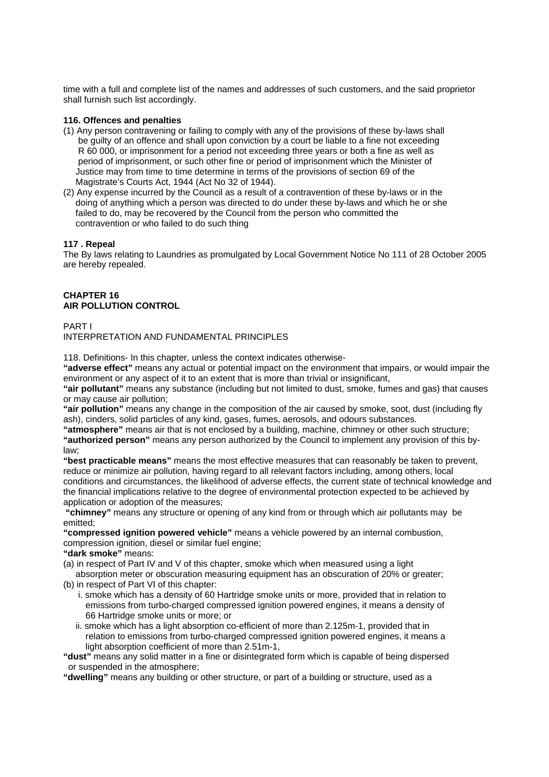time with a full and complete list of the names and addresses of such customers, and the said proprietor shall furnish such list accordingly.

# **116. Offences and penalties**

- (1) Any person contravening or failing to comply with any of the provisions of these by-laws shall be guilty of an offence and shall upon conviction by a court be liable to a fine not exceeding R 60 000, or imprisonment for a period not exceeding three years or both a fine as well as period of imprisonment, or such other fine or period of imprisonment which the Minister of Justice may from time to time determine in terms of the provisions of section 69 of the Magistrate's Courts Act, 1944 (Act No 32 of 1944).
- (2) Any expense incurred by the Council as a result of a contravention of these by-laws or in the doing of anything which a person was directed to do under these by-laws and which he or she failed to do, may be recovered by the Council from the person who committed the contravention or who failed to do such thing

# **117 . Repeal**

The By laws relating to Laundries as promulgated by Local Government Notice No 111 of 28 October 2005 are hereby repealed.

# **CHAPTER 16 AIR POLLUTION CONTROL**

PART I

INTERPRETATION AND FUNDAMENTAL PRINCIPLES

118. Definitions- In this chapter, unless the context indicates otherwise-

**"adverse effect"** means any actual or potential impact on the environment that impairs, or would impair the environment or any aspect of it to an extent that is more than trivial or insignificant,

**"air pollutant"** means any substance (including but not limited to dust, smoke, fumes and gas) that causes or may cause air pollution;

**"air pollution"** means any change in the composition of the air caused by smoke, soot, dust (including fly ash), cinders, solid particles of any kind, gases, fumes, aerosols, and odours substances.

**"atmosphere"** means air that is not enclosed by a building, machine, chimney or other such structure; **"authorized person"** means any person authorized by the Council to implement any provision of this bylaw;

**"best practicable means"** means the most effective measures that can reasonably be taken to prevent, reduce or minimize air pollution, having regard to all relevant factors including, among others, local conditions and circumstances, the likelihood of adverse effects, the current state of technical knowledge and the financial implications relative to the degree of environmental protection expected to be achieved by application or adoption of the measures;

**"chimney"** means any structure or opening of any kind from or through which air pollutants may be emitted;

**"compressed ignition powered vehicle"** means a vehicle powered by an internal combustion, compression ignition, diesel or similar fuel engine;

**"dark smoke"** means:

(a) in respect of Part IV and V of this chapter, smoke which when measured using a light

- absorption meter or obscuration measuring equipment has an obscuration of 20% or greater; (b) in respect of Part VI of this chapter:
	- i. smoke which has a density of 60 Hartridge smoke units or more, provided that in relation to emissions from turbo-charged compressed ignition powered engines, it means a density of 66 Hartridge smoke units or more; or
	- ii. smoke which has a light absorption co-efficient of more than 2.125m-1, provided that in relation to emissions from turbo-charged compressed ignition powered engines, it means a light absorption coefficient of more than 2.51m-1,

**"dust"** means any solid matter in a fine or disintegrated form which is capable of being dispersed or suspended in the atmosphere;

**"dwelling"** means any building or other structure, or part of a building or structure, used as a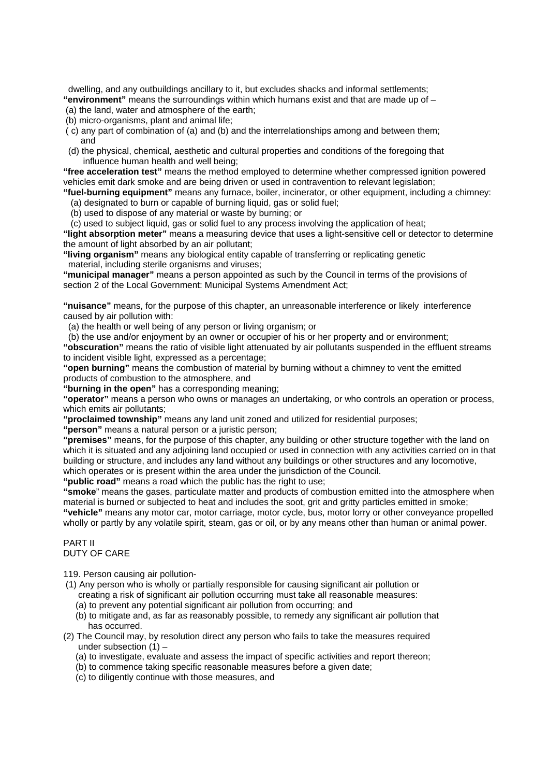dwelling, and any outbuildings ancillary to it, but excludes shacks and informal settlements; **"environment"** means the surroundings within which humans exist and that are made up of –

(a) the land, water and atmosphere of the earth;

(b) micro-organisms, plant and animal life;

 ( c) any part of combination of (a) and (b) and the interrelationships among and between them; and

 (d) the physical, chemical, aesthetic and cultural properties and conditions of the foregoing that influence human health and well being;

**"free acceleration test"** means the method employed to determine whether compressed ignition powered vehicles emit dark smoke and are being driven or used in contravention to relevant legislation;

**"fuel-burning equipment"** means any furnace, boiler, incinerator, or other equipment, including a chimney: (a) designated to burn or capable of burning liquid, gas or solid fuel;

(b) used to dispose of any material or waste by burning; or

(c) used to subject liquid, gas or solid fuel to any process involving the application of heat;

**"light absorption meter"** means a measuring device that uses a light-sensitive cell or detector to determine the amount of light absorbed by an air pollutant;

**"living organism"** means any biological entity capable of transferring or replicating genetic material, including sterile organisms and viruses;

**"municipal manager"** means a person appointed as such by the Council in terms of the provisions of section 2 of the Local Government: Municipal Systems Amendment Act;

**"nuisance"** means, for the purpose of this chapter, an unreasonable interference or likely interference caused by air pollution with:

(a) the health or well being of any person or living organism; or

(b) the use and/or enjoyment by an owner or occupier of his or her property and or environment;

**"obscuration"** means the ratio of visible light attenuated by air pollutants suspended in the effluent streams to incident visible light, expressed as a percentage;

**"open burning"** means the combustion of material by burning without a chimney to vent the emitted products of combustion to the atmosphere, and

**"burning in the open"** has a corresponding meaning;

**"operator"** means a person who owns or manages an undertaking, or who controls an operation or process, which emits air pollutants;

**"proclaimed township"** means any land unit zoned and utilized for residential purposes;

**"person"** means a natural person or a juristic person;

**"premises"** means, for the purpose of this chapter, any building or other structure together with the land on which it is situated and any adjoining land occupied or used in connection with any activities carried on in that building or structure, and includes any land without any buildings or other structures and any locomotive, which operates or is present within the area under the jurisdiction of the Council.

**"public road"** means a road which the public has the right to use;

**"smoke**" means the gases, particulate matter and products of combustion emitted into the atmosphere when material is burned or subjected to heat and includes the soot, grit and gritty particles emitted in smoke; **"vehicle"** means any motor car, motor carriage, motor cycle, bus, motor lorry or other conveyance propelled wholly or partly by any volatile spirit, steam, gas or oil, or by any means other than human or animal power.

# PART II DUTY OF CARE

119. Person causing air pollution-

(1) Any person who is wholly or partially responsible for causing significant air pollution or

creating a risk of significant air pollution occurring must take all reasonable measures:

- (a) to prevent any potential significant air pollution from occurring; and
- (b) to mitigate and, as far as reasonably possible, to remedy any significant air pollution that has occurred.
- (2) The Council may, by resolution direct any person who fails to take the measures required under subsection (1) –
	- (a) to investigate, evaluate and assess the impact of specific activities and report thereon;
	- (b) to commence taking specific reasonable measures before a given date;
	- (c) to diligently continue with those measures, and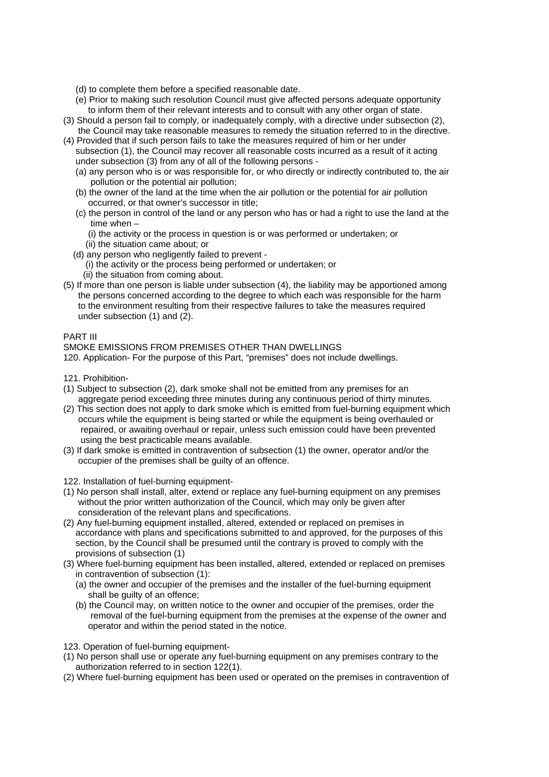- (d) to complete them before a specified reasonable date.
- (e) Prior to making such resolution Council must give affected persons adequate opportunity to inform them of their relevant interests and to consult with any other organ of state.
- (3) Should a person fail to comply, or inadequately comply, with a directive under subsection (2), the Council may take reasonable measures to remedy the situation referred to in the directive.
- (4) Provided that if such person fails to take the measures required of him or her under subsection (1), the Council may recover all reasonable costs incurred as a result of it acting under subsection (3) from any of all of the following persons -
	- (a) any person who is or was responsible for, or who directly or indirectly contributed to, the air pollution or the potential air pollution;
	- (b) the owner of the land at the time when the air pollution or the potential for air pollution occurred, or that owner's successor in title;
	- (c) the person in control of the land or any person who has or had a right to use the land at the time when –
		- (i) the activity or the process in question is or was performed or undertaken; or (ii) the situation came about; or
	- (d) any person who negligently failed to prevent
		- (i) the activity or the process being performed or undertaken; or
		- (ii) the situation from coming about.
- (5) If more than one person is liable under subsection (4), the liability may be apportioned among the persons concerned according to the degree to which each was responsible for the harm to the environment resulting from their respective failures to take the measures required under subsection (1) and (2).

# PART III

SMOKE EMISSIONS FROM PREMISES OTHER THAN DWELLINGS

120. Application- For the purpose of this Part, "premises" does not include dwellings.

121. Prohibition-

- (1) Subject to subsection (2), dark smoke shall not be emitted from any premises for an aggregate period exceeding three minutes during any continuous period of thirty minutes.
- (2) This section does not apply to dark smoke which is emitted from fuel-burning equipment which occurs while the equipment is being started or while the equipment is being overhauled or repaired, or awaiting overhaul or repair, unless such emission could have been prevented using the best practicable means available.
- (3) If dark smoke is emitted in contravention of subsection (1) the owner, operator and/or the occupier of the premises shall be guilty of an offence.

122. Installation of fuel-burning equipment-

- (1) No person shall install, alter, extend or replace any fuel-burning equipment on any premises without the prior written authorization of the Council, which may only be given after consideration of the relevant plans and specifications.
- (2) Any fuel-burning equipment installed, altered, extended or replaced on premises in accordance with plans and specifications submitted to and approved, for the purposes of this section, by the Council shall be presumed until the contrary is proved to comply with the provisions of subsection (1)
- (3) Where fuel-burning equipment has been installed, altered, extended or replaced on premises in contravention of subsection (1):
	- (a) the owner and occupier of the premises and the installer of the fuel-burning equipment shall be quilty of an offence:
	- (b) the Council may, on written notice to the owner and occupier of the premises, order the removal of the fuel-burning equipment from the premises at the expense of the owner and operator and within the period stated in the notice.

123. Operation of fuel-burning equipment-

- (1) No person shall use or operate any fuel-burning equipment on any premises contrary to the authorization referred to in section 122(1).
- (2) Where fuel-burning equipment has been used or operated on the premises in contravention of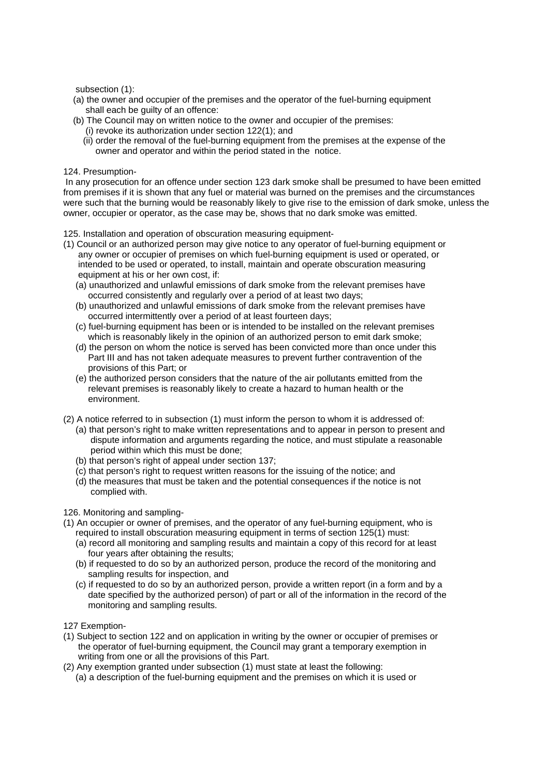subsection (1):

- (a) the owner and occupier of the premises and the operator of the fuel-burning equipment shall each be quilty of an offence:
- (b) The Council may on written notice to the owner and occupier of the premises:
	- (i) revoke its authorization under section 122(1); and
	- (ii) order the removal of the fuel-burning equipment from the premises at the expense of the owner and operator and within the period stated in the notice.

# 124. Presumption-

 In any prosecution for an offence under section 123 dark smoke shall be presumed to have been emitted from premises if it is shown that any fuel or material was burned on the premises and the circumstances were such that the burning would be reasonably likely to give rise to the emission of dark smoke, unless the owner, occupier or operator, as the case may be, shows that no dark smoke was emitted.

125. Installation and operation of obscuration measuring equipment-

- (1) Council or an authorized person may give notice to any operator of fuel-burning equipment or any owner or occupier of premises on which fuel-burning equipment is used or operated, or intended to be used or operated, to install, maintain and operate obscuration measuring equipment at his or her own cost, if:
	- (a) unauthorized and unlawful emissions of dark smoke from the relevant premises have occurred consistently and regularly over a period of at least two days;
	- (b) unauthorized and unlawful emissions of dark smoke from the relevant premises have occurred intermittently over a period of at least fourteen days;
	- (c) fuel-burning equipment has been or is intended to be installed on the relevant premises which is reasonably likely in the opinion of an authorized person to emit dark smoke;
	- (d) the person on whom the notice is served has been convicted more than once under this Part III and has not taken adequate measures to prevent further contravention of the provisions of this Part; or
	- (e) the authorized person considers that the nature of the air pollutants emitted from the relevant premises is reasonably likely to create a hazard to human health or the environment.
- (2) A notice referred to in subsection (1) must inform the person to whom it is addressed of:
	- (a) that person's right to make written representations and to appear in person to present and dispute information and arguments regarding the notice, and must stipulate a reasonable period within which this must be done;
	- (b) that person's right of appeal under section 137;
	- (c) that person's right to request written reasons for the issuing of the notice; and
	- (d) the measures that must be taken and the potential consequences if the notice is not complied with.

126. Monitoring and sampling-

- (1) An occupier or owner of premises, and the operator of any fuel-burning equipment, who is required to install obscuration measuring equipment in terms of section 125(1) must:
	- (a) record all monitoring and sampling results and maintain a copy of this record for at least four years after obtaining the results;
	- (b) if requested to do so by an authorized person, produce the record of the monitoring and sampling results for inspection, and
	- (c) if requested to do so by an authorized person, provide a written report (in a form and by a date specified by the authorized person) of part or all of the information in the record of the monitoring and sampling results.

127 Exemption-

- (1) Subject to section 122 and on application in writing by the owner or occupier of premises or the operator of fuel-burning equipment, the Council may grant a temporary exemption in writing from one or all the provisions of this Part.
- (2) Any exemption granted under subsection (1) must state at least the following:
	- (a) a description of the fuel-burning equipment and the premises on which it is used or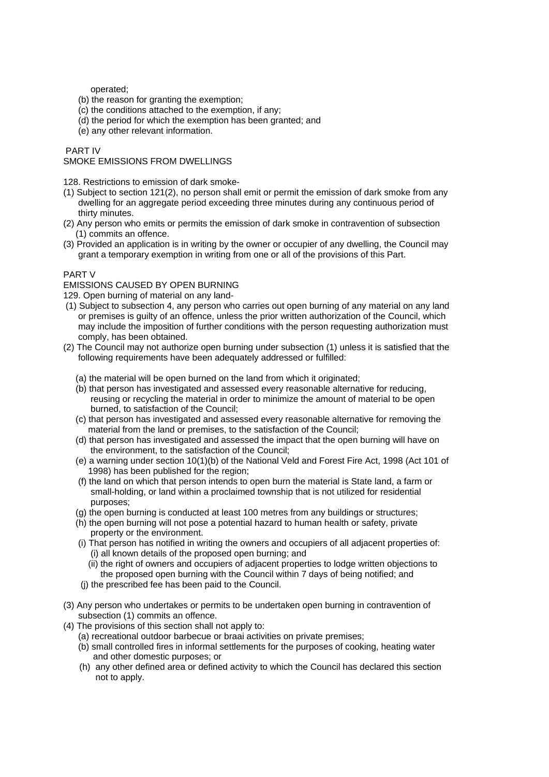operated;

- (b) the reason for granting the exemption:
- (c) the conditions attached to the exemption, if any;
- (d) the period for which the exemption has been granted; and
- (e) any other relevant information.

# PART IV

# SMOKE EMISSIONS FROM DWELLINGS

128. Restrictions to emission of dark smoke-

- (1) Subject to section 121(2), no person shall emit or permit the emission of dark smoke from any dwelling for an aggregate period exceeding three minutes during any continuous period of thirty minutes.
- (2) Any person who emits or permits the emission of dark smoke in contravention of subsection (1) commits an offence.
- (3) Provided an application is in writing by the owner or occupier of any dwelling, the Council may grant a temporary exemption in writing from one or all of the provisions of this Part.

# PART V

# EMISSIONS CAUSED BY OPEN BURNING

129. Open burning of material on any land-

- (1) Subject to subsection 4, any person who carries out open burning of any material on any land or premises is guilty of an offence, unless the prior written authorization of the Council, which may include the imposition of further conditions with the person requesting authorization must comply, has been obtained.
- (2) The Council may not authorize open burning under subsection (1) unless it is satisfied that the following requirements have been adequately addressed or fulfilled:
	- (a) the material will be open burned on the land from which it originated;
	- (b) that person has investigated and assessed every reasonable alternative for reducing, reusing or recycling the material in order to minimize the amount of material to be open burned, to satisfaction of the Council;
	- (c) that person has investigated and assessed every reasonable alternative for removing the material from the land or premises, to the satisfaction of the Council;
	- (d) that person has investigated and assessed the impact that the open burning will have on the environment, to the satisfaction of the Council;
	- (e) a warning under section 10(1)(b) of the National Veld and Forest Fire Act, 1998 (Act 101 of 1998) has been published for the region;
	- (f) the land on which that person intends to open burn the material is State land, a farm or small-holding, or land within a proclaimed township that is not utilized for residential purposes;
	- (g) the open burning is conducted at least 100 metres from any buildings or structures;
	- (h) the open burning will not pose a potential hazard to human health or safety, private property or the environment.
	- (i) That person has notified in writing the owners and occupiers of all adjacent properties of: (i) all known details of the proposed open burning; and
		- (ii) the right of owners and occupiers of adjacent properties to lodge written objections to the proposed open burning with the Council within 7 days of being notified; and
	- (j) the prescribed fee has been paid to the Council.
- (3) Any person who undertakes or permits to be undertaken open burning in contravention of subsection (1) commits an offence.
- (4) The provisions of this section shall not apply to:
	- (a) recreational outdoor barbecue or braai activities on private premises;
	- (b) small controlled fires in informal settlements for the purposes of cooking, heating water and other domestic purposes; or
	- (h) any other defined area or defined activity to which the Council has declared this section not to apply.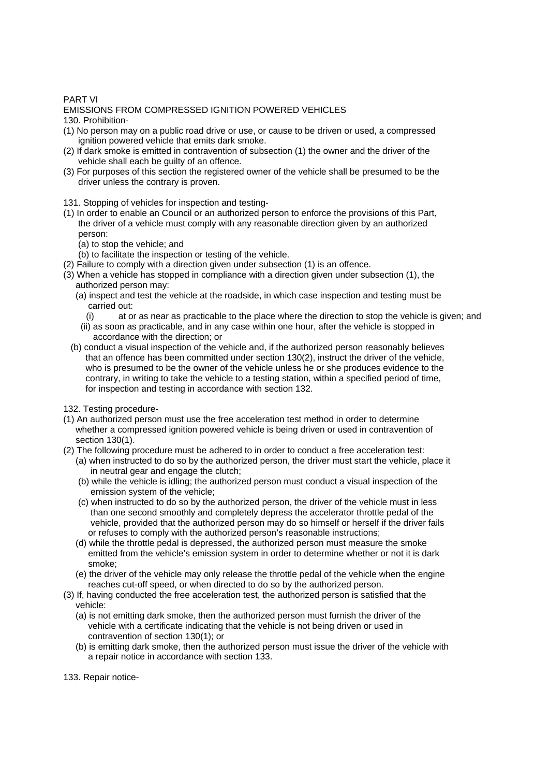# PART VI

EMISSIONS FROM COMPRESSED IGNITION POWERED VEHICLES 130. Prohibition-

- (1) No person may on a public road drive or use, or cause to be driven or used, a compressed ignition powered vehicle that emits dark smoke.
- (2) If dark smoke is emitted in contravention of subsection (1) the owner and the driver of the vehicle shall each be guilty of an offence.
- (3) For purposes of this section the registered owner of the vehicle shall be presumed to be the driver unless the contrary is proven.
- 131. Stopping of vehicles for inspection and testing-
- (1) In order to enable an Council or an authorized person to enforce the provisions of this Part, the driver of a vehicle must comply with any reasonable direction given by an authorized person:
	- (a) to stop the vehicle; and
	- (b) to facilitate the inspection or testing of the vehicle.
- (2) Failure to comply with a direction given under subsection (1) is an offence.
- (3) When a vehicle has stopped in compliance with a direction given under subsection (1), the authorized person may:
	- (a) inspect and test the vehicle at the roadside, in which case inspection and testing must be carried out:
	- (i) at or as near as practicable to the place where the direction to stop the vehicle is given; and (ii) as soon as practicable, and in any case within one hour, after the vehicle is stopped in accordance with the direction; or
	- (b) conduct a visual inspection of the vehicle and, if the authorized person reasonably believes that an offence has been committed under section 130(2), instruct the driver of the vehicle, who is presumed to be the owner of the vehicle unless he or she produces evidence to the contrary, in writing to take the vehicle to a testing station, within a specified period of time, for inspection and testing in accordance with section 132.

132. Testing procedure-

- (1) An authorized person must use the free acceleration test method in order to determine whether a compressed ignition powered vehicle is being driven or used in contravention of section 130(1).
- (2) The following procedure must be adhered to in order to conduct a free acceleration test: (a) when instructed to do so by the authorized person, the driver must start the vehicle, place it in neutral gear and engage the clutch;
	- (b) while the vehicle is idling; the authorized person must conduct a visual inspection of the emission system of the vehicle;
	- (c) when instructed to do so by the authorized person, the driver of the vehicle must in less than one second smoothly and completely depress the accelerator throttle pedal of the vehicle, provided that the authorized person may do so himself or herself if the driver fails or refuses to comply with the authorized person's reasonable instructions;
	- (d) while the throttle pedal is depressed, the authorized person must measure the smoke emitted from the vehicle's emission system in order to determine whether or not it is dark smoke;
	- (e) the driver of the vehicle may only release the throttle pedal of the vehicle when the engine reaches cut-off speed, or when directed to do so by the authorized person.
- (3) If, having conducted the free acceleration test, the authorized person is satisfied that the vehicle:
	- (a) is not emitting dark smoke, then the authorized person must furnish the driver of the vehicle with a certificate indicating that the vehicle is not being driven or used in contravention of section 130(1); or
	- (b) is emitting dark smoke, then the authorized person must issue the driver of the vehicle with a repair notice in accordance with section 133.

133. Repair notice-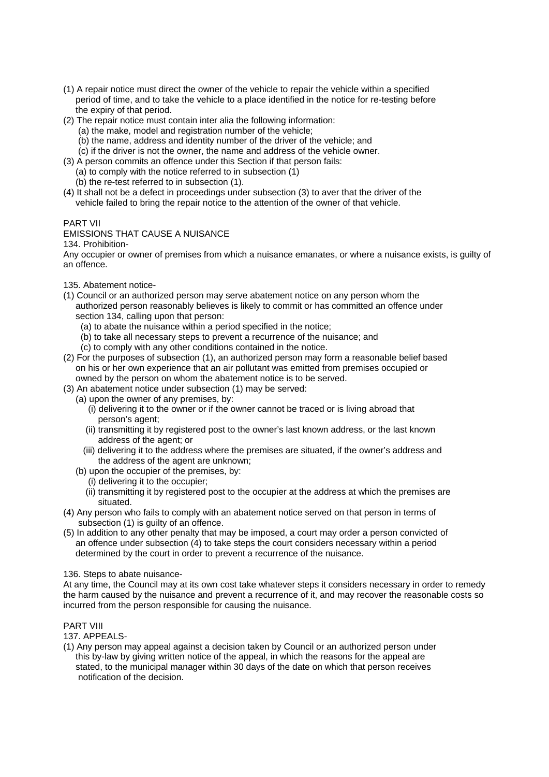- (1) A repair notice must direct the owner of the vehicle to repair the vehicle within a specified period of time, and to take the vehicle to a place identified in the notice for re-testing before the expiry of that period.
- (2) The repair notice must contain inter alia the following information:
	- (a) the make, model and registration number of the vehicle;
	- (b) the name, address and identity number of the driver of the vehicle; and
	- (c) if the driver is not the owner, the name and address of the vehicle owner.
- (3) A person commits an offence under this Section if that person fails: (a) to comply with the notice referred to in subsection (1)
	- (b) the re-test referred to in subsection (1).
- (4) It shall not be a defect in proceedings under subsection (3) to aver that the driver of the vehicle failed to bring the repair notice to the attention of the owner of that vehicle.

# PART VII

# EMISSIONS THAT CAUSE A NUISANCE

134. Prohibition-

Any occupier or owner of premises from which a nuisance emanates, or where a nuisance exists, is guilty of an offence.

135. Abatement notice-

- (1) Council or an authorized person may serve abatement notice on any person whom the authorized person reasonably believes is likely to commit or has committed an offence under section 134, calling upon that person:
	- (a) to abate the nuisance within a period specified in the notice;
	- (b) to take all necessary steps to prevent a recurrence of the nuisance; and
	- (c) to comply with any other conditions contained in the notice.
- (2) For the purposes of subsection (1), an authorized person may form a reasonable belief based on his or her own experience that an air pollutant was emitted from premises occupied or owned by the person on whom the abatement notice is to be served.
- (3) An abatement notice under subsection (1) may be served:
- (a) upon the owner of any premises, by:
	- (i) delivering it to the owner or if the owner cannot be traced or is living abroad that person's agent;
	- (ii) transmitting it by registered post to the owner's last known address, or the last known address of the agent; or
	- (iii) delivering it to the address where the premises are situated, if the owner's address and the address of the agent are unknown;
	- (b) upon the occupier of the premises, by:
		- (i) delivering it to the occupier;
		- (ii) transmitting it by registered post to the occupier at the address at which the premises are situated.
- (4) Any person who fails to comply with an abatement notice served on that person in terms of subsection (1) is guilty of an offence.
- (5) In addition to any other penalty that may be imposed, a court may order a person convicted of an offence under subsection (4) to take steps the court considers necessary within a period determined by the court in order to prevent a recurrence of the nuisance.

136. Steps to abate nuisance-

At any time, the Council may at its own cost take whatever steps it considers necessary in order to remedy the harm caused by the nuisance and prevent a recurrence of it, and may recover the reasonable costs so incurred from the person responsible for causing the nuisance.

# PART VIII

137. APPEALS-

(1) Any person may appeal against a decision taken by Council or an authorized person under this by-law by giving written notice of the appeal, in which the reasons for the appeal are stated, to the municipal manager within 30 days of the date on which that person receives notification of the decision.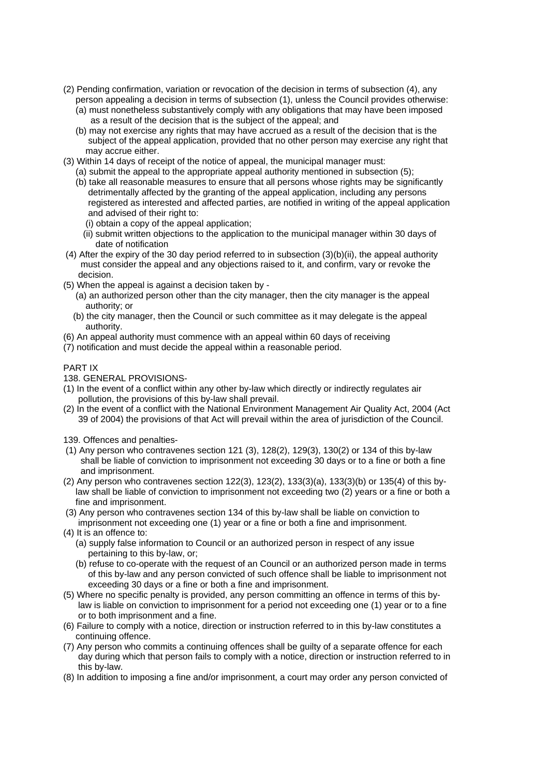- (2) Pending confirmation, variation or revocation of the decision in terms of subsection (4), any person appealing a decision in terms of subsection (1), unless the Council provides otherwise: (a) must nonetheless substantively comply with any obligations that may have been imposed
	- as a result of the decision that is the subject of the appeal; and
	- (b) may not exercise any rights that may have accrued as a result of the decision that is the subject of the appeal application, provided that no other person may exercise any right that may accrue either.
- (3) Within 14 days of receipt of the notice of appeal, the municipal manager must:
	- (a) submit the appeal to the appropriate appeal authority mentioned in subsection (5); (b) take all reasonable measures to ensure that all persons whose rights may be significantly detrimentally affected by the granting of the appeal application, including any persons registered as interested and affected parties, are notified in writing of the appeal application and advised of their right to:
		- (i) obtain a copy of the appeal application;
		- (ii) submit written objections to the application to the municipal manager within 30 days of date of notification
- (4) After the expiry of the 30 day period referred to in subsection (3)(b)(ii), the appeal authority must consider the appeal and any objections raised to it, and confirm, vary or revoke the decision.
- (5) When the appeal is against a decision taken by
	- (a) an authorized person other than the city manager, then the city manager is the appeal authority; or
	- (b) the city manager, then the Council or such committee as it may delegate is the appeal authority.
- (6) An appeal authority must commence with an appeal within 60 days of receiving
- (7) notification and must decide the appeal within a reasonable period.

# PART IX

138. GENERAL PROVISIONS-

- (1) In the event of a conflict within any other by-law which directly or indirectly regulates air pollution, the provisions of this by-law shall prevail.
- (2) In the event of a conflict with the National Environment Management Air Quality Act, 2004 (Act 39 of 2004) the provisions of that Act will prevail within the area of jurisdiction of the Council.

139. Offences and penalties-

- (1) Any person who contravenes section 121 (3), 128(2), 129(3), 130(2) or 134 of this by-law shall be liable of conviction to imprisonment not exceeding 30 days or to a fine or both a fine and imprisonment.
- (2) Any person who contravenes section 122(3), 123(2), 133(3)(a), 133(3)(b) or 135(4) of this by law shall be liable of conviction to imprisonment not exceeding two (2) years or a fine or both a fine and imprisonment.
- (3) Any person who contravenes section 134 of this by-law shall be liable on conviction to imprisonment not exceeding one (1) year or a fine or both a fine and imprisonment.
- (4) It is an offence to:
	- (a) supply false information to Council or an authorized person in respect of any issue pertaining to this by-law, or;
	- (b) refuse to co-operate with the request of an Council or an authorized person made in terms of this by-law and any person convicted of such offence shall be liable to imprisonment not exceeding 30 days or a fine or both a fine and imprisonment.
- (5) Where no specific penalty is provided, any person committing an offence in terms of this by law is liable on conviction to imprisonment for a period not exceeding one (1) year or to a fine or to both imprisonment and a fine.
- (6) Failure to comply with a notice, direction or instruction referred to in this by-law constitutes a continuing offence.
- (7) Any person who commits a continuing offences shall be guilty of a separate offence for each day during which that person fails to comply with a notice, direction or instruction referred to in this by-law.
- (8) In addition to imposing a fine and/or imprisonment, a court may order any person convicted of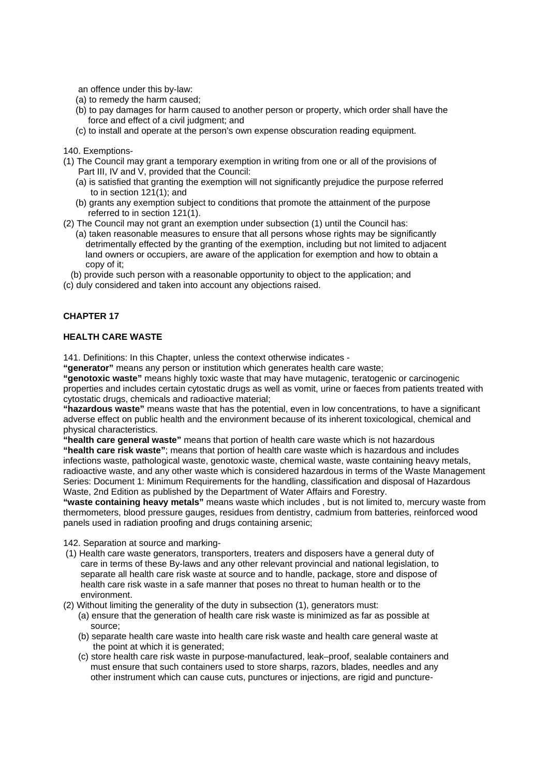an offence under this by-law:

- (a) to remedy the harm caused;
- (b) to pay damages for harm caused to another person or property, which order shall have the force and effect of a civil judgment; and
- (c) to install and operate at the person's own expense obscuration reading equipment.

140. Exemptions-

- (1) The Council may grant a temporary exemption in writing from one or all of the provisions of Part III, IV and V, provided that the Council:
	- (a) is satisfied that granting the exemption will not significantly prejudice the purpose referred to in section 121(1); and
	- (b) grants any exemption subject to conditions that promote the attainment of the purpose referred to in section 121(1).
- (2) The Council may not grant an exemption under subsection (1) until the Council has:
	- (a) taken reasonable measures to ensure that all persons whose rights may be significantly detrimentally effected by the granting of the exemption, including but not limited to adjacent land owners or occupiers, are aware of the application for exemption and how to obtain a copy of it;

(b) provide such person with a reasonable opportunity to object to the application; and

(c) duly considered and taken into account any objections raised.

# **CHAPTER 17**

#### **HEALTH CARE WASTE**

141. Definitions: In this Chapter, unless the context otherwise indicates -

**"generator"** means any person or institution which generates health care waste;

**"genotoxic waste"** means highly toxic waste that may have mutagenic, teratogenic or carcinogenic properties and includes certain cytostatic drugs as well as vomit, urine or faeces from patients treated with cytostatic drugs, chemicals and radioactive material;

**"hazardous waste"** means waste that has the potential, even in low concentrations, to have a significant adverse effect on public health and the environment because of its inherent toxicological, chemical and physical characteristics.

**"health care general waste"** means that portion of health care waste which is not hazardous **"health care risk waste"**; means that portion of health care waste which is hazardous and includes infections waste, pathological waste, genotoxic waste, chemical waste, waste containing heavy metals, radioactive waste, and any other waste which is considered hazardous in terms of the Waste Management Series: Document 1: Minimum Requirements for the handling, classification and disposal of Hazardous Waste, 2nd Edition as published by the Department of Water Affairs and Forestry.

**"waste containing heavy metals"** means waste which includes , but is not limited to, mercury waste from thermometers, blood pressure gauges, residues from dentistry, cadmium from batteries, reinforced wood panels used in radiation proofing and drugs containing arsenic;

142. Separation at source and marking-

- (1) Health care waste generators, transporters, treaters and disposers have a general duty of care in terms of these By-laws and any other relevant provincial and national legislation, to separate all health care risk waste at source and to handle, package, store and dispose of health care risk waste in a safe manner that poses no threat to human health or to the environment.
- (2) Without limiting the generality of the duty in subsection (1), generators must:
	- (a) ensure that the generation of health care risk waste is minimized as far as possible at source;
	- (b) separate health care waste into health care risk waste and health care general waste at the point at which it is generated;
	- (c) store health care risk waste in purpose-manufactured, leak–proof, sealable containers and must ensure that such containers used to store sharps, razors, blades, needles and any other instrument which can cause cuts, punctures or injections, are rigid and puncture-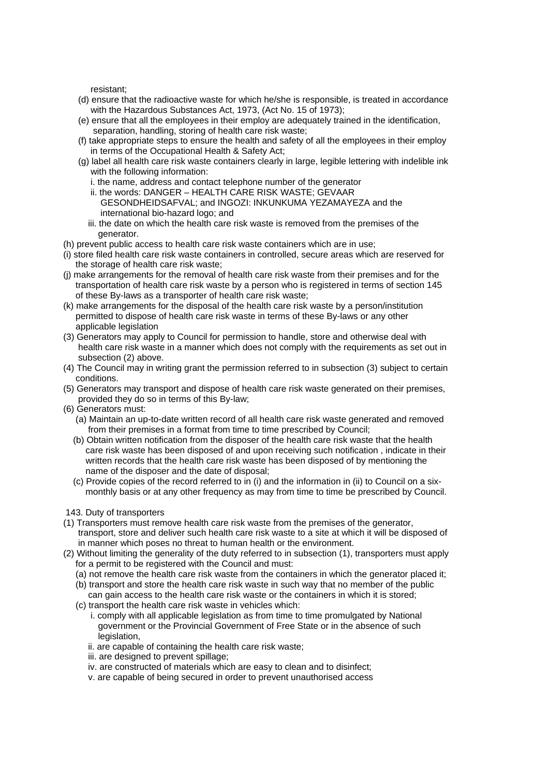resistant;

- (d) ensure that the radioactive waste for which he/she is responsible, is treated in accordance with the Hazardous Substances Act, 1973, (Act No. 15 of 1973);
- (e) ensure that all the employees in their employ are adequately trained in the identification, separation, handling, storing of health care risk waste;
- (f) take appropriate steps to ensure the health and safety of all the employees in their employ in terms of the Occupational Health & Safety Act;
- (g) label all health care risk waste containers clearly in large, legible lettering with indelible ink with the following information:
	- i. the name, address and contact telephone number of the generator
	- ii. the words: DANGER HEALTH CARE RISK WASTE; GEVAAR GESONDHEIDSAFVAL; and INGOZI: INKUNKUMA YEZAMAYEZA and the international bio-hazard logo; and
	- iii. the date on which the health care risk waste is removed from the premises of the generator.
- (h) prevent public access to health care risk waste containers which are in use;
- (i) store filed health care risk waste containers in controlled, secure areas which are reserved for the storage of health care risk waste;
- (j) make arrangements for the removal of health care risk waste from their premises and for the transportation of health care risk waste by a person who is registered in terms of section 145 of these By-laws as a transporter of health care risk waste;
- (k) make arrangements for the disposal of the health care risk waste by a person/institution permitted to dispose of health care risk waste in terms of these By-laws or any other applicable legislation
- (3) Generators may apply to Council for permission to handle, store and otherwise deal with health care risk waste in a manner which does not comply with the requirements as set out in subsection (2) above.
- (4) The Council may in writing grant the permission referred to in subsection (3) subject to certain conditions.
- (5) Generators may transport and dispose of health care risk waste generated on their premises, provided they do so in terms of this By-law;
- (6) Generators must:
	- (a) Maintain an up-to-date written record of all health care risk waste generated and removed from their premises in a format from time to time prescribed by Council;
	- (b) Obtain written notification from the disposer of the health care risk waste that the health care risk waste has been disposed of and upon receiving such notification , indicate in their written records that the health care risk waste has been disposed of by mentioning the name of the disposer and the date of disposal;
	- (c) Provide copies of the record referred to in (i) and the information in (ii) to Council on a six monthly basis or at any other frequency as may from time to time be prescribed by Council.
- 143. Duty of transporters
- (1) Transporters must remove health care risk waste from the premises of the generator, transport, store and deliver such health care risk waste to a site at which it will be disposed of in manner which poses no threat to human health or the environment.
- (2) Without limiting the generality of the duty referred to in subsection (1), transporters must apply for a permit to be registered with the Council and must:
	- (a) not remove the health care risk waste from the containers in which the generator placed it;
	- (b) transport and store the health care risk waste in such way that no member of the public can gain access to the health care risk waste or the containers in which it is stored;
	- (c) transport the health care risk waste in vehicles which:
		- i. comply with all applicable legislation as from time to time promulgated by National government or the Provincial Government of Free State or in the absence of such legislation,
		- ii. are capable of containing the health care risk waste;
		- iii. are designed to prevent spillage;
		- iv. are constructed of materials which are easy to clean and to disinfect;
		- v. are capable of being secured in order to prevent unauthorised access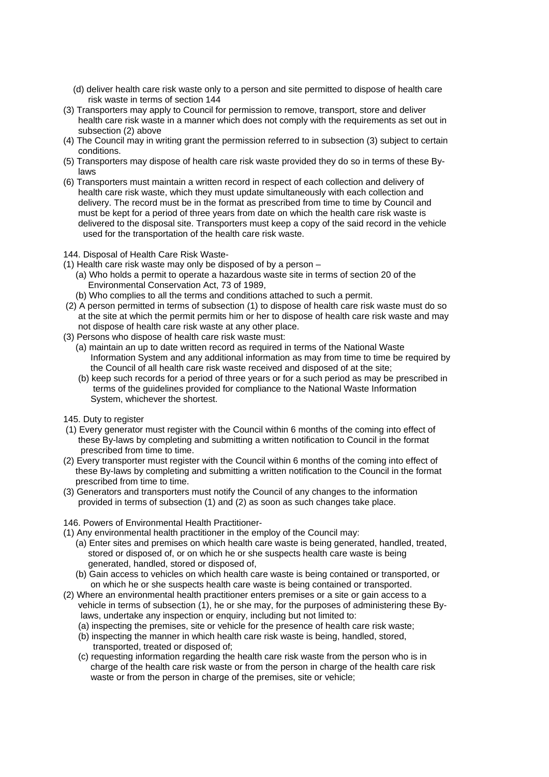- (d) deliver health care risk waste only to a person and site permitted to dispose of health care risk waste in terms of section 144
- (3) Transporters may apply to Council for permission to remove, transport, store and deliver health care risk waste in a manner which does not comply with the requirements as set out in subsection (2) above
- (4) The Council may in writing grant the permission referred to in subsection (3) subject to certain conditions.
- (5) Transporters may dispose of health care risk waste provided they do so in terms of these By laws
- (6) Transporters must maintain a written record in respect of each collection and delivery of health care risk waste, which they must update simultaneously with each collection and delivery. The record must be in the format as prescribed from time to time by Council and must be kept for a period of three years from date on which the health care risk waste is delivered to the disposal site. Transporters must keep a copy of the said record in the vehicle used for the transportation of the health care risk waste.

#### 144. Disposal of Health Care Risk Waste-

- (1) Health care risk waste may only be disposed of by a person
	- (a) Who holds a permit to operate a hazardous waste site in terms of section 20 of the Environmental Conservation Act, 73 of 1989,
	- (b) Who complies to all the terms and conditions attached to such a permit.
- (2) A person permitted in terms of subsection (1) to dispose of health care risk waste must do so at the site at which the permit permits him or her to dispose of health care risk waste and may not dispose of health care risk waste at any other place.
- (3) Persons who dispose of health care risk waste must:
	- (a) maintain an up to date written record as required in terms of the National Waste Information System and any additional information as may from time to time be required by the Council of all health care risk waste received and disposed of at the site;
	- (b) keep such records for a period of three years or for a such period as may be prescribed in terms of the guidelines provided for compliance to the National Waste Information System, whichever the shortest.
- 145. Duty to register
- (1) Every generator must register with the Council within 6 months of the coming into effect of these By-laws by completing and submitting a written notification to Council in the format prescribed from time to time.
- (2) Every transporter must register with the Council within 6 months of the coming into effect of these By-laws by completing and submitting a written notification to the Council in the format prescribed from time to time.
- (3) Generators and transporters must notify the Council of any changes to the information provided in terms of subsection (1) and (2) as soon as such changes take place.

# 146. Powers of Environmental Health Practitioner-

- (1) Any environmental health practitioner in the employ of the Council may:
	- (a) Enter sites and premises on which health care waste is being generated, handled, treated, stored or disposed of, or on which he or she suspects health care waste is being generated, handled, stored or disposed of,
	- (b) Gain access to vehicles on which health care waste is being contained or transported, or on which he or she suspects health care waste is being contained or transported.
- (2) Where an environmental health practitioner enters premises or a site or gain access to a vehicle in terms of subsection (1), he or she may, for the purposes of administering these By laws, undertake any inspection or enquiry, including but not limited to:
	- (a) inspecting the premises, site or vehicle for the presence of health care risk waste;
	- (b) inspecting the manner in which health care risk waste is being, handled, stored, transported, treated or disposed of;
	- (c) requesting information regarding the health care risk waste from the person who is in charge of the health care risk waste or from the person in charge of the health care risk waste or from the person in charge of the premises, site or vehicle;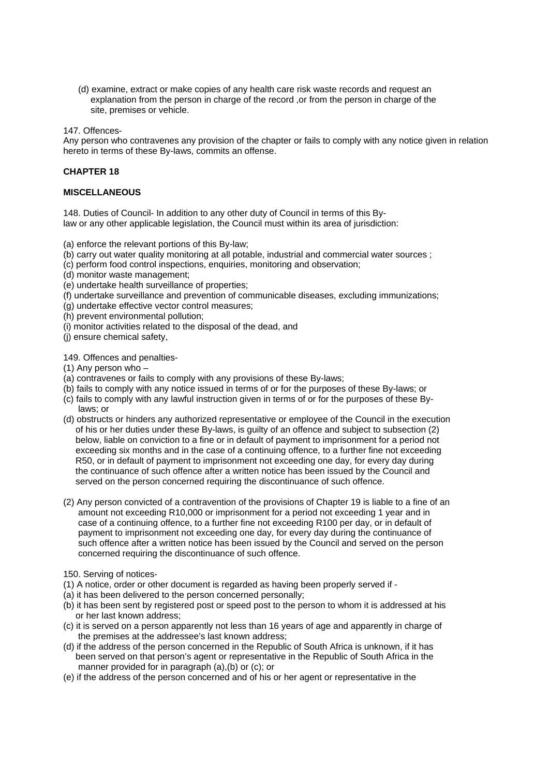(d) examine, extract or make copies of any health care risk waste records and request an explanation from the person in charge of the record ,or from the person in charge of the site, premises or vehicle.

147. Offences-

Any person who contravenes any provision of the chapter or fails to comply with any notice given in relation hereto in terms of these By-laws, commits an offense.

# **CHAPTER 18**

# **MISCELLANEOUS**

148. Duties of Council- In addition to any other duty of Council in terms of this Bylaw or any other applicable legislation, the Council must within its area of jurisdiction:

(a) enforce the relevant portions of this By-law;

- (b) carry out water quality monitoring at all potable, industrial and commercial water sources ;
- (c) perform food control inspections, enquiries, monitoring and observation;
- (d) monitor waste management;
- (e) undertake health surveillance of properties;
- (f) undertake surveillance and prevention of communicable diseases, excluding immunizations;
- (g) undertake effective vector control measures;
- (h) prevent environmental pollution;
- (i) monitor activities related to the disposal of the dead, and
- (j) ensure chemical safety,

149. Offences and penalties-

(1) Any person who –

- (a) contravenes or fails to comply with any provisions of these By-laws;
- (b) fails to comply with any notice issued in terms of or for the purposes of these By-laws; or
- (c) fails to comply with any lawful instruction given in terms of or for the purposes of these By laws; or
- (d) obstructs or hinders any authorized representative or employee of the Council in the execution of his or her duties under these By-laws, is guilty of an offence and subject to subsection (2) below, liable on conviction to a fine or in default of payment to imprisonment for a period not exceeding six months and in the case of a continuing offence, to a further fine not exceeding R50, or in default of payment to imprisonment not exceeding one day, for every day during the continuance of such offence after a written notice has been issued by the Council and served on the person concerned requiring the discontinuance of such offence.
- (2) Any person convicted of a contravention of the provisions of Chapter 19 is liable to a fine of an amount not exceeding R10,000 or imprisonment for a period not exceeding 1 year and in case of a continuing offence, to a further fine not exceeding R100 per day, or in default of payment to imprisonment not exceeding one day, for every day during the continuance of such offence after a written notice has been issued by the Council and served on the person concerned requiring the discontinuance of such offence.

150. Serving of notices-

- (1) A notice, order or other document is regarded as having been properly served if -
- (a) it has been delivered to the person concerned personally;
- (b) it has been sent by registered post or speed post to the person to whom it is addressed at his or her last known address;
- (c) it is served on a person apparently not less than 16 years of age and apparently in charge of the premises at the addressee's last known address;
- (d) if the address of the person concerned in the Republic of South Africa is unknown, if it has been served on that person's agent or representative in the Republic of South Africa in the manner provided for in paragraph (a),(b) or (c); or
- (e) if the address of the person concerned and of his or her agent or representative in the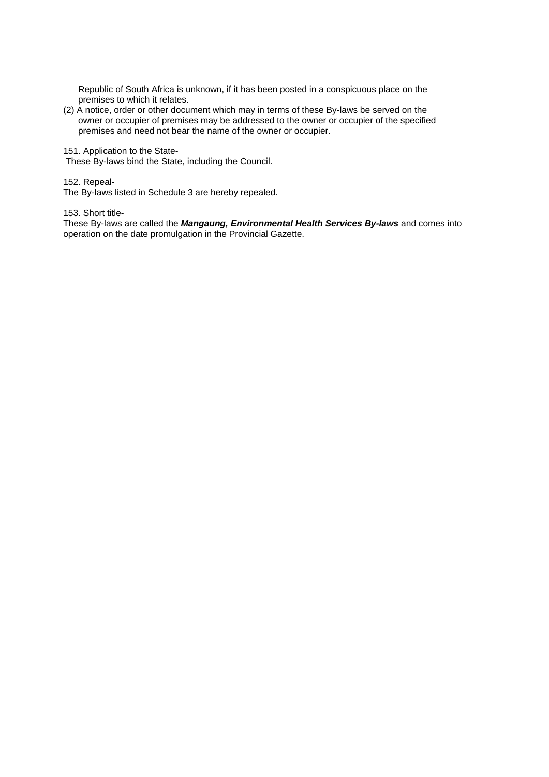Republic of South Africa is unknown, if it has been posted in a conspicuous place on the premises to which it relates.

(2) A notice, order or other document which may in terms of these By-laws be served on the owner or occupier of premises may be addressed to the owner or occupier of the specified premises and need not bear the name of the owner or occupier.

151. Application to the State-

These By-laws bind the State, including the Council.

152. Repeal-

The By-laws listed in Schedule 3 are hereby repealed.

153. Short title-

These By-laws are called the *Mangaung, Environmental Health Services By-laws* and comes into operation on the date promulgation in the Provincial Gazette.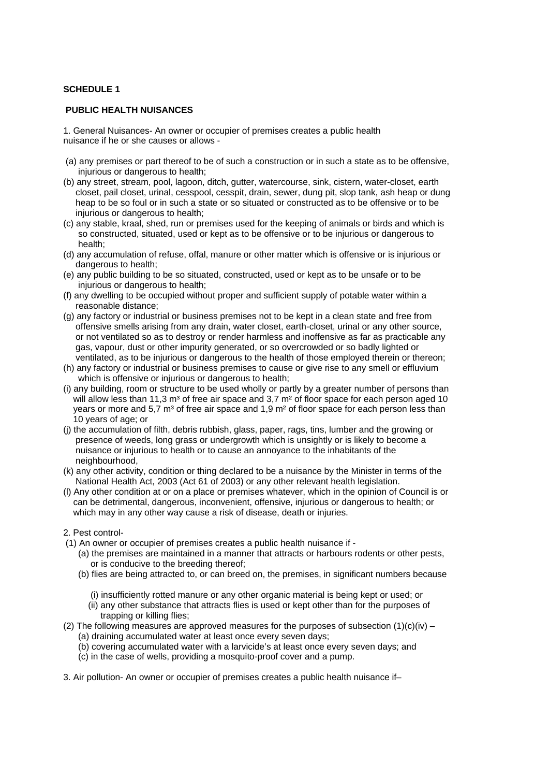# **SCHEDULE 1**

# **PUBLIC HEALTH NUISANCES**

1. General Nuisances- An owner or occupier of premises creates a public health nuisance if he or she causes or allows -

- (a) any premises or part thereof to be of such a construction or in such a state as to be offensive, injurious or dangerous to health;
- (b) any street, stream, pool, lagoon, ditch, gutter, watercourse, sink, cistern, water-closet, earth closet, pail closet, urinal, cesspool, cesspit, drain, sewer, dung pit, slop tank, ash heap or dung heap to be so foul or in such a state or so situated or constructed as to be offensive or to be injurious or dangerous to health;
- (c) any stable, kraal, shed, run or premises used for the keeping of animals or birds and which is so constructed, situated, used or kept as to be offensive or to be injurious or dangerous to health;
- (d) any accumulation of refuse, offal, manure or other matter which is offensive or is injurious or dangerous to health;
- (e) any public building to be so situated, constructed, used or kept as to be unsafe or to be injurious or dangerous to health;
- (f) any dwelling to be occupied without proper and sufficient supply of potable water within a reasonable distance;
- (g) any factory or industrial or business premises not to be kept in a clean state and free from offensive smells arising from any drain, water closet, earth-closet, urinal or any other source, or not ventilated so as to destroy or render harmless and inoffensive as far as practicable any gas, vapour, dust or other impurity generated, or so overcrowded or so badly lighted or ventilated, as to be injurious or dangerous to the health of those employed therein or thereon;
- (h) any factory or industrial or business premises to cause or give rise to any smell or effluvium which is offensive or injurious or dangerous to health;
- (i) any building, room or structure to be used wholly or partly by a greater number of persons than will allow less than 11,3  $m<sup>3</sup>$  of free air space and 3,7  $m<sup>2</sup>$  of floor space for each person aged 10 years or more and 5,7  $m<sup>3</sup>$  of free air space and 1,9  $m<sup>2</sup>$  of floor space for each person less than 10 years of age; or
- (j) the accumulation of filth, debris rubbish, glass, paper, rags, tins, lumber and the growing or presence of weeds, long grass or undergrowth which is unsightly or is likely to become a nuisance or injurious to health or to cause an annoyance to the inhabitants of the neighbourhood,
- (k) any other activity, condition or thing declared to be a nuisance by the Minister in terms of the National Health Act, 2003 (Act 61 of 2003) or any other relevant health legislation.
- (l) Any other condition at or on a place or premises whatever, which in the opinion of Council is or can be detrimental, dangerous, inconvenient, offensive, injurious or dangerous to health; or which may in any other way cause a risk of disease, death or injuries.
- 2. Pest control-
- (1) An owner or occupier of premises creates a public health nuisance if
	- (a) the premises are maintained in a manner that attracts or harbours rodents or other pests, or is conducive to the breeding thereof;
	- (b) flies are being attracted to, or can breed on, the premises, in significant numbers because
		- (i) insufficiently rotted manure or any other organic material is being kept or used; or
		- (ii) any other substance that attracts flies is used or kept other than for the purposes of trapping or killing flies;
- (2) The following measures are approved measures for the purposes of subsection  $(1)(c)(iv)$ 
	- (a) draining accumulated water at least once every seven days;
	- (b) covering accumulated water with a larvicide's at least once every seven days; and
	- (c) in the case of wells, providing a mosquito-proof cover and a pump.
- 3. Air pollution- An owner or occupier of premises creates a public health nuisance if–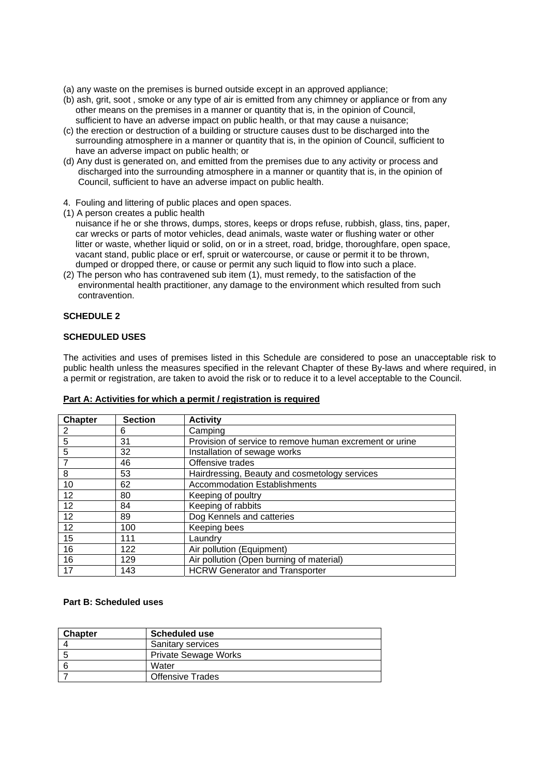- (a) any waste on the premises is burned outside except in an approved appliance;
- (b) ash, grit, soot , smoke or any type of air is emitted from any chimney or appliance or from any other means on the premises in a manner or quantity that is, in the opinion of Council, sufficient to have an adverse impact on public health, or that may cause a nuisance;
- (c) the erection or destruction of a building or structure causes dust to be discharged into the surrounding atmosphere in a manner or quantity that is, in the opinion of Council, sufficient to have an adverse impact on public health; or
- (d) Any dust is generated on, and emitted from the premises due to any activity or process and discharged into the surrounding atmosphere in a manner or quantity that is, in the opinion of Council, sufficient to have an adverse impact on public health.
- 4. Fouling and littering of public places and open spaces.
- (1) A person creates a public health

 nuisance if he or she throws, dumps, stores, keeps or drops refuse, rubbish, glass, tins, paper, car wrecks or parts of motor vehicles, dead animals, waste water or flushing water or other litter or waste, whether liquid or solid, on or in a street, road, bridge, thoroughfare, open space, vacant stand, public place or erf, spruit or watercourse, or cause or permit it to be thrown, dumped or dropped there, or cause or permit any such liquid to flow into such a place.

(2) The person who has contravened sub item (1), must remedy, to the satisfaction of the environmental health practitioner, any damage to the environment which resulted from such contravention.

# **SCHEDULE 2**

# **SCHEDULED USES**

The activities and uses of premises listed in this Schedule are considered to pose an unacceptable risk to public health unless the measures specified in the relevant Chapter of these By-laws and where required, in a permit or registration, are taken to avoid the risk or to reduce it to a level acceptable to the Council.

| <b>Chapter</b>    | <b>Section</b> | <b>Activity</b>                                         |
|-------------------|----------------|---------------------------------------------------------|
| 2                 | 6              | Camping                                                 |
| 5                 | 31             | Provision of service to remove human excrement or urine |
| 5                 | 32             | Installation of sewage works                            |
| 7                 | 46             | Offensive trades                                        |
| 8                 | 53             | Hairdressing, Beauty and cosmetology services           |
| 10                | 62             | <b>Accommodation Establishments</b>                     |
| $12 \overline{ }$ | 80             | Keeping of poultry                                      |
| 12                | 84             | Keeping of rabbits                                      |
| $12 \overline{ }$ | 89             | Dog Kennels and catteries                               |
| 12                | 100            | Keeping bees                                            |
| 15                | 111            | Laundry                                                 |
| 16                | 122            | Air pollution (Equipment)                               |
| 16                | 129            | Air pollution (Open burning of material)                |
| 17                | 143            | <b>HCRW Generator and Transporter</b>                   |

#### **Part A: Activities for which a permit / registration is required**

# **Part B: Scheduled uses**

| <b>Chapter</b> | <b>Scheduled use</b>        |
|----------------|-----------------------------|
|                | Sanitary services           |
|                | <b>Private Sewage Works</b> |
|                | Water                       |
|                | <b>Offensive Trades</b>     |